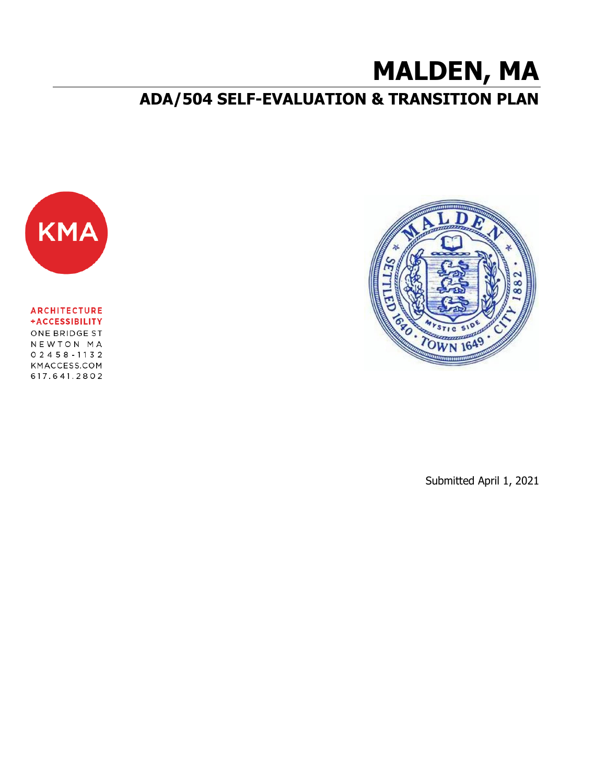# **MALDEN, MA**

# **ADA/504 SELF-EVALUATION & TRANSITION PLAN**



**ARCHITECTURE** +ACCESSIBILITY ONE BRIDGE ST NEWTON MA  $02458 - 1132$ KMACCESS.COM 617.641.2802



Submitted April 1, 2021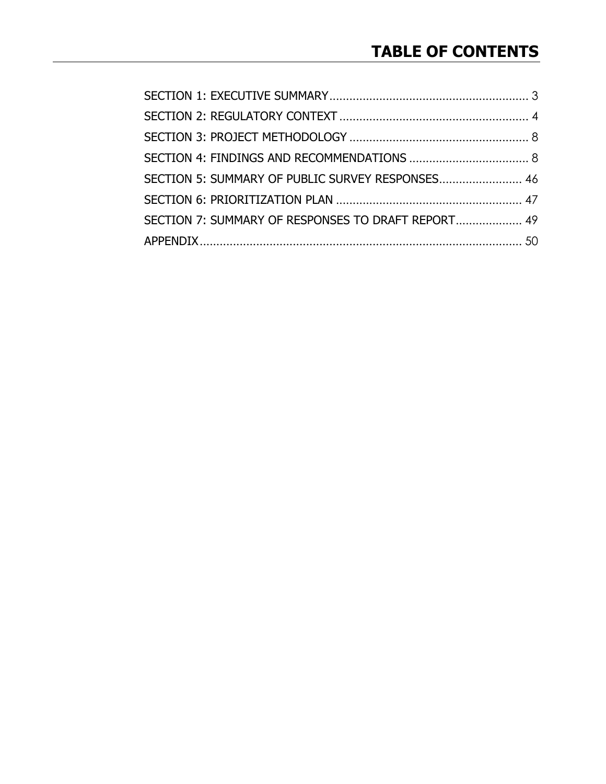| SECTION 5: SUMMARY OF PUBLIC SURVEY RESPONSES 46   |  |
|----------------------------------------------------|--|
|                                                    |  |
| SECTION 7: SUMMARY OF RESPONSES TO DRAFT REPORT 49 |  |
|                                                    |  |
|                                                    |  |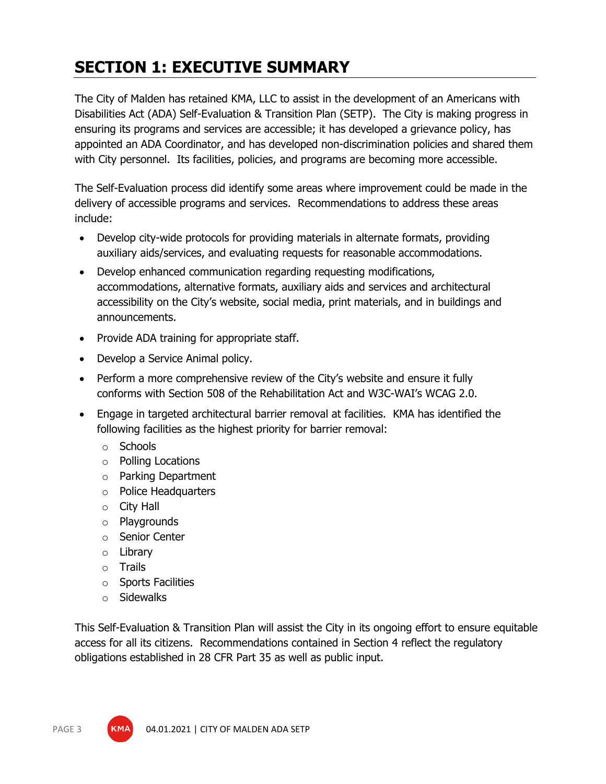# <span id="page-2-0"></span>**SECTION 1: EXECUTIVE SUMMARY**

The City of Malden has retained KMA, LLC to assist in the development of an Americans with Disabilities Act (ADA) Self-Evaluation & Transition Plan (SETP). The City is making progress in ensuring its programs and services are accessible; it has developed a grievance policy, has appointed an ADA Coordinator, and has developed non-discrimination policies and shared them with City personnel. Its facilities, policies, and programs are becoming more accessible.

The Self-Evaluation process did identify some areas where improvement could be made in the delivery of accessible programs and services. Recommendations to address these areas include:

- Develop city-wide protocols for providing materials in alternate formats, providing auxiliary aids/services, and evaluating requests for reasonable accommodations.
- Develop enhanced communication regarding requesting modifications, accommodations, alternative formats, auxiliary aids and services and architectural accessibility on the City's website, social media, print materials, and in buildings and announcements.
- Provide ADA training for appropriate staff.
- Develop a Service Animal policy.
- Perform a more comprehensive review of the City's website and ensure it fully conforms with Section 508 of the Rehabilitation Act and W3C-WAI's WCAG 2.0.
- Engage in targeted architectural barrier removal at facilities. KMA has identified the following facilities as the highest priority for barrier removal:
	- o Schools
	- o Polling Locations
	- o Parking Department
	- o Police Headquarters
	- o City Hall
	- o Playgrounds
	- o Senior Center
	- o Library
	- o Trails
	- o Sports Facilities
	- o Sidewalks

This Self-Evaluation & Transition Plan will assist the City in its ongoing effort to ensure equitable access for all its citizens. Recommendations contained in Section 4 reflect the regulatory obligations established in 28 CFR Part 35 as well as public input.



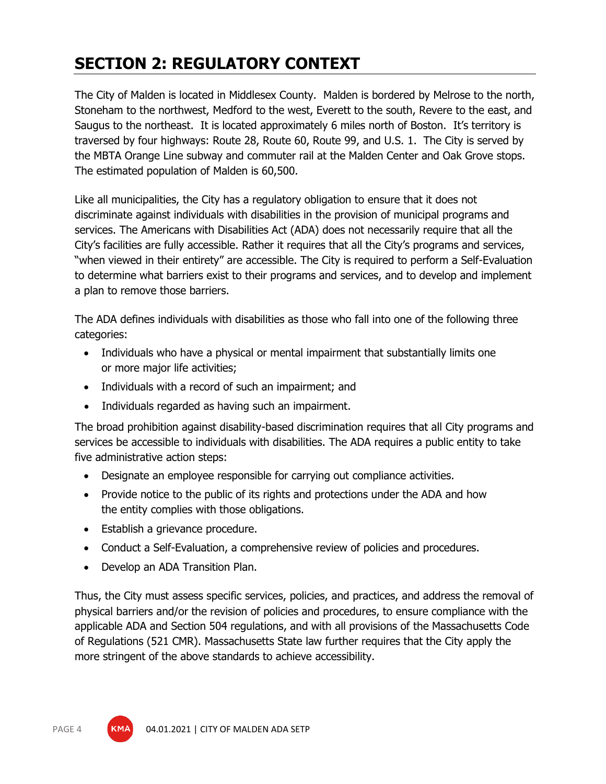# <span id="page-3-0"></span>**SECTION 2: REGULATORY CONTEXT**

The City of Malden is located in Middlesex County. Malden is bordered by Melrose to the north, Stoneham to the northwest, Medford to the west, Everett to the south, Revere to the east, and Saugus to the northeast. It is located approximately 6 miles north of Boston. It's territory is traversed by four highways: Route 28, Route 60, Route 99, and U.S. 1. The City is served by the MBTA Orange Line subway and commuter rail at the Malden Center and Oak Grove stops. The estimated population of Malden is 60,500.

Like all municipalities, the City has a regulatory obligation to ensure that it does not discriminate against individuals with disabilities in the provision of municipal programs and services. The Americans with Disabilities Act (ADA) does not necessarily require that all the City's facilities are fully accessible. Rather it requires that all the City's programs and services, "when viewed in their entirety" are accessible. The City is required to perform a Self-Evaluation to determine what barriers exist to their programs and services, and to develop and implement a plan to remove those barriers.

The ADA defines individuals with disabilities as those who fall into one of the following three categories:

- Individuals who have a physical or mental impairment that substantially limits one or more major life activities;
- Individuals with a record of such an impairment; and
- Individuals regarded as having such an impairment.

The broad prohibition against disability-based discrimination requires that all City programs and services be accessible to individuals with disabilities. The ADA requires a public entity to take five administrative action steps:

- Designate an employee responsible for carrying out compliance activities.
- Provide notice to the public of its rights and protections under the ADA and how the entity complies with those obligations.
- Establish a grievance procedure.
- Conduct a Self-Evaluation, a comprehensive review of policies and procedures.
- Develop an ADA Transition Plan.

Thus, the City must assess specific services, policies, and practices, and address the removal of physical barriers and/or the revision of policies and procedures, to ensure compliance with the applicable ADA and Section 504 regulations, and with all provisions of the Massachusetts Code of Regulations (521 CMR). Massachusetts State law further requires that the City apply the more stringent of the above standards to achieve accessibility.

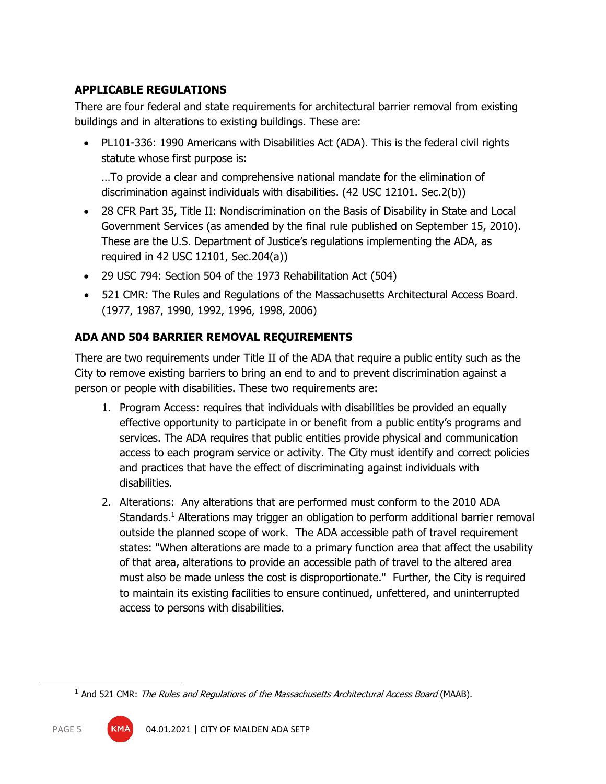# **APPLICABLE REGULATIONS**

There are four federal and state requirements for architectural barrier removal from existing buildings and in alterations to existing buildings. These are:

• PL101-336: 1990 Americans with Disabilities Act (ADA). This is the federal civil rights statute whose first purpose is:

…To provide a clear and comprehensive national mandate for the elimination of discrimination against individuals with disabilities. (42 USC 12101. Sec.2(b))

- 28 CFR Part 35, Title II: Nondiscrimination on the Basis of Disability in State and Local Government Services (as amended by the final rule published on September 15, 2010). These are the U.S. Department of Justice's regulations implementing the ADA, as required in 42 USC 12101, Sec.204(a))
- 29 USC 794: Section 504 of the 1973 Rehabilitation Act (504)
- 521 CMR: The Rules and Regulations of the Massachusetts Architectural Access Board. (1977, 1987, 1990, 1992, 1996, 1998, 2006)

# **ADA AND 504 BARRIER REMOVAL REQUIREMENTS**

There are two requirements under Title II of the ADA that require a public entity such as the City to remove existing barriers to bring an end to and to prevent discrimination against a person or people with disabilities. These two requirements are:

- 1. Program Access: requires that individuals with disabilities be provided an equally effective opportunity to participate in or benefit from a public entity's programs and services. The ADA requires that public entities provide physical and communication access to each program service or activity. The City must identify and correct policies and practices that have the effect of discriminating against individuals with disabilities.
- 2. Alterations: Any alterations that are performed must conform to the 2010 ADA Standards.<sup>1</sup> Alterations may trigger an obligation to perform additional barrier removal outside the planned scope of work. The ADA accessible path of travel requirement states: "When alterations are made to a primary function area that affect the usability of that area, alterations to provide an accessible path of travel to the altered area must also be made unless the cost is disproportionate." Further, the City is required to maintain its existing facilities to ensure continued, unfettered, and uninterrupted access to persons with disabilities.

 $<sup>1</sup>$  And 521 CMR: The Rules and Regulations of the Massachusetts Architectural Access Board (MAAB).</sup>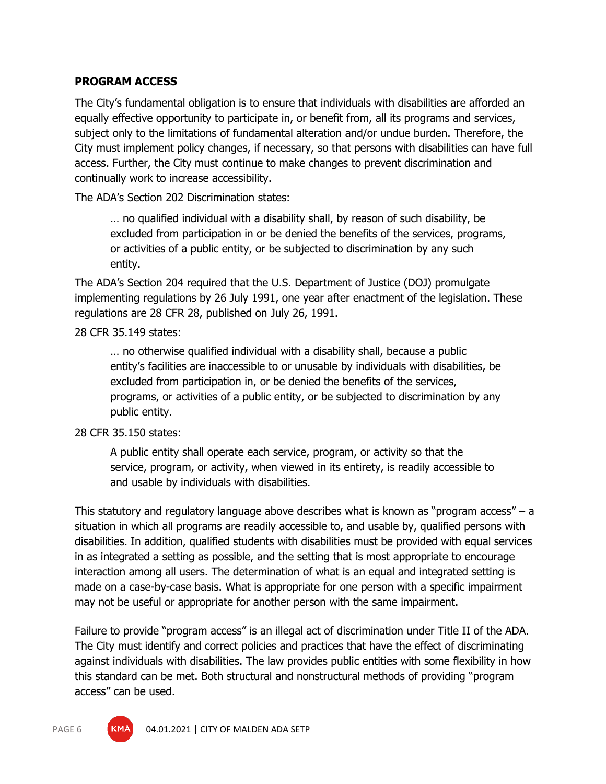#### **PROGRAM ACCESS**

The City's fundamental obligation is to ensure that individuals with disabilities are afforded an equally effective opportunity to participate in, or benefit from, all its programs and services, subject only to the limitations of fundamental alteration and/or undue burden. Therefore, the City must implement policy changes, if necessary, so that persons with disabilities can have full access. Further, the City must continue to make changes to prevent discrimination and continually work to increase accessibility.

The ADA's Section 202 Discrimination states:

… no qualified individual with a disability shall, by reason of such disability, be excluded from participation in or be denied the benefits of the services, programs, or activities of a public entity, or be subjected to discrimination by any such entity.

The ADA's Section 204 required that the U.S. Department of Justice (DOJ) promulgate implementing regulations by 26 July 1991, one year after enactment of the legislation. These regulations are 28 CFR 28, published on July 26, 1991.

#### 28 CFR 35.149 states:

… no otherwise qualified individual with a disability shall, because a public entity's facilities are inaccessible to or unusable by individuals with disabilities, be excluded from participation in, or be denied the benefits of the services, programs, or activities of a public entity, or be subjected to discrimination by any public entity.

#### 28 CFR 35.150 states:

A public entity shall operate each service, program, or activity so that the service, program, or activity, when viewed in its entirety, is readily accessible to and usable by individuals with disabilities.

This statutory and regulatory language above describes what is known as "program access" – a situation in which all programs are readily accessible to, and usable by, qualified persons with disabilities. In addition, qualified students with disabilities must be provided with equal services in as integrated a setting as possible, and the setting that is most appropriate to encourage interaction among all users. The determination of what is an equal and integrated setting is made on a case-by-case basis. What is appropriate for one person with a specific impairment may not be useful or appropriate for another person with the same impairment.

Failure to provide "program access" is an illegal act of discrimination under Title II of the ADA. The City must identify and correct policies and practices that have the effect of discriminating against individuals with disabilities. The law provides public entities with some flexibility in how this standard can be met. Both structural and nonstructural methods of providing "program access" can be used.

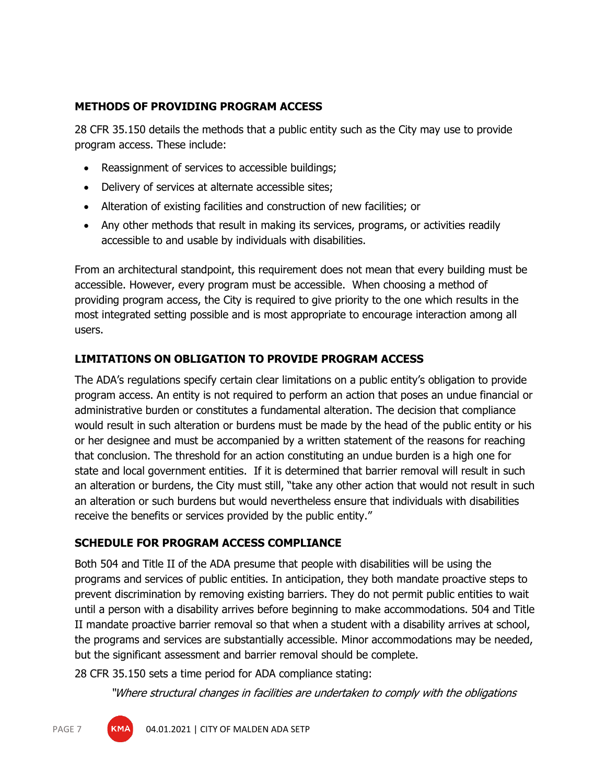#### **METHODS OF PROVIDING PROGRAM ACCESS**

28 CFR 35.150 details the methods that a public entity such as the City may use to provide program access. These include:

- Reassignment of services to accessible buildings;
- Delivery of services at alternate accessible sites;
- Alteration of existing facilities and construction of new facilities; or
- Any other methods that result in making its services, programs, or activities readily accessible to and usable by individuals with disabilities.

From an architectural standpoint, this requirement does not mean that every building must be accessible. However, every program must be accessible. When choosing a method of providing program access, the City is required to give priority to the one which results in the most integrated setting possible and is most appropriate to encourage interaction among all users.

# **LIMITATIONS ON OBLIGATION TO PROVIDE PROGRAM ACCESS**

The ADA's regulations specify certain clear limitations on a public entity's obligation to provide program access. An entity is not required to perform an action that poses an undue financial or administrative burden or constitutes a fundamental alteration. The decision that compliance would result in such alteration or burdens must be made by the head of the public entity or his or her designee and must be accompanied by a written statement of the reasons for reaching that conclusion. The threshold for an action constituting an undue burden is a high one for state and local government entities. If it is determined that barrier removal will result in such an alteration or burdens, the City must still, "take any other action that would not result in such an alteration or such burdens but would nevertheless ensure that individuals with disabilities receive the benefits or services provided by the public entity."

# **SCHEDULE FOR PROGRAM ACCESS COMPLIANCE**

Both 504 and Title II of the ADA presume that people with disabilities will be using the programs and services of public entities. In anticipation, they both mandate proactive steps to prevent discrimination by removing existing barriers. They do not permit public entities to wait until a person with a disability arrives before beginning to make accommodations. 504 and Title II mandate proactive barrier removal so that when a student with a disability arrives at school, the programs and services are substantially accessible. Minor accommodations may be needed, but the significant assessment and barrier removal should be complete.

28 CFR 35.150 sets a time period for ADA compliance stating:

"Where structural changes in facilities are undertaken to comply with the obligations



PAGE 7 **KMA** 04.01.2021 | CITY OF MALDEN ADA SETP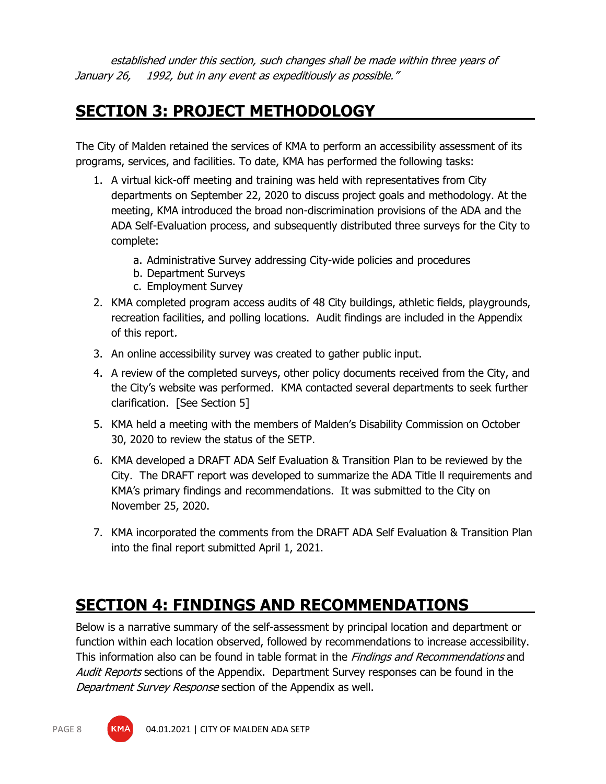established under this section, such changes shall be made within three years of January 26, 1992, but in any event as expeditiously as possible."

# <span id="page-7-0"></span>**SECTION 3: PROJECT METHODOLOGY**

The City of Malden retained the services of KMA to perform an accessibility assessment of its programs, services, and facilities. To date, KMA has performed the following tasks:

- 1. A virtual kick-off meeting and training was held with representatives from City departments on September 22, 2020 to discuss project goals and methodology. At the meeting, KMA introduced the broad non-discrimination provisions of the ADA and the ADA Self-Evaluation process, and subsequently distributed three surveys for the City to complete:
	- a. Administrative Survey addressing City-wide policies and procedures
	- b. Department Surveys
	- c. Employment Survey
- 2. KMA completed program access audits of 48 City buildings, athletic fields, playgrounds, recreation facilities, and polling locations. Audit findings are included in the Appendix of this report.
- 3. An online accessibility survey was created to gather public input.
- 4. A review of the completed surveys, other policy documents received from the City, and the City's website was performed. KMA contacted several departments to seek further clarification. [See Section 5]
- 5. KMA held a meeting with the members of Malden's Disability Commission on October 30, 2020 to review the status of the SETP.
- 6. KMA developed a DRAFT ADA Self Evaluation & Transition Plan to be reviewed by the City. The DRAFT report was developed to summarize the ADA Title ll requirements and KMA's primary findings and recommendations. It was submitted to the City on November 25, 2020.
- 7. KMA incorporated the comments from the DRAFT ADA Self Evaluation & Transition Plan into the final report submitted April 1, 2021.

# <span id="page-7-1"></span>**SECTION 4: FINDINGS AND RECOMMENDATIONS**

Below is a narrative summary of the self-assessment by principal location and department or function within each location observed, followed by recommendations to increase accessibility. This information also can be found in table format in the *Findings and Recommendations* and Audit Reports sections of the Appendix. Department Survey responses can be found in the Department Survey Response section of the Appendix as well.

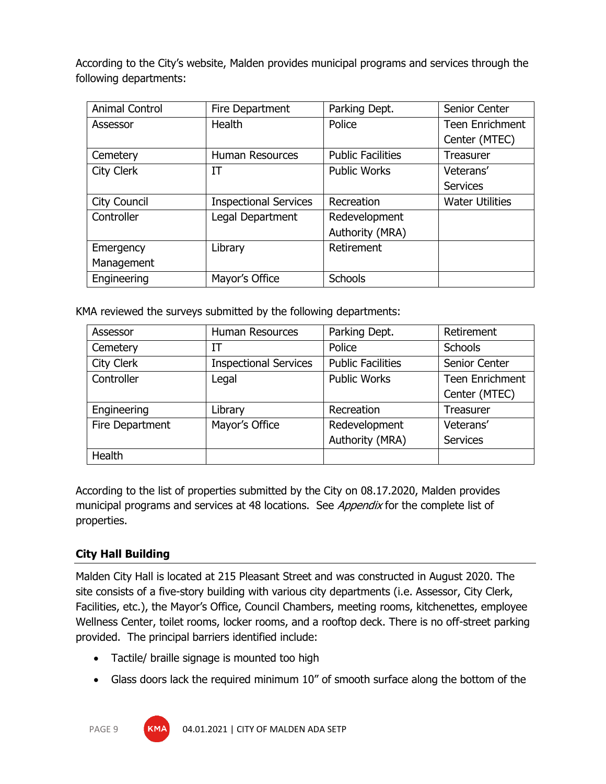According to the City's website, Malden provides municipal programs and services through the following departments:

| <b>Animal Control</b> | Fire Department              | Parking Dept.            | Senior Center          |
|-----------------------|------------------------------|--------------------------|------------------------|
| Assessor              | Health                       | Police                   | <b>Teen Enrichment</b> |
|                       |                              |                          | Center (MTEC)          |
| Cemetery              | <b>Human Resources</b>       | <b>Public Facilities</b> | <b>Treasurer</b>       |
| City Clerk            | IT                           | <b>Public Works</b>      | Veterans'              |
|                       |                              |                          | <b>Services</b>        |
| City Council          | <b>Inspectional Services</b> | Recreation               | <b>Water Utilities</b> |
| Controller            | Legal Department             | Redevelopment            |                        |
|                       |                              | Authority (MRA)          |                        |
| Emergency             | Library                      | Retirement               |                        |
| Management            |                              |                          |                        |
| Engineering           | Mayor's Office               | <b>Schools</b>           |                        |

KMA reviewed the surveys submitted by the following departments:

| Assessor        | <b>Human Resources</b>       | Parking Dept.            | Retirement             |
|-----------------|------------------------------|--------------------------|------------------------|
| Cemetery        | ΙT                           | Police                   | Schools                |
| City Clerk      | <b>Inspectional Services</b> | <b>Public Facilities</b> | Senior Center          |
| Controller      | Legal                        | <b>Public Works</b>      | <b>Teen Enrichment</b> |
|                 |                              |                          | Center (MTEC)          |
| Engineering     | Library                      | Recreation               | Treasurer              |
| Fire Department | Mayor's Office               | Redevelopment            | Veterans'              |
|                 |                              | Authority (MRA)          | <b>Services</b>        |
| Health          |                              |                          |                        |

According to the list of properties submitted by the City on 08.17.2020, Malden provides municipal programs and services at 48 locations. See *Appendix* for the complete list of properties.

# **City Hall Building**

Malden City Hall is located at 215 Pleasant Street and was constructed in August 2020. The site consists of a five-story building with various city departments (i.e. Assessor, City Clerk, Facilities, etc.), the Mayor's Office, Council Chambers, meeting rooms, kitchenettes, employee Wellness Center, toilet rooms, locker rooms, and a rooftop deck. There is no off-street parking provided. The principal barriers identified include:

- Tactile/ braille signage is mounted too high
- Glass doors lack the required minimum 10" of smooth surface along the bottom of the

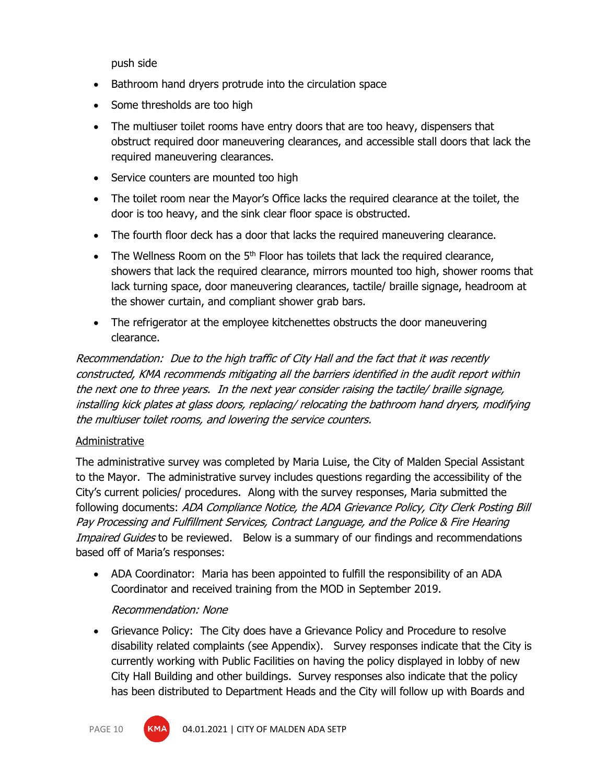push side

- Bathroom hand dryers protrude into the circulation space
- Some thresholds are too high
- The multiuser toilet rooms have entry doors that are too heavy, dispensers that obstruct required door maneuvering clearances, and accessible stall doors that lack the required maneuvering clearances.
- Service counters are mounted too high
- The toilet room near the Mayor's Office lacks the required clearance at the toilet, the door is too heavy, and the sink clear floor space is obstructed.
- The fourth floor deck has a door that lacks the required maneuvering clearance.
- The Wellness Room on the  $5<sup>th</sup>$  Floor has toilets that lack the required clearance, showers that lack the required clearance, mirrors mounted too high, shower rooms that lack turning space, door maneuvering clearances, tactile/ braille signage, headroom at the shower curtain, and compliant shower grab bars.
- The refrigerator at the employee kitchenettes obstructs the door maneuvering clearance.

Recommendation: Due to the high traffic of City Hall and the fact that it was recently constructed, KMA recommends mitigating all the barriers identified in the audit report within the next one to three years. In the next year consider raising the tactile/ braille signage, installing kick plates at glass doors, replacing/ relocating the bathroom hand dryers, modifying the multiuser toilet rooms, and lowering the service counters.

#### Administrative

The administrative survey was completed by Maria Luise, the City of Malden Special Assistant to the Mayor. The administrative survey includes questions regarding the accessibility of the City's current policies/ procedures. Along with the survey responses, Maria submitted the following documents: ADA Compliance Notice, the ADA Grievance Policy, City Clerk Posting Bill Pay Processing and Fulfillment Services, Contract Language, and the Police & Fire Hearing Impaired Guides to be reviewed. Below is a summary of our findings and recommendations based off of Maria's responses:

• ADA Coordinator: Maria has been appointed to fulfill the responsibility of an ADA Coordinator and received training from the MOD in September 2019.

#### Recommendation: None

• Grievance Policy: The City does have a Grievance Policy and Procedure to resolve disability related complaints (see Appendix). Survey responses indicate that the City is currently working with Public Facilities on having the policy displayed in lobby of new City Hall Building and other buildings. Survey responses also indicate that the policy has been distributed to Department Heads and the City will follow up with Boards and



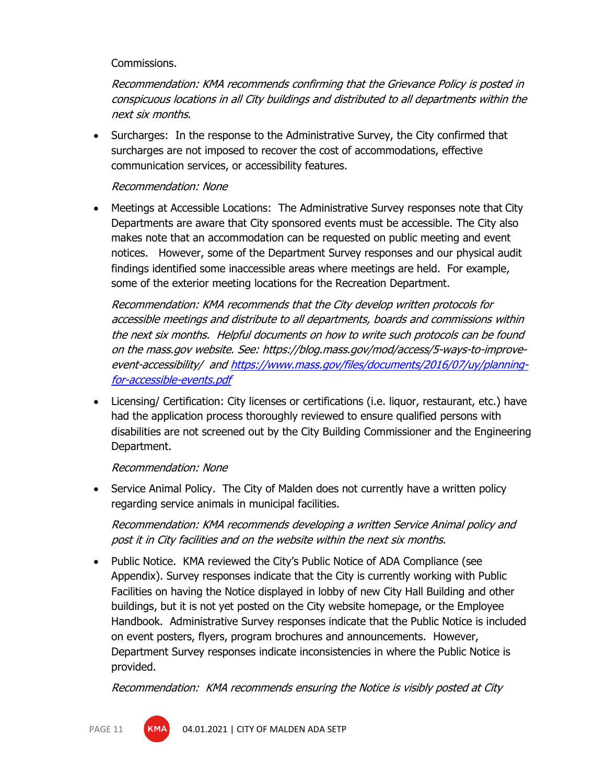#### Commissions.

Recommendation: KMA recommends confirming that the Grievance Policy is posted in conspicuous locations in all City buildings and distributed to all departments within the next six months.

• Surcharges: In the response to the Administrative Survey, the City confirmed that surcharges are not imposed to recover the cost of accommodations, effective communication services, or accessibility features.

## Recommendation: None

• Meetings at Accessible Locations: The Administrative Survey responses note that City Departments are aware that City sponsored events must be accessible. The City also makes note that an accommodation can be requested on public meeting and event notices. However, some of the Department Survey responses and our physical audit findings identified some inaccessible areas where meetings are held. For example, some of the exterior meeting locations for the Recreation Department.

Recommendation: KMA recommends that the City develop written protocols for accessible meetings and distribute to all departments, boards and commissions within the next six months. Helpful documents on how to write such protocols can be found on the mass.gov website. See: https://blog.mass.gov/mod/access/5-ways-to-improveevent-accessibility/ an[d https://www.mass.gov/files/documents/2016/07/uy/planning](https://www.mass.gov/files/documents/2016/07/uy/planning-for-accessible-events.pdf)[for-accessible-events.pdf](https://www.mass.gov/files/documents/2016/07/uy/planning-for-accessible-events.pdf)

• Licensing/ Certification: City licenses or certifications (i.e. liquor, restaurant, etc.) have had the application process thoroughly reviewed to ensure qualified persons with disabilities are not screened out by the City Building Commissioner and the Engineering Department.

#### Recommendation: None

• Service Animal Policy. The City of Malden does not currently have a written policy regarding service animals in municipal facilities.

Recommendation: KMA recommends developing a written Service Animal policy and post it in City facilities and on the website within the next six months.

• Public Notice. KMA reviewed the City's Public Notice of ADA Compliance (see Appendix). Survey responses indicate that the City is currently working with Public Facilities on having the Notice displayed in lobby of new City Hall Building and other buildings, but it is not yet posted on the City website homepage, or the Employee Handbook. Administrative Survey responses indicate that the Public Notice is included on event posters, flyers, program brochures and announcements. However, Department Survey responses indicate inconsistencies in where the Public Notice is provided.

Recommendation: KMA recommends ensuring the Notice is visibly posted at City

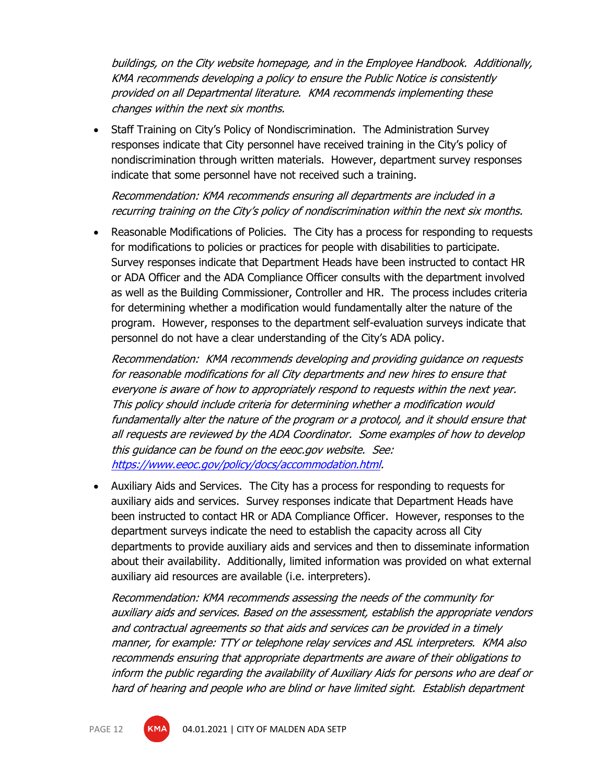buildings, on the City website homepage, and in the Employee Handbook. Additionally, KMA recommends developing a policy to ensure the Public Notice is consistently provided on all Departmental literature. KMA recommends implementing these changes within the next six months.

• Staff Training on City's Policy of Nondiscrimination. The Administration Survey responses indicate that City personnel have received training in the City's policy of nondiscrimination through written materials. However, department survey responses indicate that some personnel have not received such a training.

Recommendation: KMA recommends ensuring all departments are included in a recurring training on the City's policy of nondiscrimination within the next six months.

• Reasonable Modifications of Policies. The City has a process for responding to requests for modifications to policies or practices for people with disabilities to participate. Survey responses indicate that Department Heads have been instructed to contact HR or ADA Officer and the ADA Compliance Officer consults with the department involved as well as the Building Commissioner, Controller and HR. The process includes criteria for determining whether a modification would fundamentally alter the nature of the program. However, responses to the department self-evaluation surveys indicate that personnel do not have a clear understanding of the City's ADA policy.

Recommendation: KMA recommends developing and providing guidance on requests for reasonable modifications for all City departments and new hires to ensure that everyone is aware of how to appropriately respond to requests within the next year. This policy should include criteria for determining whether a modification would fundamentally alter the nature of the program or a protocol, and it should ensure that all requests are reviewed by the ADA Coordinator. Some examples of how to develop this guidance can be found on the eeoc.gov website. See: [https://www.eeoc.gov/policy/docs/accommodation.html.](https://www.eeoc.gov/policy/docs/accommodation.html)

• Auxiliary Aids and Services. The City has a process for responding to requests for auxiliary aids and services. Survey responses indicate that Department Heads have been instructed to contact HR or ADA Compliance Officer. However, responses to the department surveys indicate the need to establish the capacity across all City departments to provide auxiliary aids and services and then to disseminate information about their availability. Additionally, limited information was provided on what external auxiliary aid resources are available (i.e. interpreters).

Recommendation: KMA recommends assessing the needs of the community for auxiliary aids and services. Based on the assessment, establish the appropriate vendors and contractual agreements so that aids and services can be provided in a timely manner, for example: TTY or telephone relay services and ASL interpreters. KMA also recommends ensuring that appropriate departments are aware of their obligations to inform the public regarding the availability of Auxiliary Aids for persons who are deaf or hard of hearing and people who are blind or have limited sight. Establish department

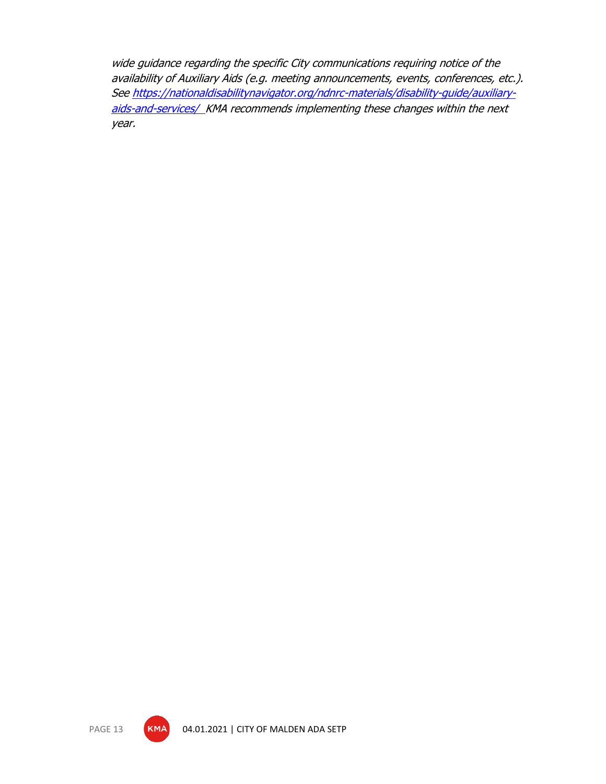wide guidance regarding the specific City communications requiring notice of the availability of Auxiliary Aids (e.g. meeting announcements, events, conferences, etc.). Se[e https://nationaldisabilitynavigator.org/ndnrc-materials/disability-guide/auxiliary](https://nationaldisabilitynavigator.org/ndnrc-materials/disability-guide/auxiliary-aids-and-services/)[aids-and-services/](https://nationaldisabilitynavigator.org/ndnrc-materials/disability-guide/auxiliary-aids-and-services/) KMA recommends implementing these changes within the next year.

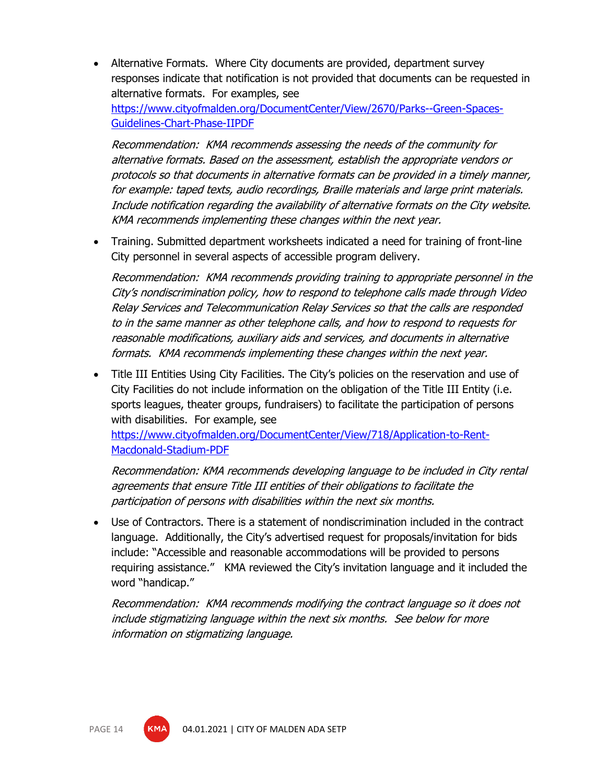• Alternative Formats. Where City documents are provided, department survey responses indicate that notification is not provided that documents can be requested in alternative formats. For examples, see [https://www.cityofmalden.org/DocumentCenter/View/2670/Parks--Green-Spaces-](https://www.cityofmalden.org/DocumentCenter/View/2670/Parks--Green-Spaces-Guidelines-Chart-Phase-IIPDF)[Guidelines-Chart-Phase-IIPDF](https://www.cityofmalden.org/DocumentCenter/View/2670/Parks--Green-Spaces-Guidelines-Chart-Phase-IIPDF)

Recommendation: KMA recommends assessing the needs of the community for alternative formats. Based on the assessment, establish the appropriate vendors or protocols so that documents in alternative formats can be provided in a timely manner, for example: taped texts, audio recordings, Braille materials and large print materials. Include notification regarding the availability of alternative formats on the City website. KMA recommends implementing these changes within the next year.

• Training. Submitted department worksheets indicated a need for training of front-line City personnel in several aspects of accessible program delivery.

Recommendation: KMA recommends providing training to appropriate personnel in the City's nondiscrimination policy, how to respond to telephone calls made through Video Relay Services and Telecommunication Relay Services so that the calls are responded to in the same manner as other telephone calls, and how to respond to requests for reasonable modifications, auxiliary aids and services, and documents in alternative formats. KMA recommends implementing these changes within the next year.

• Title III Entities Using City Facilities. The City's policies on the reservation and use of City Facilities do not include information on the obligation of the Title III Entity (i.e. sports leagues, theater groups, fundraisers) to facilitate the participation of persons with disabilities. For example, see

[https://www.cityofmalden.org/DocumentCenter/View/718/Application-to-Rent-](https://www.cityofmalden.org/DocumentCenter/View/718/Application-to-Rent-Macdonald-Stadium-PDF)[Macdonald-Stadium-PDF](https://www.cityofmalden.org/DocumentCenter/View/718/Application-to-Rent-Macdonald-Stadium-PDF) 

Recommendation: KMA recommends developing language to be included in City rental agreements that ensure Title III entities of their obligations to facilitate the participation of persons with disabilities within the next six months.

• Use of Contractors. There is a statement of nondiscrimination included in the contract language. Additionally, the City's advertised request for proposals/invitation for bids include: "Accessible and reasonable accommodations will be provided to persons requiring assistance." KMA reviewed the City's invitation language and it included the word "handicap."

Recommendation: KMA recommends modifying the contract language so it does not include stigmatizing language within the next six months. See below for more information on stigmatizing language.

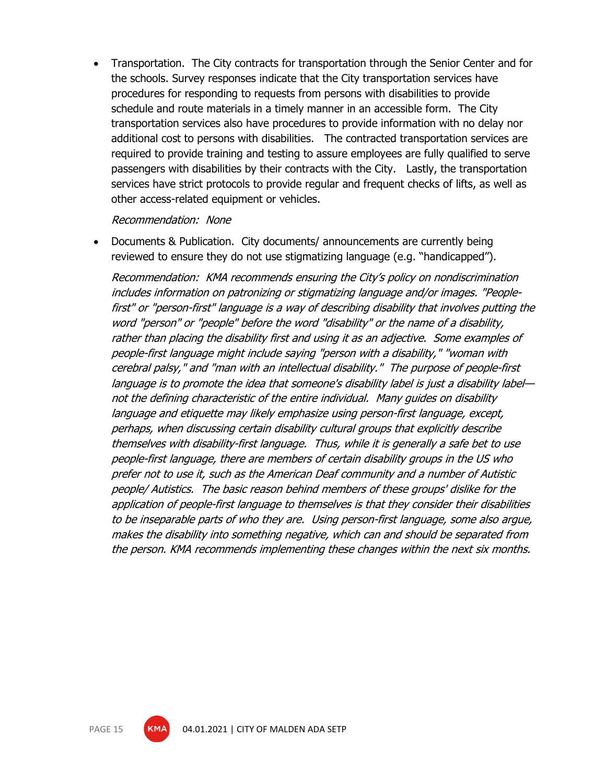• Transportation. The City contracts for transportation through the Senior Center and for the schools. Survey responses indicate that the City transportation services have procedures for responding to requests from persons with disabilities to provide schedule and route materials in a timely manner in an accessible form. The City transportation services also have procedures to provide information with no delay nor additional cost to persons with disabilities. The contracted transportation services are required to provide training and testing to assure employees are fully qualified to serve passengers with disabilities by their contracts with the City. Lastly, the transportation services have strict protocols to provide regular and frequent checks of lifts, as well as other access-related equipment or vehicles.

Recommendation: None

• Documents & Publication. City documents/ announcements are currently being reviewed to ensure they do not use stigmatizing language (e.g. "handicapped").

Recommendation: KMA recommends ensuring the City's policy on nondiscrimination includes information on patronizing or stigmatizing language and/or images. "Peoplefirst" or "person-first" language is a way of describing disability that involves putting the word "person" or "people" before the word "disability" or the name of a disability, rather than placing the disability first and using it as an adjective. Some examples of people-first language might include saying "person with a disability," "woman with cerebral palsy," and "man with an intellectual disability." The purpose of people-first language is to promote the idea that someone's disability label is just a disability label not the defining characteristic of the entire individual. Many guides on disability language and etiquette may likely emphasize using person-first language, except, perhaps, when discussing certain disability cultural groups that explicitly describe themselves with disability-first language. Thus, while it is generally a safe bet to use people-first language, there are members of certain disability groups in the US who prefer not to use it, such as the American Deaf community and a number of Autistic people/ Autistics. The basic reason behind members of these groups' dislike for the application of people-first language to themselves is that they consider their disabilities to be inseparable parts of who they are. Using person-first language, some also argue, makes the disability into something negative, which can and should be separated from the person. KMA recommends implementing these changes within the next six months.

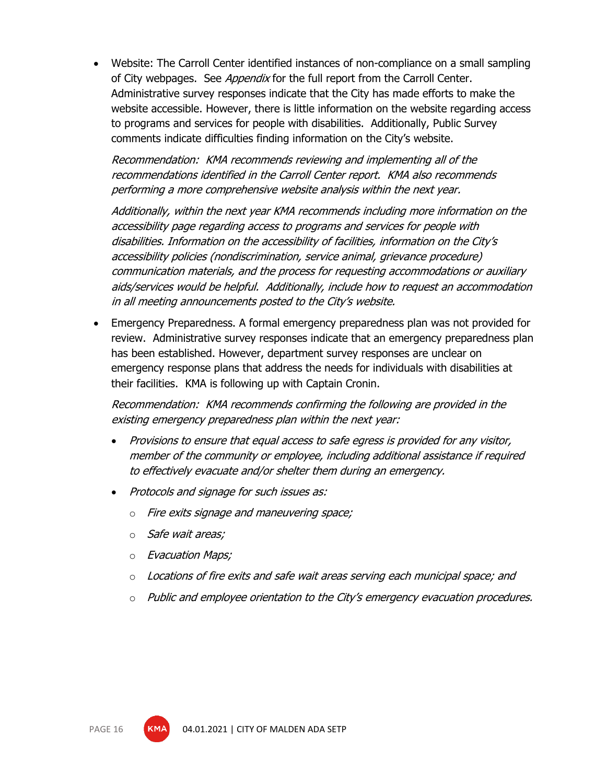• Website: The Carroll Center identified instances of non-compliance on a small sampling of City webpages. See *Appendix* for the full report from the Carroll Center. Administrative survey responses indicate that the City has made efforts to make the website accessible. However, there is little information on the website regarding access to programs and services for people with disabilities. Additionally, Public Survey comments indicate difficulties finding information on the City's website.

Recommendation: KMA recommends reviewing and implementing all of the recommendations identified in the Carroll Center report. KMA also recommends performing a more comprehensive website analysis within the next year.

Additionally, within the next year KMA recommends including more information on the accessibility page regarding access to programs and services for people with disabilities. Information on the accessibility of facilities, information on the City's accessibility policies (nondiscrimination, service animal, grievance procedure) communication materials, and the process for requesting accommodations or auxiliary aids/services would be helpful. Additionally, include how to request an accommodation in all meeting announcements posted to the City's website.

• Emergency Preparedness. A formal emergency preparedness plan was not provided for review. Administrative survey responses indicate that an emergency preparedness plan has been established. However, department survey responses are unclear on emergency response plans that address the needs for individuals with disabilities at their facilities. KMA is following up with Captain Cronin.

Recommendation: KMA recommends confirming the following are provided in the existing emergency preparedness plan within the next year:

- Provisions to ensure that equal access to safe egress is provided for any visitor, member of the community or employee, including additional assistance if required to effectively evacuate and/or shelter them during an emergency.
- Protocols and signage for such issues as:
	- o Fire exits signage and maneuvering space;
	- o Safe wait areas;
	- o Evacuation Maps;
	- $\circ$  Locations of fire exits and safe wait areas serving each municipal space; and
	- $\circ$  Public and employee orientation to the City's emergency evacuation procedures.

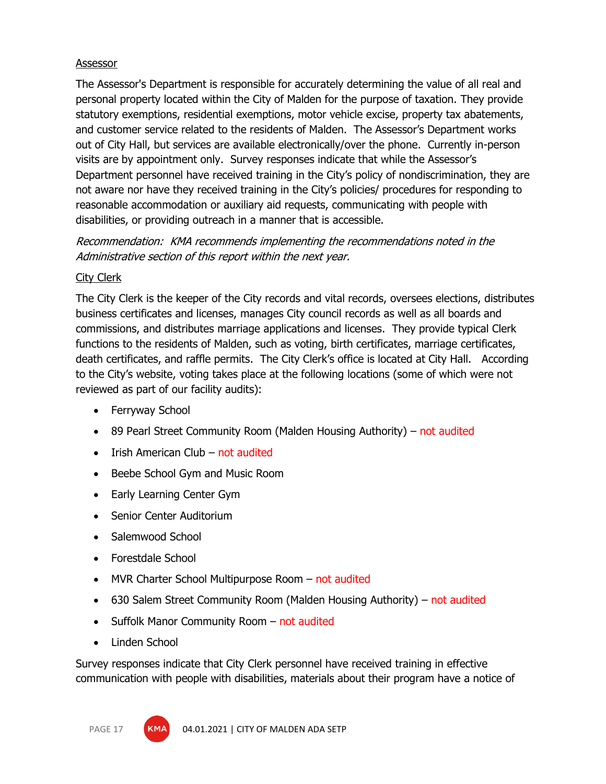#### **Assessor**

The Assessor's Department is responsible for accurately determining the value of all real and personal property located within the City of Malden for the purpose of taxation. They provide statutory exemptions, residential exemptions, motor vehicle excise, property tax abatements, and customer service related to the residents of Malden. The Assessor's Department works out of City Hall, but services are available electronically/over the phone. Currently in-person visits are by appointment only. Survey responses indicate that while the Assessor's Department personnel have received training in the City's policy of nondiscrimination, they are not aware nor have they received training in the City's policies/ procedures for responding to reasonable accommodation or auxiliary aid requests, communicating with people with disabilities, or providing outreach in a manner that is accessible.

Recommendation: KMA recommends implementing the recommendations noted in the Administrative section of this report within the next year.

#### City Clerk

The City Clerk is the keeper of the City records and vital records, oversees elections, distributes business certificates and licenses, manages City council records as well as all boards and commissions, and distributes marriage applications and licenses. They provide typical Clerk functions to the residents of Malden, such as voting, birth certificates, marriage certificates, death certificates, and raffle permits. The City Clerk's office is located at City Hall. According to the City's website, voting takes place at the following locations (some of which were not reviewed as part of our facility audits):

- Ferryway School
- 89 Pearl Street Community Room (Malden Housing Authority) not audited
- Irish American Club not audited
- Beebe School Gym and Music Room
- Early Learning Center Gym
- Senior Center Auditorium
- Salemwood School
- Forestdale School
- MVR Charter School Multipurpose Room not audited
- 630 Salem Street Community Room (Malden Housing Authority) not audited
- Suffolk Manor Community Room not audited
- Linden School

Survey responses indicate that City Clerk personnel have received training in effective communication with people with disabilities, materials about their program have a notice of



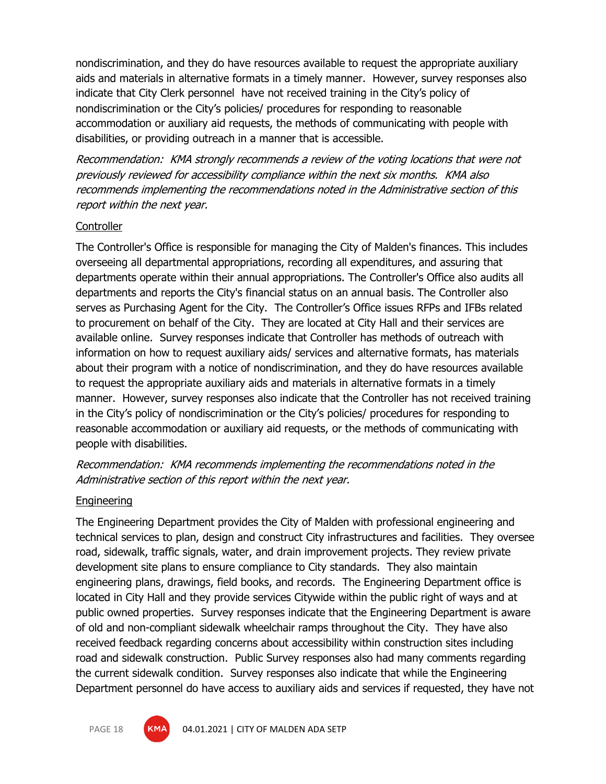nondiscrimination, and they do have resources available to request the appropriate auxiliary aids and materials in alternative formats in a timely manner. However, survey responses also indicate that City Clerk personnel have not received training in the City's policy of nondiscrimination or the City's policies/ procedures for responding to reasonable accommodation or auxiliary aid requests, the methods of communicating with people with disabilities, or providing outreach in a manner that is accessible.

Recommendation: KMA strongly recommends a review of the voting locations that were not previously reviewed for accessibility compliance within the next six months. KMA also recommends implementing the recommendations noted in the Administrative section of this report within the next year.

#### Controller

The Controller's Office is responsible for managing the City of Malden's finances. This includes overseeing all departmental appropriations, recording all expenditures, and assuring that departments operate within their annual appropriations. The Controller's Office also audits all departments and reports the City's financial status on an annual basis. The Controller also serves as Purchasing Agent for the City. The Controller's Office issues RFPs and IFBs related to procurement on behalf of the City. They are located at City Hall and their services are available online. Survey responses indicate that Controller has methods of outreach with information on how to request auxiliary aids/ services and alternative formats, has materials about their program with a notice of nondiscrimination, and they do have resources available to request the appropriate auxiliary aids and materials in alternative formats in a timely manner. However, survey responses also indicate that the Controller has not received training in the City's policy of nondiscrimination or the City's policies/ procedures for responding to reasonable accommodation or auxiliary aid requests, or the methods of communicating with people with disabilities.

Recommendation: KMA recommends implementing the recommendations noted in the Administrative section of this report within the next year.

#### **Engineering**

The Engineering Department provides the City of Malden with professional engineering and technical services to plan, design and construct City infrastructures and facilities. They oversee road, sidewalk, traffic signals, water, and drain improvement projects. They review private development site plans to ensure compliance to City standards. They also maintain engineering plans, drawings, field books, and records. The Engineering Department office is located in City Hall and they provide services Citywide within the public right of ways and at public owned properties. Survey responses indicate that the Engineering Department is aware of old and non-compliant sidewalk wheelchair ramps throughout the City. They have also received feedback regarding concerns about accessibility within construction sites including road and sidewalk construction. Public Survey responses also had many comments regarding the current sidewalk condition. Survey responses also indicate that while the Engineering Department personnel do have access to auxiliary aids and services if requested, they have not

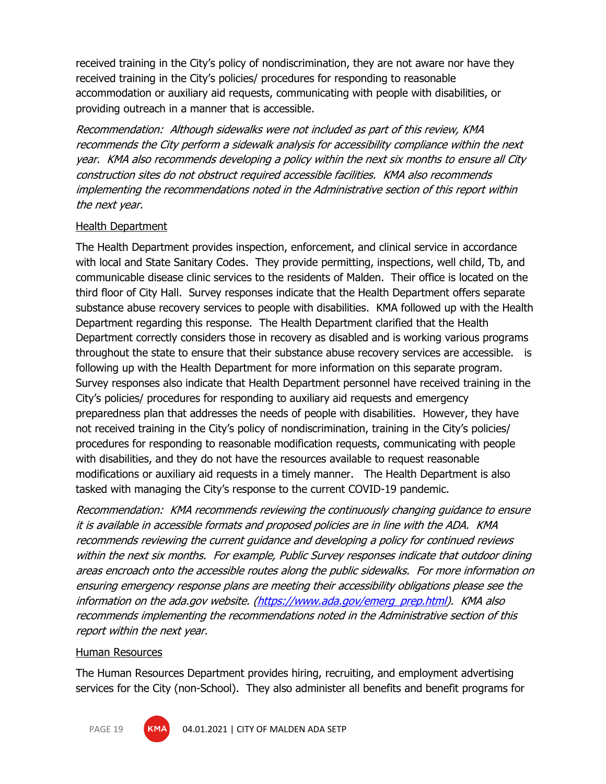received training in the City's policy of nondiscrimination, they are not aware nor have they received training in the City's policies/ procedures for responding to reasonable accommodation or auxiliary aid requests, communicating with people with disabilities, or providing outreach in a manner that is accessible.

Recommendation: Although sidewalks were not included as part of this review, KMA recommends the City perform a sidewalk analysis for accessibility compliance within the next year. KMA also recommends developing a policy within the next six months to ensure all City construction sites do not obstruct required accessible facilities. KMA also recommends implementing the recommendations noted in the Administrative section of this report within the next year.

#### Health Department

The Health Department provides inspection, enforcement, and clinical service in accordance with local and State Sanitary Codes. They provide permitting, inspections, well child, Tb, and communicable disease clinic services to the residents of Malden. Their office is located on the third floor of City Hall. Survey responses indicate that the Health Department offers separate substance abuse recovery services to people with disabilities. KMA followed up with the Health Department regarding this response. The Health Department clarified that the Health Department correctly considers those in recovery as disabled and is working various programs throughout the state to ensure that their substance abuse recovery services are accessible. is following up with the Health Department for more information on this separate program. Survey responses also indicate that Health Department personnel have received training in the City's policies/ procedures for responding to auxiliary aid requests and emergency preparedness plan that addresses the needs of people with disabilities. However, they have not received training in the City's policy of nondiscrimination, training in the City's policies/ procedures for responding to reasonable modification requests, communicating with people with disabilities, and they do not have the resources available to request reasonable modifications or auxiliary aid requests in a timely manner. The Health Department is also tasked with managing the City's response to the current COVID-19 pandemic.

Recommendation: KMA recommends reviewing the continuously changing guidance to ensure it is available in accessible formats and proposed policies are in line with the ADA. KMA recommends reviewing the current guidance and developing a policy for continued reviews within the next six months. For example, Public Survey responses indicate that outdoor dining areas encroach onto the accessible routes along the public sidewalks. For more information on ensuring emergency response plans are meeting their accessibility obligations please see the information on the ada.gov website. [\(https://www.ada.gov/emerg\\_prep.html\)](https://www.ada.gov/emerg_prep.html). KMA also recommends implementing the recommendations noted in the Administrative section of this report within the next year.

#### Human Resources

The Human Resources Department provides hiring, recruiting, and employment advertising services for the City (non-School). They also administer all benefits and benefit programs for

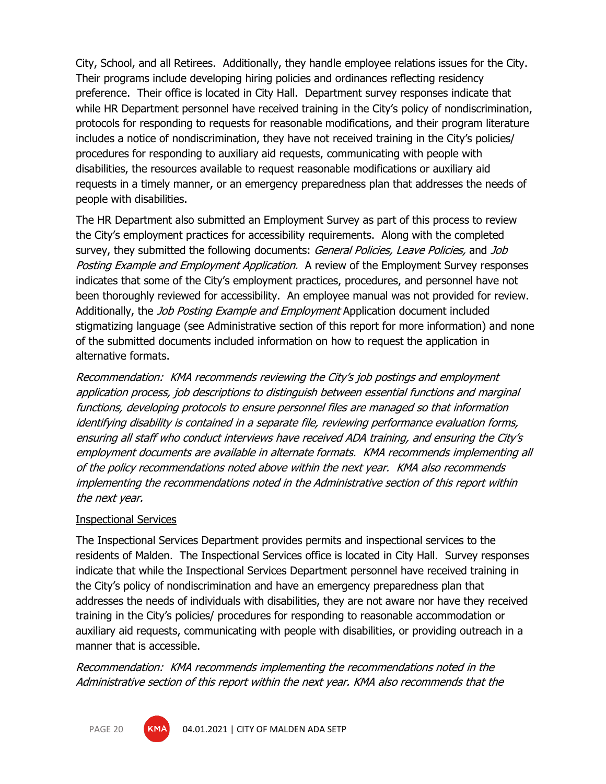City, School, and all Retirees. Additionally, they handle employee relations issues for the City. Their programs include developing hiring policies and ordinances reflecting residency preference. Their office is located in City Hall. Department survey responses indicate that while HR Department personnel have received training in the City's policy of nondiscrimination, protocols for responding to requests for reasonable modifications, and their program literature includes a notice of nondiscrimination, they have not received training in the City's policies/ procedures for responding to auxiliary aid requests, communicating with people with disabilities, the resources available to request reasonable modifications or auxiliary aid requests in a timely manner, or an emergency preparedness plan that addresses the needs of people with disabilities.

The HR Department also submitted an Employment Survey as part of this process to review the City's employment practices for accessibility requirements. Along with the completed survey, they submitted the following documents: General Policies, Leave Policies, and Job Posting Example and Employment Application. A review of the Employment Survey responses indicates that some of the City's employment practices, procedures, and personnel have not been thoroughly reviewed for accessibility. An employee manual was not provided for review. Additionally, the *Job Posting Example and Employment* Application document included stigmatizing language (see Administrative section of this report for more information) and none of the submitted documents included information on how to request the application in alternative formats.

Recommendation: KMA recommends reviewing the City's job postings and employment application process, job descriptions to distinguish between essential functions and marginal functions, developing protocols to ensure personnel files are managed so that information identifying disability is contained in a separate file, reviewing performance evaluation forms, ensuring all staff who conduct interviews have received ADA training, and ensuring the City's employment documents are available in alternate formats. KMA recommends implementing all of the policy recommendations noted above within the next year. KMA also recommends implementing the recommendations noted in the Administrative section of this report within the next year.

#### Inspectional Services

The Inspectional Services Department provides permits and inspectional services to the residents of Malden. The Inspectional Services office is located in City Hall. Survey responses indicate that while the Inspectional Services Department personnel have received training in the City's policy of nondiscrimination and have an emergency preparedness plan that addresses the needs of individuals with disabilities, they are not aware nor have they received training in the City's policies/ procedures for responding to reasonable accommodation or auxiliary aid requests, communicating with people with disabilities, or providing outreach in a manner that is accessible.

Recommendation: KMA recommends implementing the recommendations noted in the Administrative section of this report within the next year. KMA also recommends that the

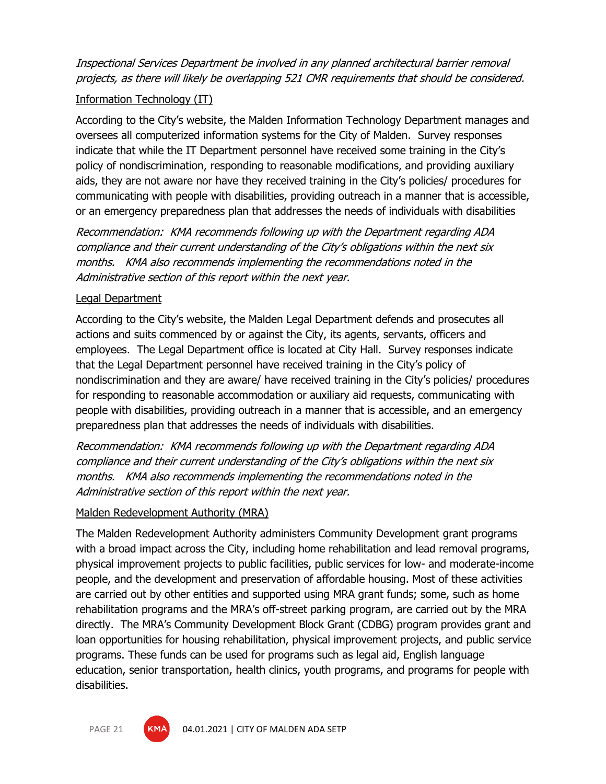Inspectional Services Department be involved in any planned architectural barrier removal projects, as there will likely be overlapping 521 CMR requirements that should be considered.

#### Information Technology (IT)

According to the City's website, the Malden Information Technology Department manages and oversees all computerized information systems for the City of Malden. Survey responses indicate that while the IT Department personnel have received some training in the City's policy of nondiscrimination, responding to reasonable modifications, and providing auxiliary aids, they are not aware nor have they received training in the City's policies/ procedures for communicating with people with disabilities, providing outreach in a manner that is accessible, or an emergency preparedness plan that addresses the needs of individuals with disabilities

Recommendation: KMA recommends following up with the Department regarding ADA compliance and their current understanding of the City's obligations within the next six months. KMA also recommends implementing the recommendations noted in the Administrative section of this report within the next year.

#### Legal Department

According to the City's website, the Malden Legal Department defends and prosecutes all actions and suits commenced by or against the City, its agents, servants, officers and employees. The Legal Department office is located at City Hall. Survey responses indicate that the Legal Department personnel have received training in the City's policy of nondiscrimination and they are aware/ have received training in the City's policies/ procedures for responding to reasonable accommodation or auxiliary aid requests, communicating with people with disabilities, providing outreach in a manner that is accessible, and an emergency preparedness plan that addresses the needs of individuals with disabilities.

Recommendation: KMA recommends following up with the Department regarding ADA compliance and their current understanding of the City's obligations within the next six months. KMA also recommends implementing the recommendations noted in the Administrative section of this report within the next year.

#### Malden Redevelopment Authority (MRA)

The Malden Redevelopment Authority administers Community Development grant programs with a broad impact across the City, including home rehabilitation and lead removal programs, physical improvement projects to public facilities, public services for low- and moderate-income people, and the development and preservation of affordable housing. Most of these activities are carried out by other entities and supported using MRA grant funds; some, such as home rehabilitation programs and the MRA's off-street parking program, are carried out by the MRA directly. The MRA's Community Development Block Grant (CDBG) program provides grant and loan opportunities for housing rehabilitation, physical improvement projects, and public service programs. These funds can be used for programs such as legal aid, English language education, senior transportation, health clinics, youth programs, and programs for people with disabilities.

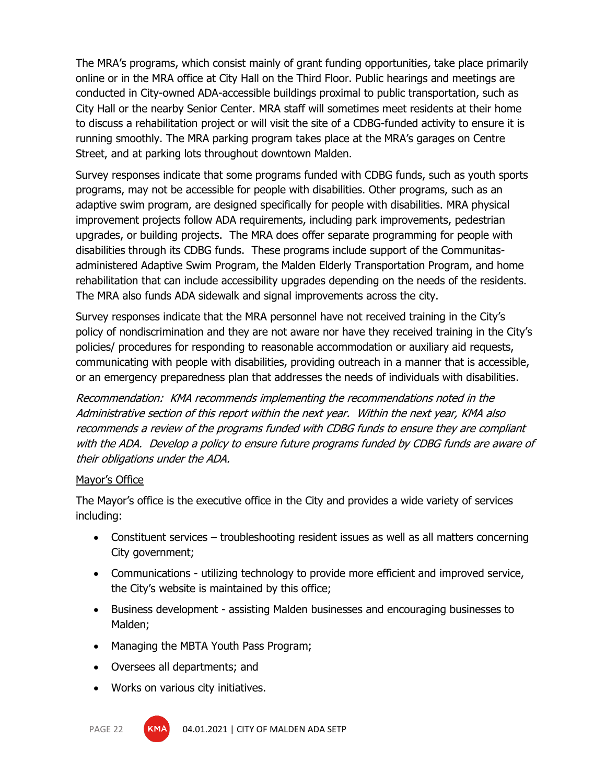The MRA's programs, which consist mainly of grant funding opportunities, take place primarily online or in the MRA office at City Hall on the Third Floor. Public hearings and meetings are conducted in City-owned ADA-accessible buildings proximal to public transportation, such as City Hall or the nearby Senior Center. MRA staff will sometimes meet residents at their home to discuss a rehabilitation project or will visit the site of a CDBG-funded activity to ensure it is running smoothly. The MRA parking program takes place at the MRA's garages on Centre Street, and at parking lots throughout downtown Malden.

Survey responses indicate that some programs funded with CDBG funds, such as youth sports programs, may not be accessible for people with disabilities. Other programs, such as an adaptive swim program, are designed specifically for people with disabilities. MRA physical improvement projects follow ADA requirements, including park improvements, pedestrian upgrades, or building projects. The MRA does offer separate programming for people with disabilities through its CDBG funds. These programs include support of the Communitasadministered Adaptive Swim Program, the Malden Elderly Transportation Program, and home rehabilitation that can include accessibility upgrades depending on the needs of the residents. The MRA also funds ADA sidewalk and signal improvements across the city.

Survey responses indicate that the MRA personnel have not received training in the City's policy of nondiscrimination and they are not aware nor have they received training in the City's policies/ procedures for responding to reasonable accommodation or auxiliary aid requests, communicating with people with disabilities, providing outreach in a manner that is accessible, or an emergency preparedness plan that addresses the needs of individuals with disabilities.

Recommendation: KMA recommends implementing the recommendations noted in the Administrative section of this report within the next year. Within the next year, KMA also recommends a review of the programs funded with CDBG funds to ensure they are compliant with the ADA. Develop a policy to ensure future programs funded by CDBG funds are aware of their obligations under the ADA.

#### Mayor's Office

The Mayor's office is the executive office in the City and provides a wide variety of services including:

- Constituent services troubleshooting resident issues as well as all matters concerning City government;
- Communications utilizing technology to provide more efficient and improved service, the City's website is maintained by this office;
- Business development assisting Malden businesses and encouraging businesses to Malden;
- Managing the MBTA Youth Pass Program;
- Oversees all departments; and
- Works on various city initiatives.



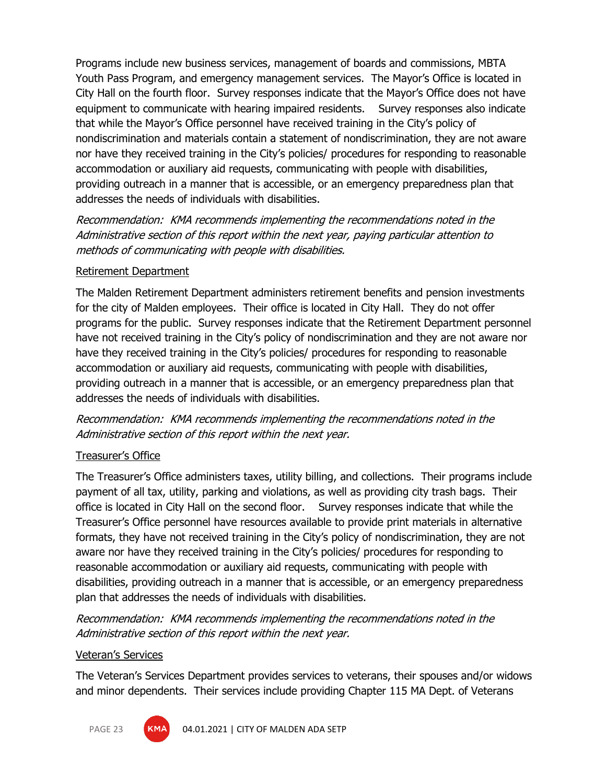Programs include new business services, management of boards and commissions, MBTA Youth Pass Program, and emergency management services. The Mayor's Office is located in City Hall on the fourth floor. Survey responses indicate that the Mayor's Office does not have equipment to communicate with hearing impaired residents. Survey responses also indicate that while the Mayor's Office personnel have received training in the City's policy of nondiscrimination and materials contain a statement of nondiscrimination, they are not aware nor have they received training in the City's policies/ procedures for responding to reasonable accommodation or auxiliary aid requests, communicating with people with disabilities, providing outreach in a manner that is accessible, or an emergency preparedness plan that addresses the needs of individuals with disabilities.

Recommendation: KMA recommends implementing the recommendations noted in the Administrative section of this report within the next year, paying particular attention to methods of communicating with people with disabilities.

#### Retirement Department

The Malden Retirement Department administers retirement benefits and pension investments for the city of Malden employees. Their office is located in City Hall. They do not offer programs for the public. Survey responses indicate that the Retirement Department personnel have not received training in the City's policy of nondiscrimination and they are not aware nor have they received training in the City's policies/ procedures for responding to reasonable accommodation or auxiliary aid requests, communicating with people with disabilities, providing outreach in a manner that is accessible, or an emergency preparedness plan that addresses the needs of individuals with disabilities.

Recommendation: KMA recommends implementing the recommendations noted in the Administrative section of this report within the next year.

#### Treasurer's Office

The Treasurer's Office administers taxes, utility billing, and collections. Their programs include payment of all tax, utility, parking and violations, as well as providing city trash bags. Their office is located in City Hall on the second floor. Survey responses indicate that while the Treasurer's Office personnel have resources available to provide print materials in alternative formats, they have not received training in the City's policy of nondiscrimination, they are not aware nor have they received training in the City's policies/ procedures for responding to reasonable accommodation or auxiliary aid requests, communicating with people with disabilities, providing outreach in a manner that is accessible, or an emergency preparedness plan that addresses the needs of individuals with disabilities.

Recommendation: KMA recommends implementing the recommendations noted in the Administrative section of this report within the next year.

#### Veteran's Services

The Veteran's Services Department provides services to veterans, their spouses and/or widows and minor dependents. Their services include providing Chapter 115 MA Dept. of Veterans

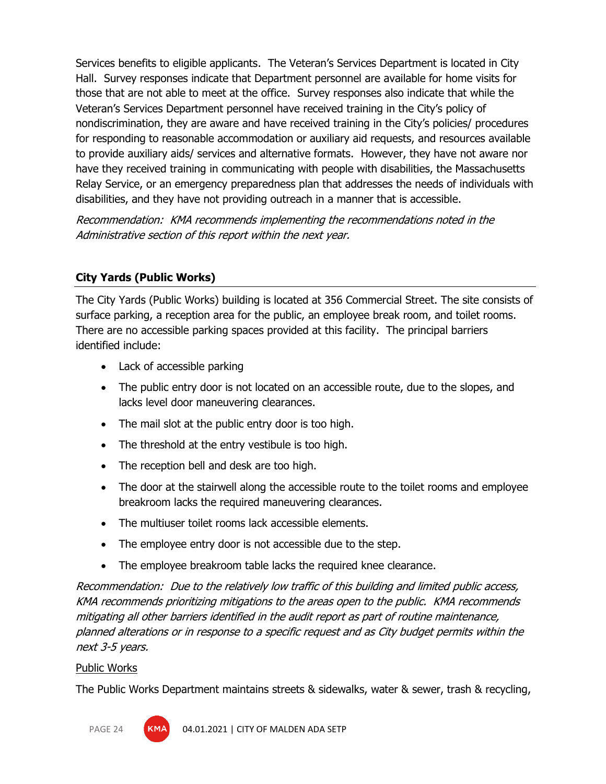Services benefits to eligible applicants. The Veteran's Services Department is located in City Hall. Survey responses indicate that Department personnel are available for home visits for those that are not able to meet at the office. Survey responses also indicate that while the Veteran's Services Department personnel have received training in the City's policy of nondiscrimination, they are aware and have received training in the City's policies/ procedures for responding to reasonable accommodation or auxiliary aid requests, and resources available to provide auxiliary aids/ services and alternative formats. However, they have not aware nor have they received training in communicating with people with disabilities, the Massachusetts Relay Service, or an emergency preparedness plan that addresses the needs of individuals with disabilities, and they have not providing outreach in a manner that is accessible.

Recommendation: KMA recommends implementing the recommendations noted in the Administrative section of this report within the next year.

# **City Yards (Public Works)**

The City Yards (Public Works) building is located at 356 Commercial Street. The site consists of surface parking, a reception area for the public, an employee break room, and toilet rooms. There are no accessible parking spaces provided at this facility. The principal barriers identified include:

- Lack of accessible parking
- The public entry door is not located on an accessible route, due to the slopes, and lacks level door maneuvering clearances.
- The mail slot at the public entry door is too high.
- The threshold at the entry vestibule is too high.
- The reception bell and desk are too high.
- The door at the stairwell along the accessible route to the toilet rooms and employee breakroom lacks the required maneuvering clearances.
- The multiuser toilet rooms lack accessible elements.
- The employee entry door is not accessible due to the step.
- The employee breakroom table lacks the required knee clearance.

Recommendation: Due to the relatively low traffic of this building and limited public access, KMA recommends prioritizing mitigations to the areas open to the public. KMA recommends mitigating all other barriers identified in the audit report as part of routine maintenance, planned alterations or in response to a specific request and as City budget permits within the next 3-5 years.

#### Public Works

The Public Works Department maintains streets & sidewalks, water & sewer, trash & recycling,

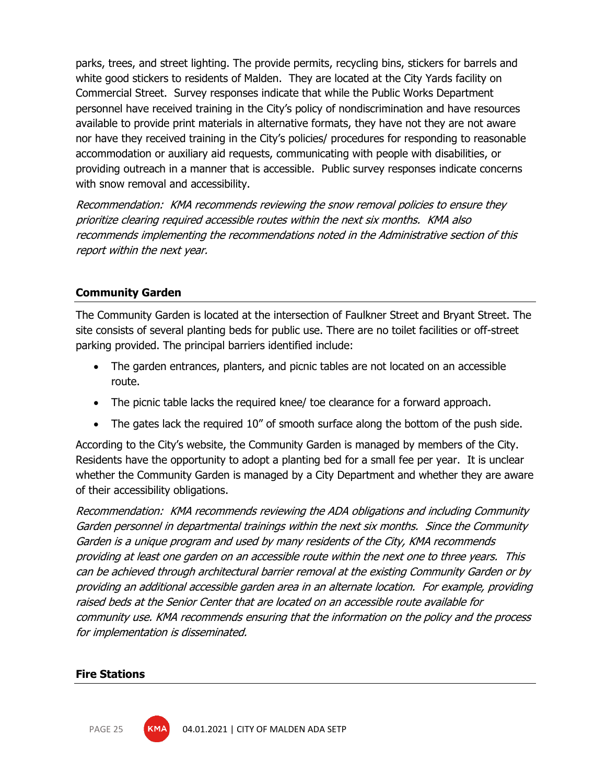parks, trees, and street lighting. The provide permits, recycling bins, stickers for barrels and white good stickers to residents of Malden. They are located at the City Yards facility on Commercial Street. Survey responses indicate that while the Public Works Department personnel have received training in the City's policy of nondiscrimination and have resources available to provide print materials in alternative formats, they have not they are not aware nor have they received training in the City's policies/ procedures for responding to reasonable accommodation or auxiliary aid requests, communicating with people with disabilities, or providing outreach in a manner that is accessible. Public survey responses indicate concerns with snow removal and accessibility.

Recommendation: KMA recommends reviewing the snow removal policies to ensure they prioritize clearing required accessible routes within the next six months. KMA also recommends implementing the recommendations noted in the Administrative section of this report within the next year.

#### **Community Garden**

The Community Garden is located at the intersection of Faulkner Street and Bryant Street. The site consists of several planting beds for public use. There are no toilet facilities or off-street parking provided. The principal barriers identified include:

- The garden entrances, planters, and picnic tables are not located on an accessible route.
- The picnic table lacks the required knee/ toe clearance for a forward approach.
- The gates lack the required 10" of smooth surface along the bottom of the push side.

According to the City's website, the Community Garden is managed by members of the City. Residents have the opportunity to adopt a planting bed for a small fee per year. It is unclear whether the Community Garden is managed by a City Department and whether they are aware of their accessibility obligations.

Recommendation: KMA recommends reviewing the ADA obligations and including Community Garden personnel in departmental trainings within the next six months. Since the Community Garden is a unique program and used by many residents of the City, KMA recommends providing at least one garden on an accessible route within the next one to three years. This can be achieved through architectural barrier removal at the existing Community Garden or by providing an additional accessible garden area in an alternate location. For example, providing raised beds at the Senior Center that are located on an accessible route available for community use. KMA recommends ensuring that the information on the policy and the process for implementation is disseminated.

#### **Fire Stations**

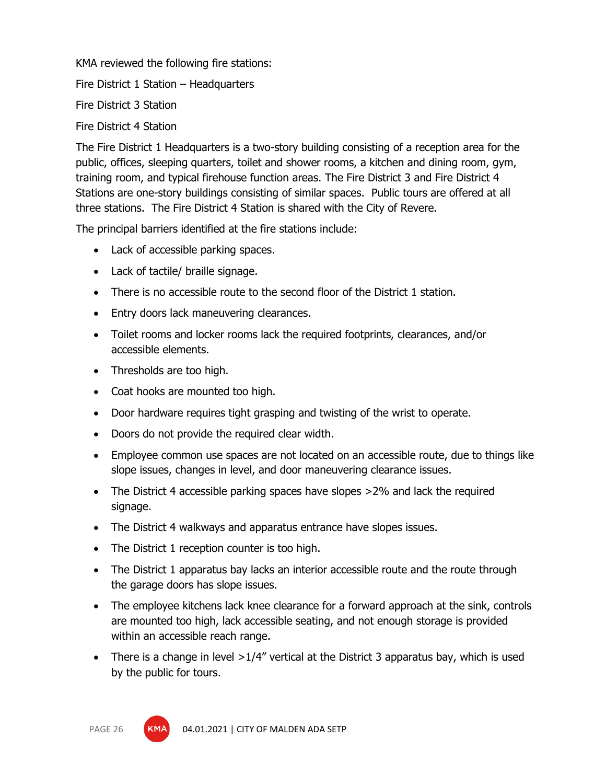KMA reviewed the following fire stations:

Fire District 1 Station – Headquarters

Fire District 3 Station

Fire District 4 Station

The Fire District 1 Headquarters is a two-story building consisting of a reception area for the public, offices, sleeping quarters, toilet and shower rooms, a kitchen and dining room, gym, training room, and typical firehouse function areas. The Fire District 3 and Fire District 4 Stations are one-story buildings consisting of similar spaces. Public tours are offered at all three stations. The Fire District 4 Station is shared with the City of Revere.

The principal barriers identified at the fire stations include:

- Lack of accessible parking spaces.
- Lack of tactile/ braille signage.
- There is no accessible route to the second floor of the District 1 station.
- Entry doors lack maneuvering clearances.
- Toilet rooms and locker rooms lack the required footprints, clearances, and/or accessible elements.
- Thresholds are too high.
- Coat hooks are mounted too high.
- Door hardware requires tight grasping and twisting of the wrist to operate.
- Doors do not provide the required clear width.
- Employee common use spaces are not located on an accessible route, due to things like slope issues, changes in level, and door maneuvering clearance issues.
- The District 4 accessible parking spaces have slopes >2% and lack the required signage.
- The District 4 walkways and apparatus entrance have slopes issues.
- The District 1 reception counter is too high.
- The District 1 apparatus bay lacks an interior accessible route and the route through the garage doors has slope issues.
- The employee kitchens lack knee clearance for a forward approach at the sink, controls are mounted too high, lack accessible seating, and not enough storage is provided within an accessible reach range.
- There is a change in level  $>1/4$ " vertical at the District 3 apparatus bay, which is used by the public for tours.

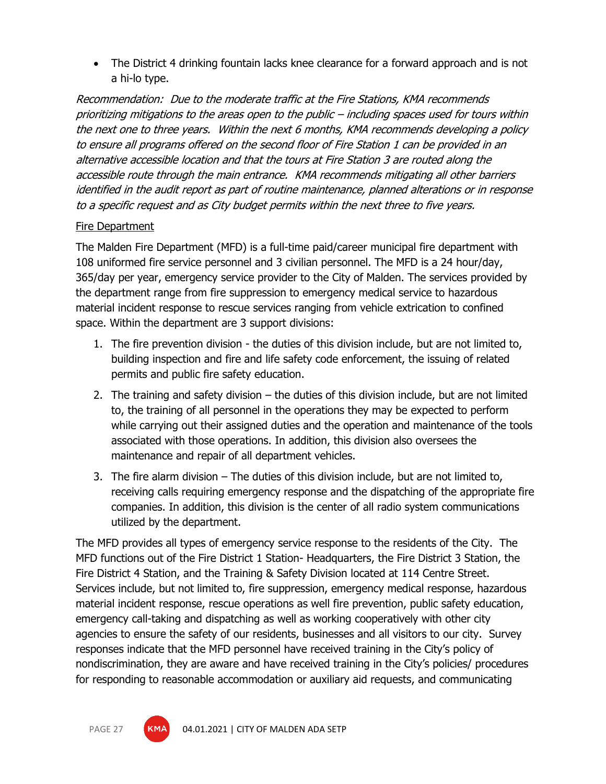• The District 4 drinking fountain lacks knee clearance for a forward approach and is not a hi-lo type.

Recommendation: Due to the moderate traffic at the Fire Stations, KMA recommends prioritizing mitigations to the areas open to the public – including spaces used for tours within the next one to three years. Within the next 6 months, KMA recommends developing a policy to ensure all programs offered on the second floor of Fire Station 1 can be provided in an alternative accessible location and that the tours at Fire Station 3 are routed along the accessible route through the main entrance. KMA recommends mitigating all other barriers identified in the audit report as part of routine maintenance, planned alterations or in response to a specific request and as City budget permits within the next three to five years.

#### Fire Department

The Malden Fire Department (MFD) is a full-time paid/career municipal fire department with 108 uniformed fire service personnel and 3 civilian personnel. The MFD is a 24 hour/day, 365/day per year, emergency service provider to the City of Malden. The services provided by the department range from fire suppression to emergency medical service to hazardous material incident response to rescue services ranging from vehicle extrication to confined space. Within the department are 3 support divisions:

- 1. The fire prevention division the duties of this division include, but are not limited to, building inspection and fire and life safety code enforcement, the issuing of related permits and public fire safety education.
- 2. The training and safety division the duties of this division include, but are not limited to, the training of all personnel in the operations they may be expected to perform while carrying out their assigned duties and the operation and maintenance of the tools associated with those operations. In addition, this division also oversees the maintenance and repair of all department vehicles.
- 3. The fire alarm division The duties of this division include, but are not limited to, receiving calls requiring emergency response and the dispatching of the appropriate fire companies. In addition, this division is the center of all radio system communications utilized by the department.

The MFD provides all types of emergency service response to the residents of the City. The MFD functions out of the Fire District 1 Station- Headquarters, the Fire District 3 Station, the Fire District 4 Station, and the Training & Safety Division located at 114 Centre Street. Services include, but not limited to, fire suppression, emergency medical response, hazardous material incident response, rescue operations as well fire prevention, public safety education, emergency call-taking and dispatching as well as working cooperatively with other city agencies to ensure the safety of our residents, businesses and all visitors to our city. Survey responses indicate that the MFD personnel have received training in the City's policy of nondiscrimination, they are aware and have received training in the City's policies/ procedures for responding to reasonable accommodation or auxiliary aid requests, and communicating

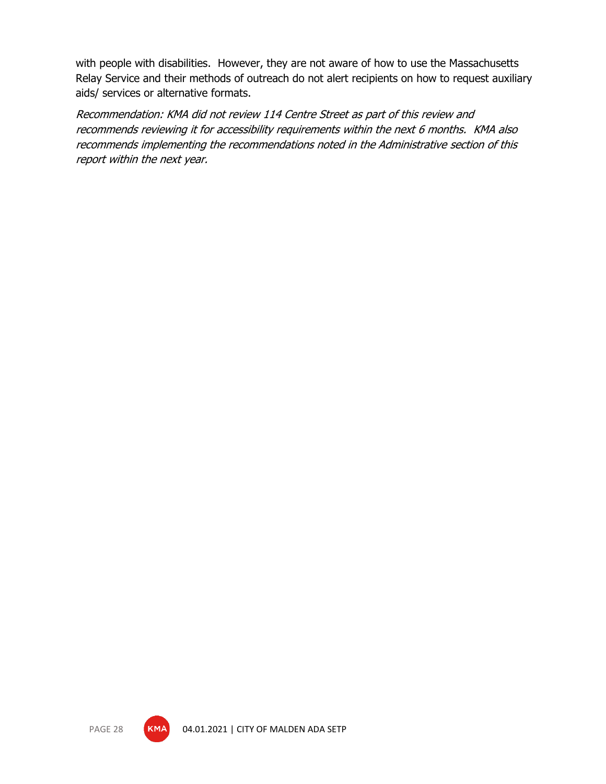with people with disabilities. However, they are not aware of how to use the Massachusetts Relay Service and their methods of outreach do not alert recipients on how to request auxiliary aids/ services or alternative formats.

Recommendation: KMA did not review 114 Centre Street as part of this review and recommends reviewing it for accessibility requirements within the next 6 months. KMA also recommends implementing the recommendations noted in the Administrative section of this report within the next year.

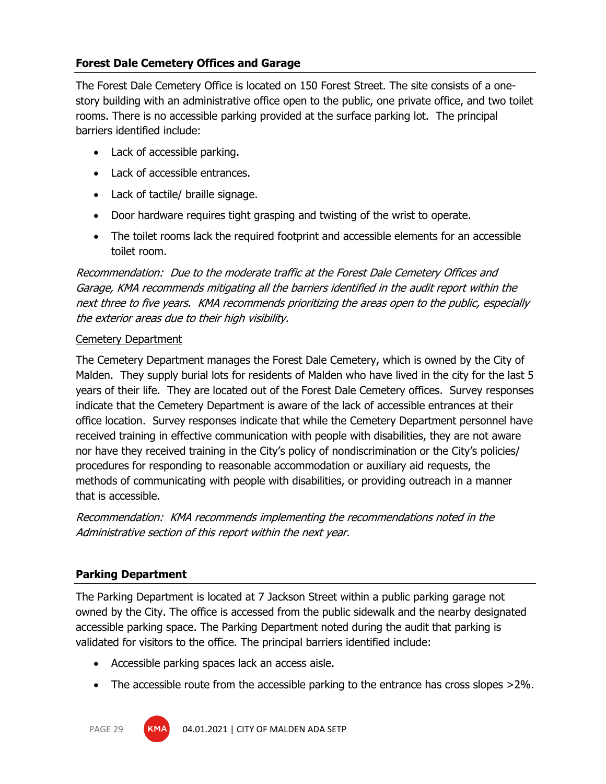## **Forest Dale Cemetery Offices and Garage**

The Forest Dale Cemetery Office is located on 150 Forest Street. The site consists of a onestory building with an administrative office open to the public, one private office, and two toilet rooms. There is no accessible parking provided at the surface parking lot. The principal barriers identified include:

- Lack of accessible parking.
- Lack of accessible entrances.
- Lack of tactile/ braille signage.
- Door hardware requires tight grasping and twisting of the wrist to operate.
- The toilet rooms lack the required footprint and accessible elements for an accessible toilet room.

Recommendation: Due to the moderate traffic at the Forest Dale Cemetery Offices and Garage, KMA recommends mitigating all the barriers identified in the audit report within the next three to five years. KMA recommends prioritizing the areas open to the public, especially the exterior areas due to their high visibility.

#### Cemetery Department

The Cemetery Department manages the Forest Dale Cemetery, which is owned by the City of Malden. They supply burial lots for residents of Malden who have lived in the city for the last 5 years of their life. They are located out of the Forest Dale Cemetery offices. Survey responses indicate that the Cemetery Department is aware of the lack of accessible entrances at their office location. Survey responses indicate that while the Cemetery Department personnel have received training in effective communication with people with disabilities, they are not aware nor have they received training in the City's policy of nondiscrimination or the City's policies/ procedures for responding to reasonable accommodation or auxiliary aid requests, the methods of communicating with people with disabilities, or providing outreach in a manner that is accessible.

Recommendation: KMA recommends implementing the recommendations noted in the Administrative section of this report within the next year.

# **Parking Department**

The Parking Department is located at 7 Jackson Street within a public parking garage not owned by the City. The office is accessed from the public sidewalk and the nearby designated accessible parking space. The Parking Department noted during the audit that parking is validated for visitors to the office. The principal barriers identified include:

- Accessible parking spaces lack an access aisle.
- The accessible route from the accessible parking to the entrance has cross slopes >2%.



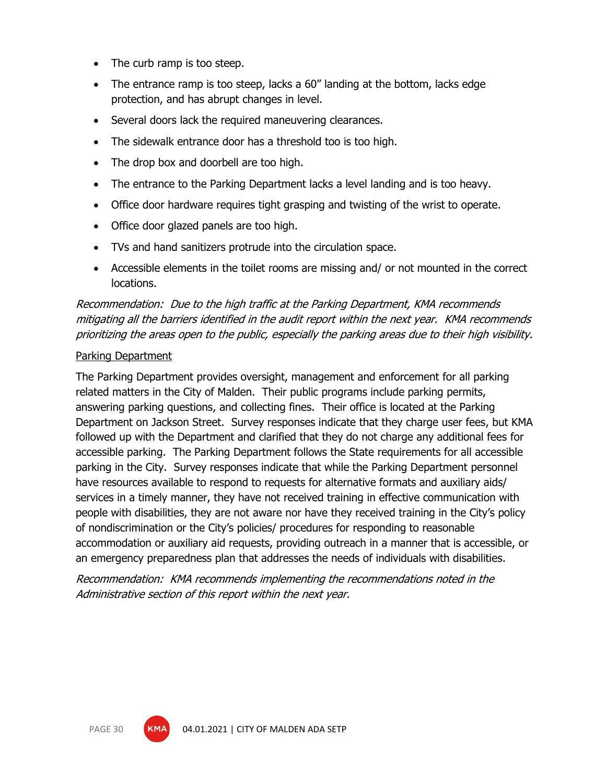- The curb ramp is too steep.
- The entrance ramp is too steep, lacks a 60" landing at the bottom, lacks edge protection, and has abrupt changes in level.
- Several doors lack the required maneuvering clearances.
- The sidewalk entrance door has a threshold too is too high.
- The drop box and doorbell are too high.
- The entrance to the Parking Department lacks a level landing and is too heavy.
- Office door hardware requires tight grasping and twisting of the wrist to operate.
- Office door glazed panels are too high.
- TVs and hand sanitizers protrude into the circulation space.
- Accessible elements in the toilet rooms are missing and/ or not mounted in the correct locations.

Recommendation: Due to the high traffic at the Parking Department, KMA recommends mitigating all the barriers identified in the audit report within the next year. KMA recommends prioritizing the areas open to the public, especially the parking areas due to their high visibility.

#### Parking Department

The Parking Department provides oversight, management and enforcement for all parking related matters in the City of Malden. Their public programs include parking permits, answering parking questions, and collecting fines. Their office is located at the Parking Department on Jackson Street. Survey responses indicate that they charge user fees, but KMA followed up with the Department and clarified that they do not charge any additional fees for accessible parking. The Parking Department follows the State requirements for all accessible parking in the City. Survey responses indicate that while the Parking Department personnel have resources available to respond to requests for alternative formats and auxiliary aids/ services in a timely manner, they have not received training in effective communication with people with disabilities, they are not aware nor have they received training in the City's policy of nondiscrimination or the City's policies/ procedures for responding to reasonable accommodation or auxiliary aid requests, providing outreach in a manner that is accessible, or an emergency preparedness plan that addresses the needs of individuals with disabilities.

Recommendation: KMA recommends implementing the recommendations noted in the Administrative section of this report within the next year.

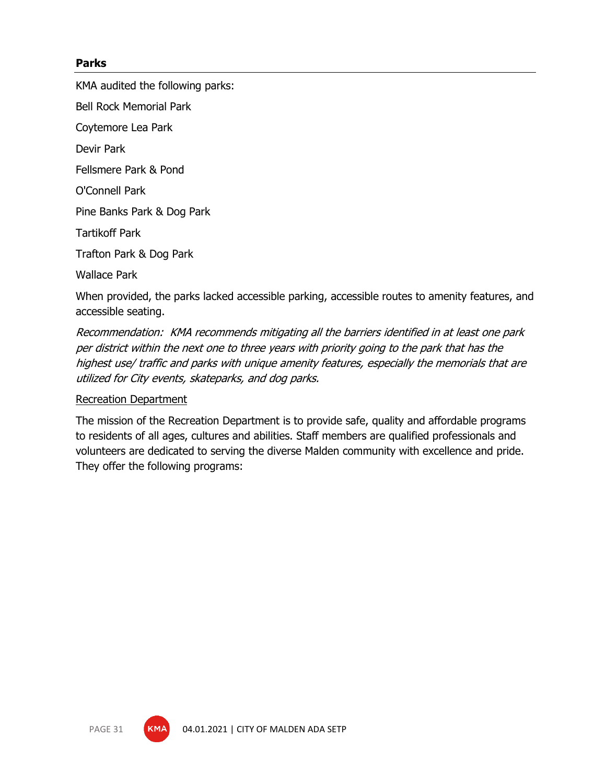#### **Parks**

KMA audited the following parks:

Bell Rock Memorial Park

Coytemore Lea Park

Devir Park

Fellsmere Park & Pond

O'Connell Park

Pine Banks Park & Dog Park

Tartikoff Park

Trafton Park & Dog Park

Wallace Park

When provided, the parks lacked accessible parking, accessible routes to amenity features, and accessible seating.

Recommendation: KMA recommends mitigating all the barriers identified in at least one park per district within the next one to three years with priority going to the park that has the highest use/ traffic and parks with unique amenity features, especially the memorials that are utilized for City events, skateparks, and dog parks.

#### Recreation Department

The mission of the Recreation Department is to provide safe, quality and affordable programs to residents of all ages, cultures and abilities. Staff members are qualified professionals and volunteers are dedicated to serving the diverse Malden community with excellence and pride. They offer the following programs:

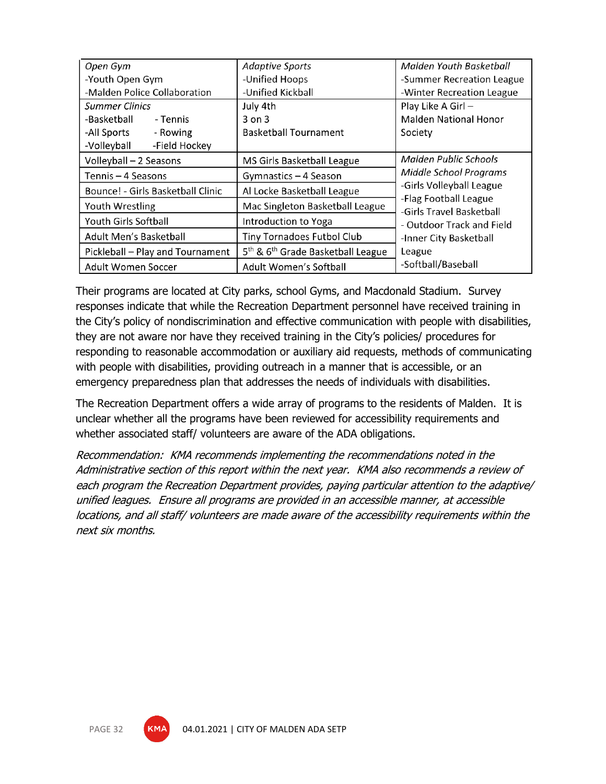| Open Gym                          | <b>Adaptive Sports</b>                                    | Malden Youth Basketball                           |  |
|-----------------------------------|-----------------------------------------------------------|---------------------------------------------------|--|
| -Youth Open Gym                   | -Unified Hoops                                            | -Summer Recreation League                         |  |
| -Malden Police Collaboration      | -Unified Kickball                                         | -Winter Recreation League                         |  |
| <b>Summer Clinics</b>             | July 4th                                                  | Play Like A Girl -                                |  |
| -Basketball<br>- Tennis           | $3$ on $3$                                                | <b>Malden National Honor</b>                      |  |
| - Rowing<br>-All Sports           | <b>Basketball Tournament</b>                              | Society                                           |  |
| -Volleyball<br>-Field Hockey      |                                                           |                                                   |  |
| Volleyball - 2 Seasons            | MS Girls Basketball League                                | Malden Public Schools                             |  |
| Tennis – 4 Seasons                | Gymnastics - 4 Season                                     | Middle School Programs                            |  |
| Bounce! - Girls Basketball Clinic | Al Locke Basketball League                                | -Girls Volleyball League                          |  |
| Youth Wrestling                   | Mac Singleton Basketball League                           | -Flag Football League<br>-Girls Travel Basketball |  |
| Youth Girls Softball              | Introduction to Yoga                                      | - Outdoor Track and Field                         |  |
| Adult Men's Basketball            | Tiny Tornadoes Futbol Club                                | -Inner City Basketball                            |  |
| Pickleball - Play and Tournament  | 5 <sup>th</sup> & 6 <sup>th</sup> Grade Basketball League | League                                            |  |
| Adult Women Soccer                | Adult Women's Softball                                    | -Softball/Baseball                                |  |

Their programs are located at City parks, school Gyms, and Macdonald Stadium. Survey responses indicate that while the Recreation Department personnel have received training in the City's policy of nondiscrimination and effective communication with people with disabilities, they are not aware nor have they received training in the City's policies/ procedures for responding to reasonable accommodation or auxiliary aid requests, methods of communicating with people with disabilities, providing outreach in a manner that is accessible, or an emergency preparedness plan that addresses the needs of individuals with disabilities.

The Recreation Department offers a wide array of programs to the residents of Malden. It is unclear whether all the programs have been reviewed for accessibility requirements and whether associated staff/ volunteers are aware of the ADA obligations.

Recommendation: KMA recommends implementing the recommendations noted in the Administrative section of this report within the next year. KMA also recommends a review of each program the Recreation Department provides, paying particular attention to the adaptive/ unified leagues. Ensure all programs are provided in an accessible manner, at accessible locations, and all staff/ volunteers are made aware of the accessibility requirements within the next six months.

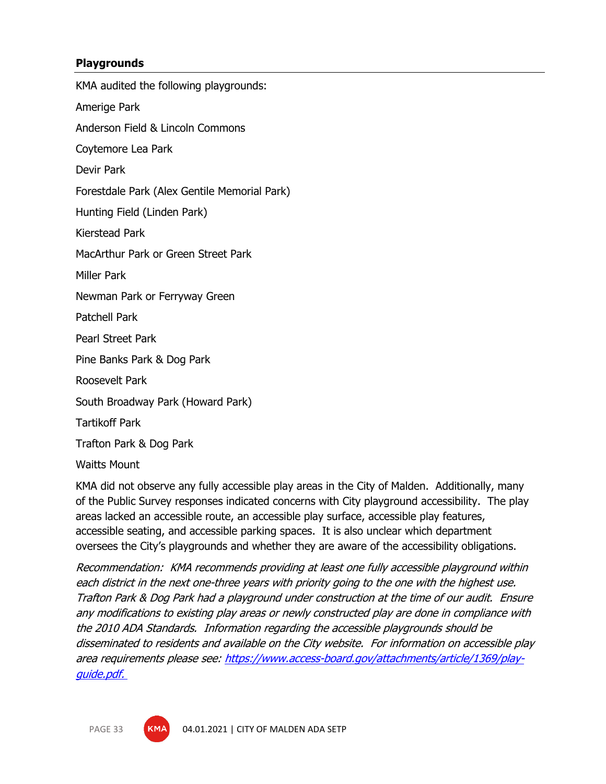#### **Playgrounds**

KMA audited the following playgrounds: Amerige Park Anderson Field & Lincoln Commons Coytemore Lea Park Devir Park Forestdale Park (Alex Gentile Memorial Park) Hunting Field (Linden Park) Kierstead Park MacArthur Park or Green Street Park Miller Park Newman Park or Ferryway Green Patchell Park Pearl Street Park Pine Banks Park & Dog Park Roosevelt Park South Broadway Park (Howard Park) Tartikoff Park Trafton Park & Dog Park Waitts Mount

KMA did not observe any fully accessible play areas in the City of Malden. Additionally, many of the Public Survey responses indicated concerns with City playground accessibility. The play areas lacked an accessible route, an accessible play surface, accessible play features, accessible seating, and accessible parking spaces. It is also unclear which department oversees the City's playgrounds and whether they are aware of the accessibility obligations.

Recommendation: KMA recommends providing at least one fully accessible playground within each district in the next one-three years with priority going to the one with the highest use. Trafton Park & Dog Park had a playground under construction at the time of our audit. Ensure any modifications to existing play areas or newly constructed play are done in compliance with the 2010 ADA Standards. Information regarding the accessible playgrounds should be disseminated to residents and available on the City website. For information on accessible play area requirements please see: [https://www.access-board.gov/attachments/article/1369/play](https://www.access-board.gov/attachments/article/1369/play-guide.pdf)[guide.pdf.](https://www.access-board.gov/attachments/article/1369/play-guide.pdf)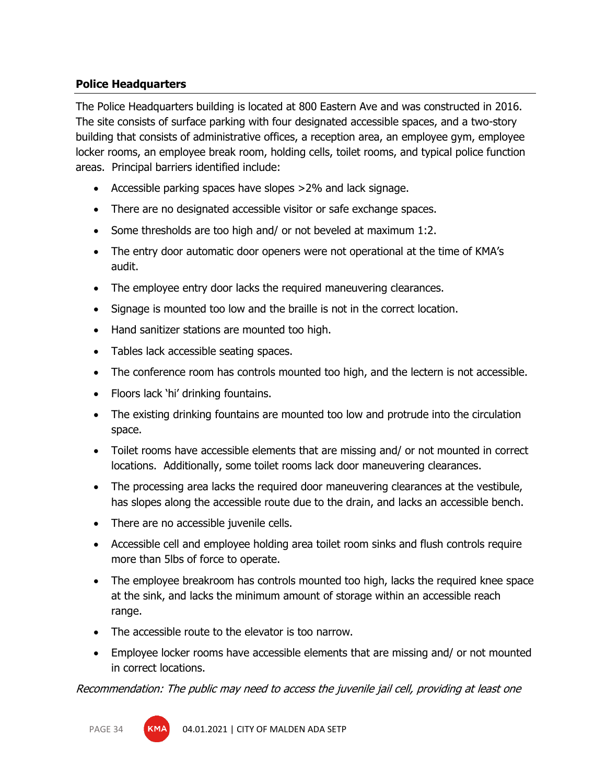## **Police Headquarters**

The Police Headquarters building is located at 800 Eastern Ave and was constructed in 2016. The site consists of surface parking with four designated accessible spaces, and a two-story building that consists of administrative offices, a reception area, an employee gym, employee locker rooms, an employee break room, holding cells, toilet rooms, and typical police function areas. Principal barriers identified include:

- Accessible parking spaces have slopes >2% and lack signage.
- There are no designated accessible visitor or safe exchange spaces.
- Some thresholds are too high and/ or not beveled at maximum 1:2.
- The entry door automatic door openers were not operational at the time of KMA's audit.
- The employee entry door lacks the required maneuvering clearances.
- Signage is mounted too low and the braille is not in the correct location.
- Hand sanitizer stations are mounted too high.
- Tables lack accessible seating spaces.
- The conference room has controls mounted too high, and the lectern is not accessible.
- Floors lack 'hi' drinking fountains.
- The existing drinking fountains are mounted too low and protrude into the circulation space.
- Toilet rooms have accessible elements that are missing and/ or not mounted in correct locations. Additionally, some toilet rooms lack door maneuvering clearances.
- The processing area lacks the required door maneuvering clearances at the vestibule, has slopes along the accessible route due to the drain, and lacks an accessible bench.
- There are no accessible juvenile cells.
- Accessible cell and employee holding area toilet room sinks and flush controls require more than 5lbs of force to operate.
- The employee breakroom has controls mounted too high, lacks the required knee space at the sink, and lacks the minimum amount of storage within an accessible reach range.
- The accessible route to the elevator is too narrow.
- Employee locker rooms have accessible elements that are missing and/ or not mounted in correct locations.

Recommendation: The public may need to access the juvenile jail cell, providing at least one

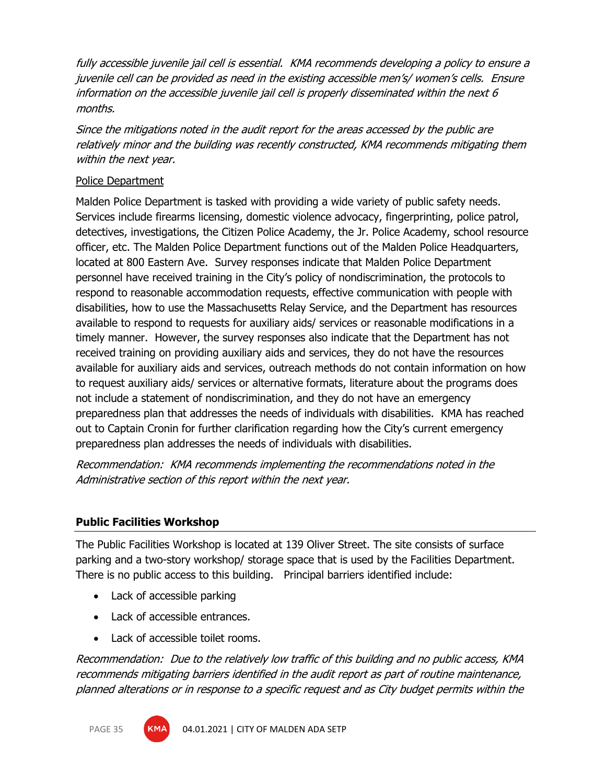fully accessible juvenile jail cell is essential. KMA recommends developing a policy to ensure a juvenile cell can be provided as need in the existing accessible men's/ women's cells. Ensure information on the accessible juvenile jail cell is properly disseminated within the next 6 months.

Since the mitigations noted in the audit report for the areas accessed by the public are relatively minor and the building was recently constructed, KMA recommends mitigating them within the next year.

#### Police Department

Malden Police Department is tasked with providing a wide variety of public safety needs. Services include firearms licensing, domestic violence advocacy, fingerprinting, police patrol, detectives, investigations, the Citizen Police Academy, the Jr. Police Academy, school resource officer, etc. The Malden Police Department functions out of the Malden Police Headquarters, located at 800 Eastern Ave. Survey responses indicate that Malden Police Department personnel have received training in the City's policy of nondiscrimination, the protocols to respond to reasonable accommodation requests, effective communication with people with disabilities, how to use the Massachusetts Relay Service, and the Department has resources available to respond to requests for auxiliary aids/ services or reasonable modifications in a timely manner. However, the survey responses also indicate that the Department has not received training on providing auxiliary aids and services, they do not have the resources available for auxiliary aids and services, outreach methods do not contain information on how to request auxiliary aids/ services or alternative formats, literature about the programs does not include a statement of nondiscrimination, and they do not have an emergency preparedness plan that addresses the needs of individuals with disabilities. KMA has reached out to Captain Cronin for further clarification regarding how the City's current emergency preparedness plan addresses the needs of individuals with disabilities.

Recommendation: KMA recommends implementing the recommendations noted in the Administrative section of this report within the next year.

#### **Public Facilities Workshop**

The Public Facilities Workshop is located at 139 Oliver Street. The site consists of surface parking and a two-story workshop/ storage space that is used by the Facilities Department. There is no public access to this building. Principal barriers identified include:

- Lack of accessible parking
- Lack of accessible entrances.
- Lack of accessible toilet rooms.

Recommendation: Due to the relatively low traffic of this building and no public access, KMA recommends mitigating barriers identified in the audit report as part of routine maintenance, planned alterations or in response to a specific request and as City budget permits within the



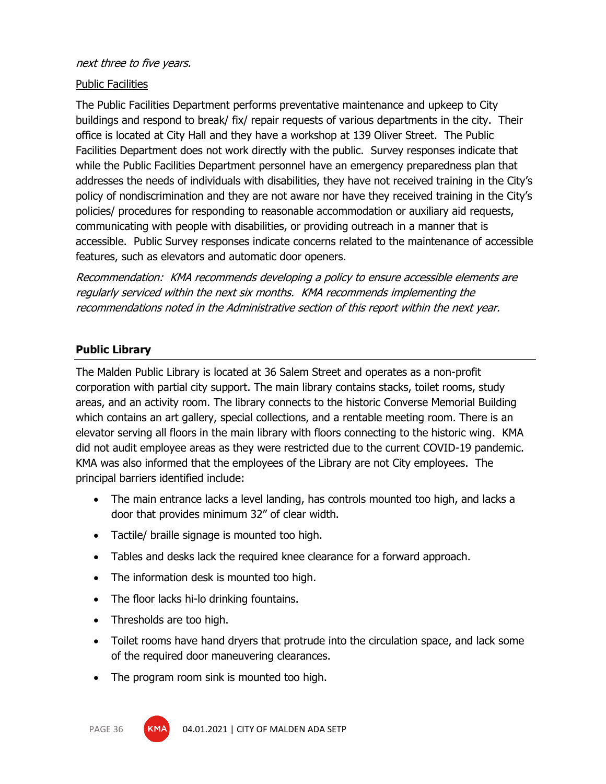#### next three to five years.

#### Public Facilities

The Public Facilities Department performs preventative maintenance and upkeep to City buildings and respond to break/ fix/ repair requests of various departments in the city. Their office is located at City Hall and they have a workshop at 139 Oliver Street. The Public Facilities Department does not work directly with the public. Survey responses indicate that while the Public Facilities Department personnel have an emergency preparedness plan that addresses the needs of individuals with disabilities, they have not received training in the City's policy of nondiscrimination and they are not aware nor have they received training in the City's policies/ procedures for responding to reasonable accommodation or auxiliary aid requests, communicating with people with disabilities, or providing outreach in a manner that is accessible. Public Survey responses indicate concerns related to the maintenance of accessible features, such as elevators and automatic door openers.

Recommendation: KMA recommends developing a policy to ensure accessible elements are regularly serviced within the next six months. KMA recommends implementing the recommendations noted in the Administrative section of this report within the next year.

#### **Public Library**

The Malden Public Library is located at 36 Salem Street and operates as a non-profit corporation with partial city support. The main library contains stacks, toilet rooms, study areas, and an activity room. The library connects to the historic Converse Memorial Building which contains an art gallery, special collections, and a rentable meeting room. There is an elevator serving all floors in the main library with floors connecting to the historic wing. KMA did not audit employee areas as they were restricted due to the current COVID-19 pandemic. KMA was also informed that the employees of the Library are not City employees. The principal barriers identified include:

- The main entrance lacks a level landing, has controls mounted too high, and lacks a door that provides minimum 32" of clear width.
- Tactile/ braille signage is mounted too high.
- Tables and desks lack the required knee clearance for a forward approach.
- The information desk is mounted too high.
- The floor lacks hi-lo drinking fountains.
- Thresholds are too high.
- Toilet rooms have hand dryers that protrude into the circulation space, and lack some of the required door maneuvering clearances.
- The program room sink is mounted too high.

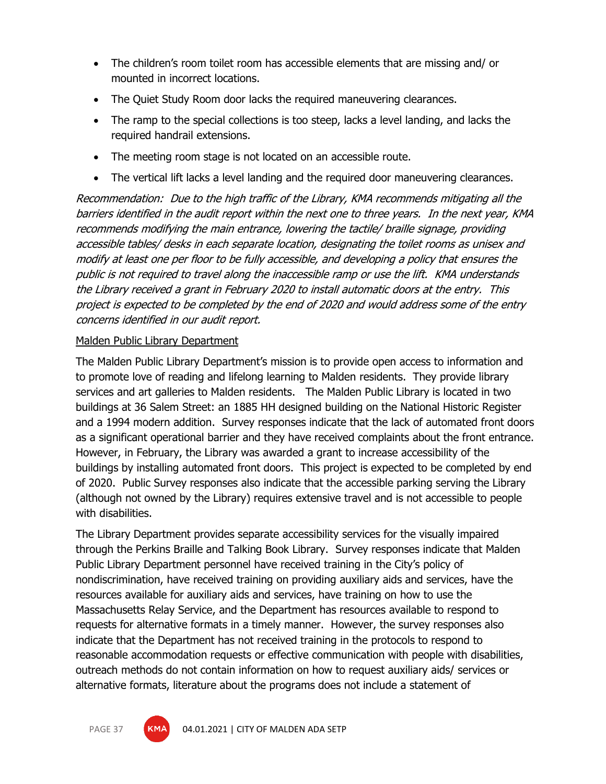- The children's room toilet room has accessible elements that are missing and/ or mounted in incorrect locations.
- The Quiet Study Room door lacks the required maneuvering clearances.
- The ramp to the special collections is too steep, lacks a level landing, and lacks the required handrail extensions.
- The meeting room stage is not located on an accessible route.
- The vertical lift lacks a level landing and the required door maneuvering clearances.

Recommendation: Due to the high traffic of the Library, KMA recommends mitigating all the barriers identified in the audit report within the next one to three years. In the next year, KMA recommends modifying the main entrance, lowering the tactile/ braille signage, providing accessible tables/ desks in each separate location, designating the toilet rooms as unisex and modify at least one per floor to be fully accessible, and developing a policy that ensures the public is not required to travel along the inaccessible ramp or use the lift. KMA understands the Library received a grant in February 2020 to install automatic doors at the entry. This project is expected to be completed by the end of 2020 and would address some of the entry concerns identified in our audit report.

## Malden Public Library Department

The Malden Public Library Department's mission is to provide open access to information and to promote love of reading and lifelong learning to Malden residents. They provide library services and art galleries to Malden residents. The Malden Public Library is located in two buildings at 36 Salem Street: an 1885 HH designed building on the National Historic Register and a 1994 modern addition. Survey responses indicate that the lack of automated front doors as a significant operational barrier and they have received complaints about the front entrance. However, in February, the Library was awarded a grant to increase accessibility of the buildings by installing automated front doors. This project is expected to be completed by end of 2020. Public Survey responses also indicate that the accessible parking serving the Library (although not owned by the Library) requires extensive travel and is not accessible to people with disabilities.

The Library Department provides separate accessibility services for the visually impaired through the Perkins Braille and Talking Book Library. Survey responses indicate that Malden Public Library Department personnel have received training in the City's policy of nondiscrimination, have received training on providing auxiliary aids and services, have the resources available for auxiliary aids and services, have training on how to use the Massachusetts Relay Service, and the Department has resources available to respond to requests for alternative formats in a timely manner. However, the survey responses also indicate that the Department has not received training in the protocols to respond to reasonable accommodation requests or effective communication with people with disabilities, outreach methods do not contain information on how to request auxiliary aids/ services or alternative formats, literature about the programs does not include a statement of

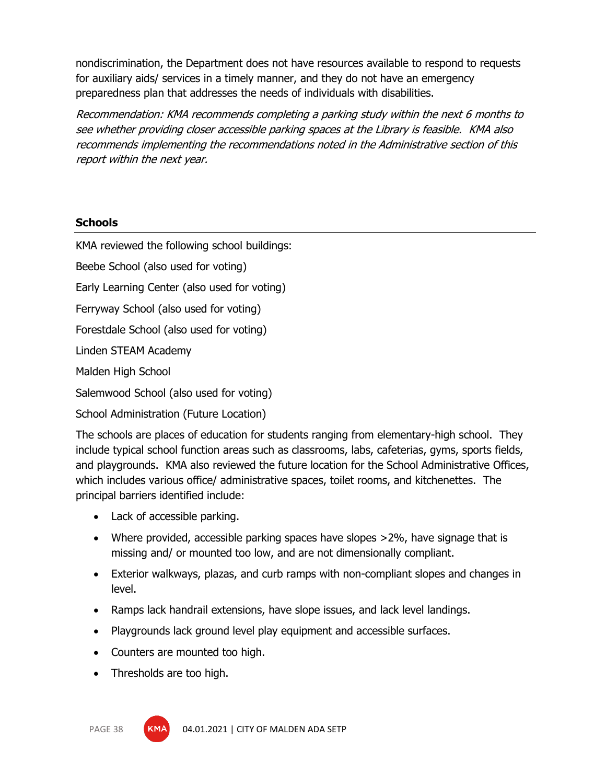nondiscrimination, the Department does not have resources available to respond to requests for auxiliary aids/ services in a timely manner, and they do not have an emergency preparedness plan that addresses the needs of individuals with disabilities.

Recommendation: KMA recommends completing a parking study within the next 6 months to see whether providing closer accessible parking spaces at the Library is feasible. KMA also recommends implementing the recommendations noted in the Administrative section of this report within the next year.

## **Schools**

KMA reviewed the following school buildings:

Beebe School (also used for voting)

Early Learning Center (also used for voting)

Ferryway School (also used for voting)

Forestdale School (also used for voting)

Linden STEAM Academy

Malden High School

Salemwood School (also used for voting)

School Administration (Future Location)

The schools are places of education for students ranging from elementary-high school. They include typical school function areas such as classrooms, labs, cafeterias, gyms, sports fields, and playgrounds. KMA also reviewed the future location for the School Administrative Offices, which includes various office/ administrative spaces, toilet rooms, and kitchenettes. The principal barriers identified include:

- Lack of accessible parking.
- Where provided, accessible parking spaces have slopes >2%, have signage that is missing and/ or mounted too low, and are not dimensionally compliant.
- Exterior walkways, plazas, and curb ramps with non-compliant slopes and changes in level.
- Ramps lack handrail extensions, have slope issues, and lack level landings.
- Playgrounds lack ground level play equipment and accessible surfaces.
- Counters are mounted too high.
- Thresholds are too high.

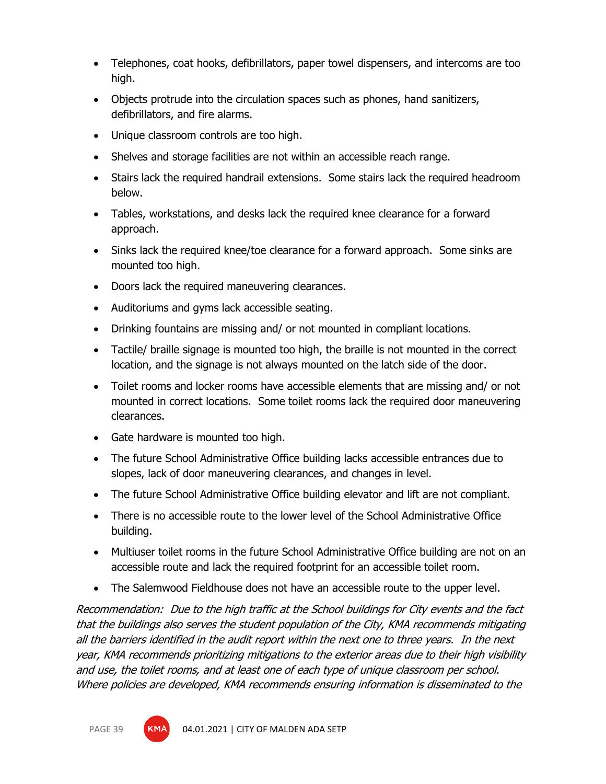- Telephones, coat hooks, defibrillators, paper towel dispensers, and intercoms are too high.
- Objects protrude into the circulation spaces such as phones, hand sanitizers, defibrillators, and fire alarms.
- Unique classroom controls are too high.
- Shelves and storage facilities are not within an accessible reach range.
- Stairs lack the required handrail extensions. Some stairs lack the required headroom below.
- Tables, workstations, and desks lack the required knee clearance for a forward approach.
- Sinks lack the required knee/toe clearance for a forward approach. Some sinks are mounted too high.
- Doors lack the required maneuvering clearances.
- Auditoriums and gyms lack accessible seating.
- Drinking fountains are missing and/ or not mounted in compliant locations.
- Tactile/ braille signage is mounted too high, the braille is not mounted in the correct location, and the signage is not always mounted on the latch side of the door.
- Toilet rooms and locker rooms have accessible elements that are missing and/ or not mounted in correct locations. Some toilet rooms lack the required door maneuvering clearances.
- Gate hardware is mounted too high.
- The future School Administrative Office building lacks accessible entrances due to slopes, lack of door maneuvering clearances, and changes in level.
- The future School Administrative Office building elevator and lift are not compliant.
- There is no accessible route to the lower level of the School Administrative Office building.
- Multiuser toilet rooms in the future School Administrative Office building are not on an accessible route and lack the required footprint for an accessible toilet room.
- The Salemwood Fieldhouse does not have an accessible route to the upper level.

Recommendation: Due to the high traffic at the School buildings for City events and the fact that the buildings also serves the student population of the City, KMA recommends mitigating all the barriers identified in the audit report within the next one to three years. In the next year, KMA recommends prioritizing mitigations to the exterior areas due to their high visibility and use, the toilet rooms, and at least one of each type of unique classroom per school. Where policies are developed, KMA recommends ensuring information is disseminated to the

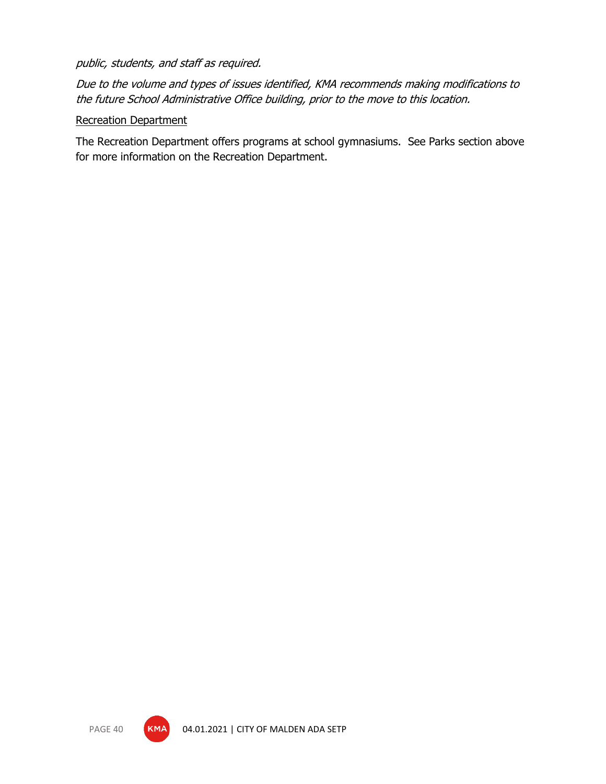## public, students, and staff as required.

Due to the volume and types of issues identified, KMA recommends making modifications to the future School Administrative Office building, prior to the move to this location.

## Recreation Department

The Recreation Department offers programs at school gymnasiums. See Parks section above for more information on the Recreation Department.

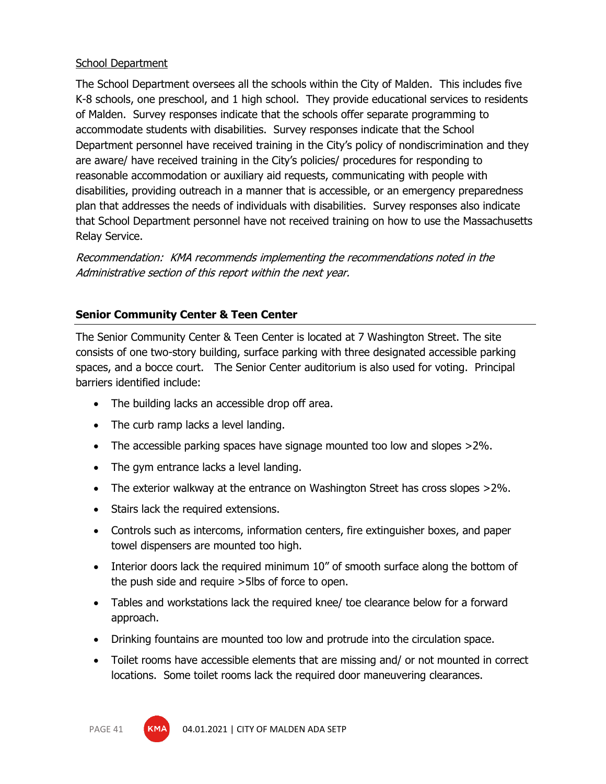## School Department

The School Department oversees all the schools within the City of Malden. This includes five K-8 schools, one preschool, and 1 high school. They provide educational services to residents of Malden. Survey responses indicate that the schools offer separate programming to accommodate students with disabilities. Survey responses indicate that the School Department personnel have received training in the City's policy of nondiscrimination and they are aware/ have received training in the City's policies/ procedures for responding to reasonable accommodation or auxiliary aid requests, communicating with people with disabilities, providing outreach in a manner that is accessible, or an emergency preparedness plan that addresses the needs of individuals with disabilities. Survey responses also indicate that School Department personnel have not received training on how to use the Massachusetts Relay Service.

Recommendation: KMA recommends implementing the recommendations noted in the Administrative section of this report within the next year.

## **Senior Community Center & Teen Center**

The Senior Community Center & Teen Center is located at 7 Washington Street. The site consists of one two-story building, surface parking with three designated accessible parking spaces, and a bocce court. The Senior Center auditorium is also used for voting. Principal barriers identified include:

- The building lacks an accessible drop off area.
- The curb ramp lacks a level landing.
- The accessible parking spaces have signage mounted too low and slopes >2%.
- The gym entrance lacks a level landing.
- The exterior walkway at the entrance on Washington Street has cross slopes >2%.
- Stairs lack the required extensions.
- Controls such as intercoms, information centers, fire extinguisher boxes, and paper towel dispensers are mounted too high.
- Interior doors lack the required minimum 10" of smooth surface along the bottom of the push side and require >5lbs of force to open.
- Tables and workstations lack the required knee/ toe clearance below for a forward approach.
- Drinking fountains are mounted too low and protrude into the circulation space.
- Toilet rooms have accessible elements that are missing and/ or not mounted in correct locations. Some toilet rooms lack the required door maneuvering clearances.



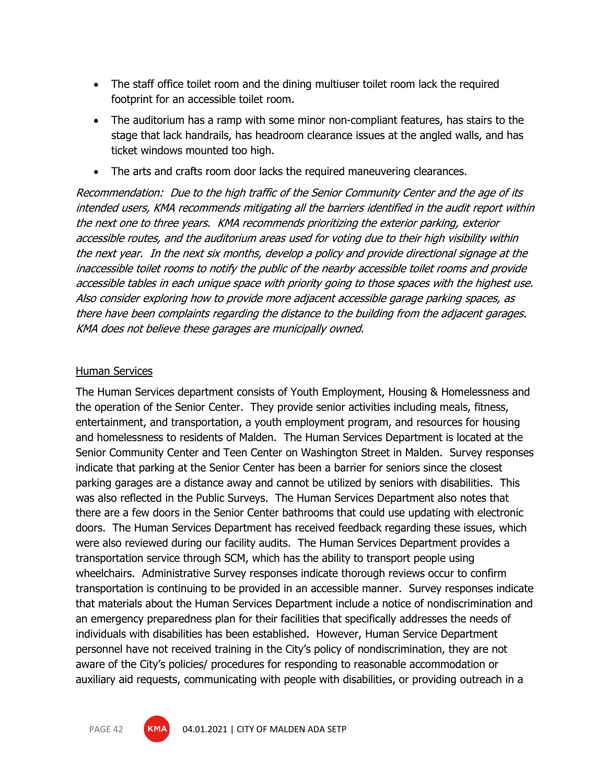- The staff office toilet room and the dining multiuser toilet room lack the required footprint for an accessible toilet room.
- The auditorium has a ramp with some minor non-compliant features, has stairs to the stage that lack handrails, has headroom clearance issues at the angled walls, and has ticket windows mounted too high.
- The arts and crafts room door lacks the required maneuvering clearances.

Recommendation: Due to the high traffic of the Senior Community Center and the age of its intended users, KMA recommends mitigating all the barriers identified in the audit report within the next one to three years. KMA recommends prioritizing the exterior parking, exterior accessible routes, and the auditorium areas used for voting due to their high visibility within the next year. In the next six months, develop a policy and provide directional signage at the inaccessible toilet rooms to notify the public of the nearby accessible toilet rooms and provide accessible tables in each unique space with priority going to those spaces with the highest use. Also consider exploring how to provide more adjacent accessible garage parking spaces, as there have been complaints regarding the distance to the building from the adjacent garages. KMA does not believe these garages are municipally owned.

## Human Services

The Human Services department consists of Youth Employment, Housing & Homelessness and the operation of the Senior Center. They provide senior activities including meals, fitness, entertainment, and transportation, a youth employment program, and resources for housing and homelessness to residents of Malden. The Human Services Department is located at the Senior Community Center and Teen Center on Washington Street in Malden. Survey responses indicate that parking at the Senior Center has been a barrier for seniors since the closest parking garages are a distance away and cannot be utilized by seniors with disabilities. This was also reflected in the Public Surveys. The Human Services Department also notes that there are a few doors in the Senior Center bathrooms that could use updating with electronic doors. The Human Services Department has received feedback regarding these issues, which were also reviewed during our facility audits. The Human Services Department provides a transportation service through SCM, which has the ability to transport people using wheelchairs. Administrative Survey responses indicate thorough reviews occur to confirm transportation is continuing to be provided in an accessible manner. Survey responses indicate that materials about the Human Services Department include a notice of nondiscrimination and an emergency preparedness plan for their facilities that specifically addresses the needs of individuals with disabilities has been established. However, Human Service Department personnel have not received training in the City's policy of nondiscrimination, they are not aware of the City's policies/ procedures for responding to reasonable accommodation or auxiliary aid requests, communicating with people with disabilities, or providing outreach in a

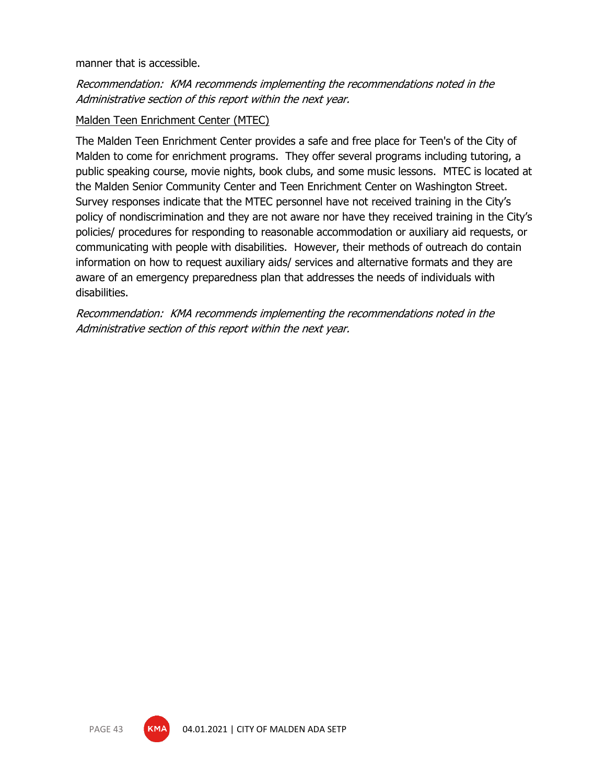### manner that is accessible.

## Recommendation: KMA recommends implementing the recommendations noted in the Administrative section of this report within the next year.

### Malden Teen Enrichment Center (MTEC)

The Malden Teen Enrichment Center provides a safe and free place for Teen's of the City of Malden to come for enrichment programs. They offer several programs including tutoring, a public speaking course, movie nights, book clubs, and some music lessons. MTEC is located at the Malden Senior Community Center and Teen Enrichment Center on Washington Street. Survey responses indicate that the MTEC personnel have not received training in the City's policy of nondiscrimination and they are not aware nor have they received training in the City's policies/ procedures for responding to reasonable accommodation or auxiliary aid requests, or communicating with people with disabilities. However, their methods of outreach do contain information on how to request auxiliary aids/ services and alternative formats and they are aware of an emergency preparedness plan that addresses the needs of individuals with disabilities.

Recommendation: KMA recommends implementing the recommendations noted in the Administrative section of this report within the next year.

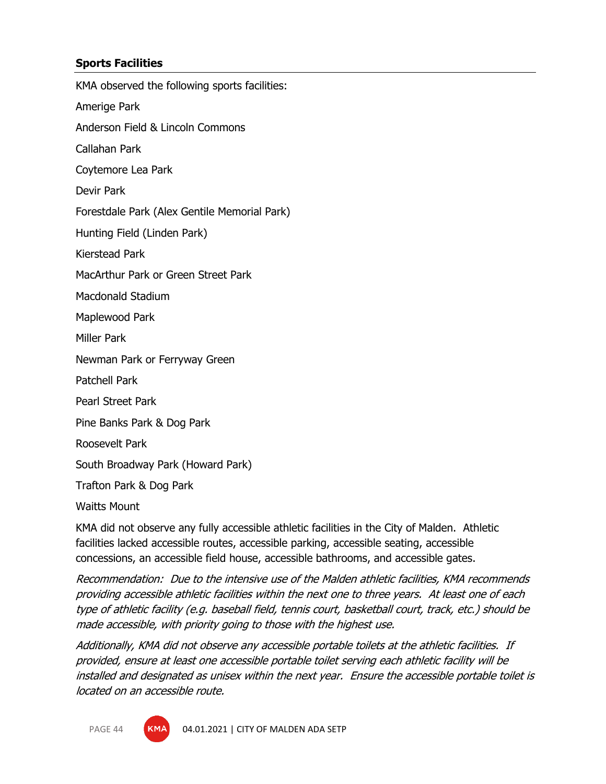## **Sports Facilities**

KMA observed the following sports facilities:

Amerige Park

Anderson Field & Lincoln Commons

Callahan Park

Coytemore Lea Park

Devir Park

Forestdale Park (Alex Gentile Memorial Park)

Hunting Field (Linden Park)

Kierstead Park

MacArthur Park or Green Street Park

Macdonald Stadium

Maplewood Park

Miller Park

Newman Park or Ferryway Green

Patchell Park

Pearl Street Park

Pine Banks Park & Dog Park

Roosevelt Park

South Broadway Park (Howard Park)

Trafton Park & Dog Park

Waitts Mount

KMA did not observe any fully accessible athletic facilities in the City of Malden. Athletic facilities lacked accessible routes, accessible parking, accessible seating, accessible concessions, an accessible field house, accessible bathrooms, and accessible gates.

Recommendation: Due to the intensive use of the Malden athletic facilities, KMA recommends providing accessible athletic facilities within the next one to three years. At least one of each type of athletic facility (e.g. baseball field, tennis court, basketball court, track, etc.) should be made accessible, with priority going to those with the highest use.

Additionally, KMA did not observe any accessible portable toilets at the athletic facilities. If provided, ensure at least one accessible portable toilet serving each athletic facility will be installed and designated as unisex within the next year. Ensure the accessible portable toilet is located on an accessible route.

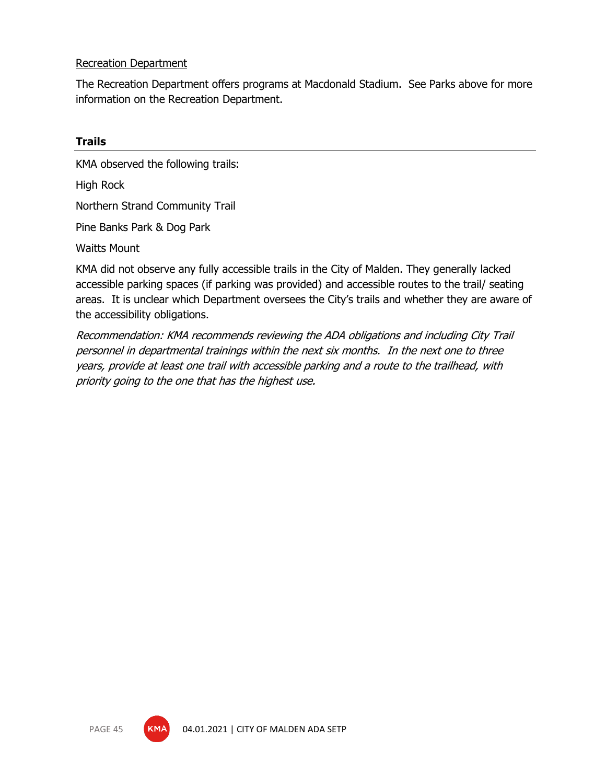## Recreation Department

The Recreation Department offers programs at Macdonald Stadium. See Parks above for more information on the Recreation Department.

## **Trails**

KMA observed the following trails:

High Rock

Northern Strand Community Trail

Pine Banks Park & Dog Park

Waitts Mount

KMA did not observe any fully accessible trails in the City of Malden. They generally lacked accessible parking spaces (if parking was provided) and accessible routes to the trail/ seating areas. It is unclear which Department oversees the City's trails and whether they are aware of the accessibility obligations.

Recommendation: KMA recommends reviewing the ADA obligations and including City Trail personnel in departmental trainings within the next six months. In the next one to three years, provide at least one trail with accessible parking and a route to the trailhead, with priority going to the one that has the highest use.

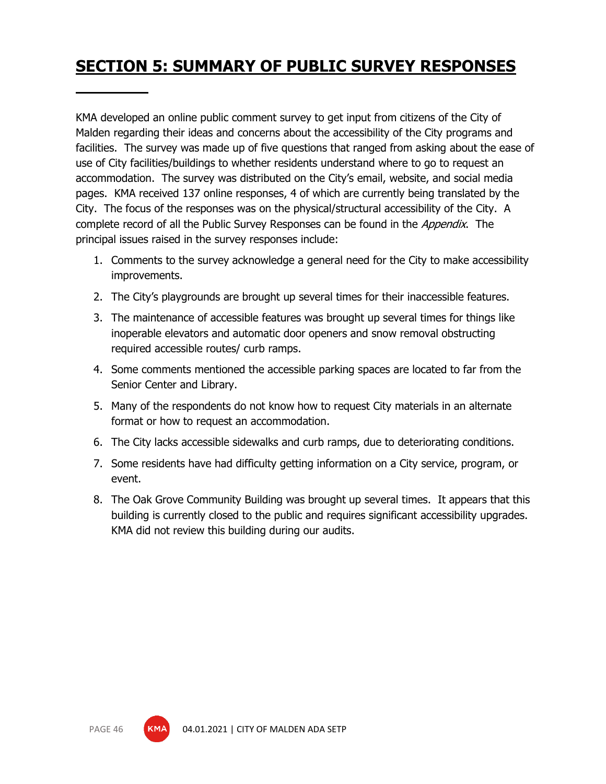# **SECTION 5: SUMMARY OF PUBLIC SURVEY RESPONSES**

KMA developed an online public comment survey to get input from citizens of the City of Malden regarding their ideas and concerns about the accessibility of the City programs and facilities. The survey was made up of five questions that ranged from asking about the ease of use of City facilities/buildings to whether residents understand where to go to request an accommodation. The survey was distributed on the City's email, website, and social media pages. KMA received 137 online responses, 4 of which are currently being translated by the City. The focus of the responses was on the physical/structural accessibility of the City. A complete record of all the Public Survey Responses can be found in the *Appendix*. The principal issues raised in the survey responses include:

- 1. Comments to the survey acknowledge a general need for the City to make accessibility improvements.
- 2. The City's playgrounds are brought up several times for their inaccessible features.
- 3. The maintenance of accessible features was brought up several times for things like inoperable elevators and automatic door openers and snow removal obstructing required accessible routes/ curb ramps.
- 4. Some comments mentioned the accessible parking spaces are located to far from the Senior Center and Library.
- 5. Many of the respondents do not know how to request City materials in an alternate format or how to request an accommodation.
- 6. The City lacks accessible sidewalks and curb ramps, due to deteriorating conditions.
- 7. Some residents have had difficulty getting information on a City service, program, or event.
- 8. The Oak Grove Community Building was brought up several times. It appears that this building is currently closed to the public and requires significant accessibility upgrades. KMA did not review this building during our audits.

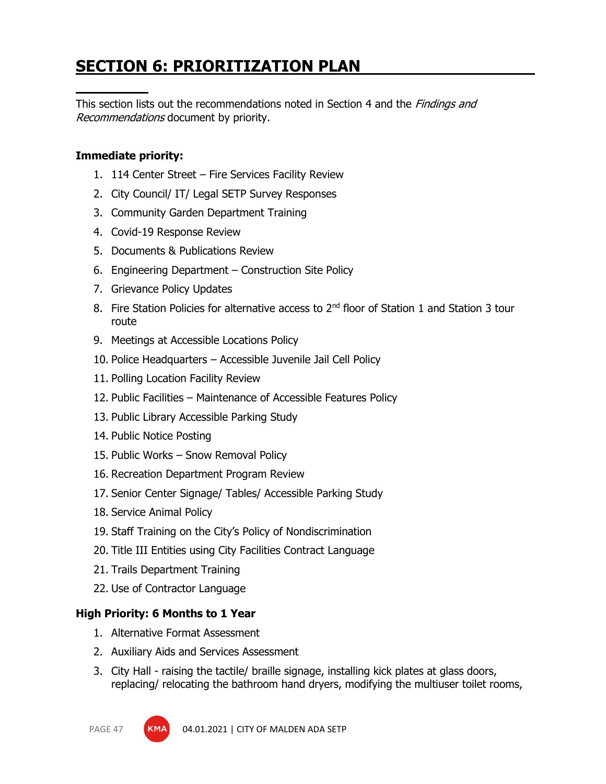# **SECTION 6: PRIORITIZATION PLAN**

This section lists out the recommendations noted in Section 4 and the *Findings and* Recommendations document by priority.

## **Immediate priority:**

- 1. 114 Center Street Fire Services Facility Review
- 2. City Council/ IT/ Legal SETP Survey Responses
- 3. Community Garden Department Training
- 4. Covid-19 Response Review
- 5. Documents & Publications Review
- 6. Engineering Department Construction Site Policy
- 7. Grievance Policy Updates
- 8. Fire Station Policies for alternative access to 2<sup>nd</sup> floor of Station 1 and Station 3 tour route
- 9. Meetings at Accessible Locations Policy
- 10. Police Headquarters Accessible Juvenile Jail Cell Policy
- 11. Polling Location Facility Review
- 12. Public Facilities Maintenance of Accessible Features Policy
- 13. Public Library Accessible Parking Study
- 14. Public Notice Posting
- 15. Public Works Snow Removal Policy
- 16. Recreation Department Program Review
- 17. Senior Center Signage/ Tables/ Accessible Parking Study
- 18. Service Animal Policy
- 19. Staff Training on the City's Policy of Nondiscrimination
- 20. Title III Entities using City Facilities Contract Language
- 21. Trails Department Training
- 22. Use of Contractor Language

## **High Priority: 6 Months to 1 Year**

- 1. Alternative Format Assessment
- 2. Auxiliary Aids and Services Assessment
- 3. City Hall raising the tactile/ braille signage, installing kick plates at glass doors, replacing/ relocating the bathroom hand dryers, modifying the multiuser toilet rooms,

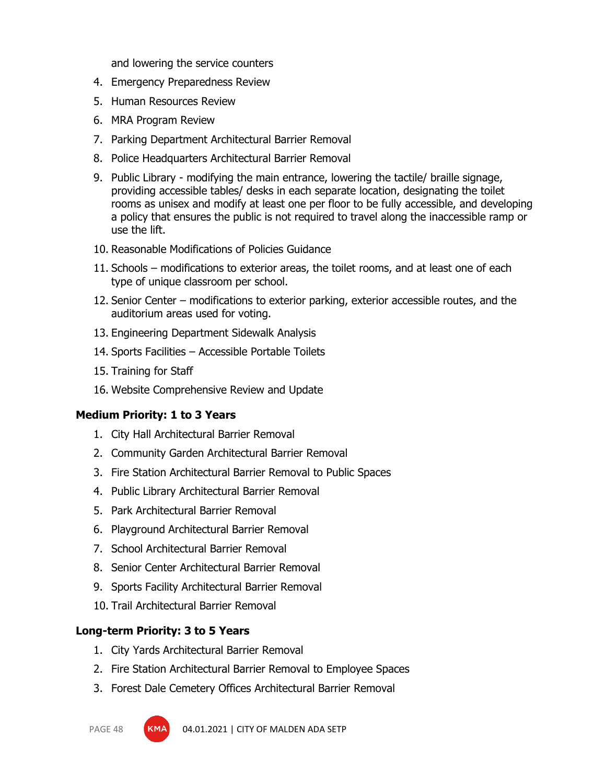and lowering the service counters

- 4. Emergency Preparedness Review
- 5. Human Resources Review
- 6. MRA Program Review
- 7. Parking Department Architectural Barrier Removal
- 8. Police Headquarters Architectural Barrier Removal
- 9. Public Library modifying the main entrance, lowering the tactile/ braille signage, providing accessible tables/ desks in each separate location, designating the toilet rooms as unisex and modify at least one per floor to be fully accessible, and developing a policy that ensures the public is not required to travel along the inaccessible ramp or use the lift.
- 10. Reasonable Modifications of Policies Guidance
- 11. Schools modifications to exterior areas, the toilet rooms, and at least one of each type of unique classroom per school.
- 12. Senior Center modifications to exterior parking, exterior accessible routes, and the auditorium areas used for voting.
- 13. Engineering Department Sidewalk Analysis
- 14. Sports Facilities Accessible Portable Toilets
- 15. Training for Staff
- 16. Website Comprehensive Review and Update

### **Medium Priority: 1 to 3 Years**

- 1. City Hall Architectural Barrier Removal
- 2. Community Garden Architectural Barrier Removal
- 3. Fire Station Architectural Barrier Removal to Public Spaces
- 4. Public Library Architectural Barrier Removal
- 5. Park Architectural Barrier Removal
- 6. Playground Architectural Barrier Removal
- 7. School Architectural Barrier Removal
- 8. Senior Center Architectural Barrier Removal
- 9. Sports Facility Architectural Barrier Removal
- 10. Trail Architectural Barrier Removal

### **Long-term Priority: 3 to 5 Years**

- 1. City Yards Architectural Barrier Removal
- 2. Fire Station Architectural Barrier Removal to Employee Spaces
- 3. Forest Dale Cemetery Offices Architectural Barrier Removal

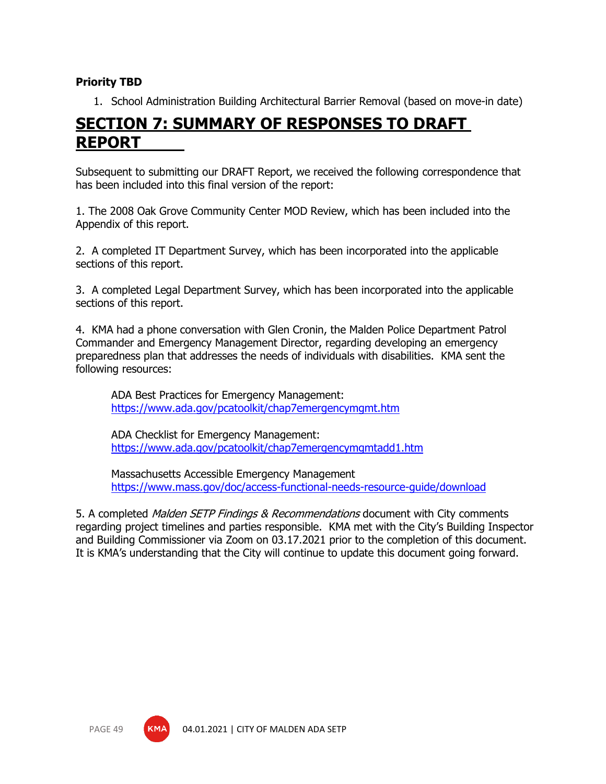## **Priority TBD**

1. School Administration Building Architectural Barrier Removal (based on move-in date)

## **SECTION 7: SUMMARY OF RESPONSES TO DRAFT REPORT**

Subsequent to submitting our DRAFT Report, we received the following correspondence that has been included into this final version of the report:

1. The 2008 Oak Grove Community Center MOD Review, which has been included into the Appendix of this report.

2. A completed IT Department Survey, which has been incorporated into the applicable sections of this report.

3. A completed Legal Department Survey, which has been incorporated into the applicable sections of this report.

4. KMA had a phone conversation with Glen Cronin, the Malden Police Department Patrol Commander and Emergency Management Director, regarding developing an emergency preparedness plan that addresses the needs of individuals with disabilities. KMA sent the following resources:

ADA Best Practices for Emergency Management: <https://www.ada.gov/pcatoolkit/chap7emergencymgmt.htm>

ADA Checklist for Emergency Management: <https://www.ada.gov/pcatoolkit/chap7emergencymgmtadd1.htm>

Massachusetts Accessible Emergency Management <https://www.mass.gov/doc/access-functional-needs-resource-guide/download>

5. A completed *Malden SETP Findings & Recommendations* document with City comments regarding project timelines and parties responsible. KMA met with the City's Building Inspector and Building Commissioner via Zoom on 03.17.2021 prior to the completion of this document. It is KMA's understanding that the City will continue to update this document going forward.

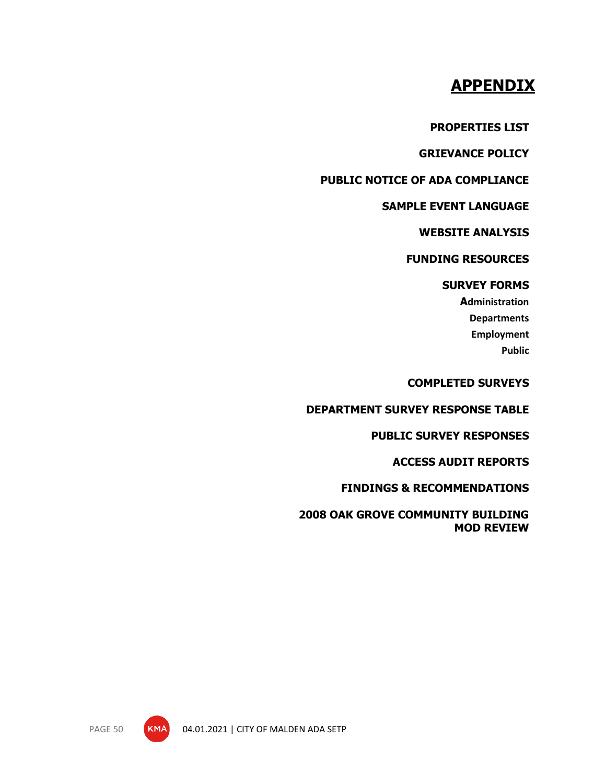## **APPENDIX**

**PROPERTIES LIST**

**GRIEVANCE POLICY**

**PUBLIC NOTICE OF ADA COMPLIANCE**

### **SAMPLE EVENT LANGUAGE**

**WEBSITE ANALYSIS**

## **FUNDING RESOURCES**

## **SURVEY FORMS**

**Administration Departments Employment Public**

**COMPLETED SURVEYS**

**DEPARTMENT SURVEY RESPONSE TABLE**

## **PUBLIC SURVEY RESPONSES**

**ACCESS AUDIT REPORTS**

**FINDINGS & RECOMMENDATIONS**

**2008 OAK GROVE COMMUNITY BUILDING MOD REVIEW**

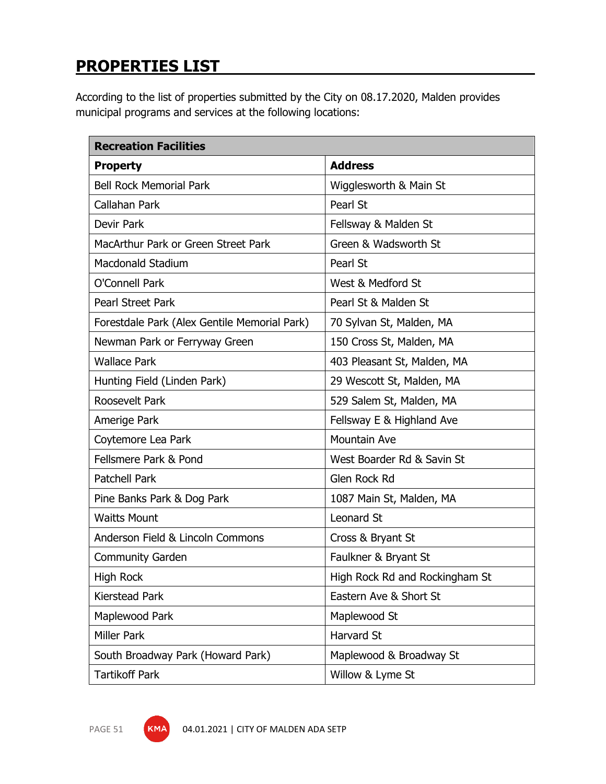# **PROPERTIES LIST**

According to the list of properties submitted by the City on 08.17.2020, Malden provides municipal programs and services at the following locations:

| <b>Recreation Facilities</b>                 |                                |  |  |  |  |
|----------------------------------------------|--------------------------------|--|--|--|--|
| <b>Property</b>                              | <b>Address</b>                 |  |  |  |  |
| <b>Bell Rock Memorial Park</b>               | Wigglesworth & Main St         |  |  |  |  |
| Callahan Park                                | Pearl St                       |  |  |  |  |
| <b>Devir Park</b>                            | Fellsway & Malden St           |  |  |  |  |
| MacArthur Park or Green Street Park          | Green & Wadsworth St           |  |  |  |  |
| <b>Macdonald Stadium</b>                     | Pearl St                       |  |  |  |  |
| O'Connell Park                               | West & Medford St              |  |  |  |  |
| <b>Pearl Street Park</b>                     | Pearl St & Malden St           |  |  |  |  |
| Forestdale Park (Alex Gentile Memorial Park) | 70 Sylvan St, Malden, MA       |  |  |  |  |
| Newman Park or Ferryway Green                | 150 Cross St, Malden, MA       |  |  |  |  |
| <b>Wallace Park</b>                          | 403 Pleasant St, Malden, MA    |  |  |  |  |
| Hunting Field (Linden Park)                  | 29 Wescott St, Malden, MA      |  |  |  |  |
| Roosevelt Park                               | 529 Salem St, Malden, MA       |  |  |  |  |
| Amerige Park                                 | Fellsway E & Highland Ave      |  |  |  |  |
| Coytemore Lea Park                           | <b>Mountain Ave</b>            |  |  |  |  |
| Fellsmere Park & Pond                        | West Boarder Rd & Savin St     |  |  |  |  |
| <b>Patchell Park</b>                         | Glen Rock Rd                   |  |  |  |  |
| Pine Banks Park & Dog Park                   | 1087 Main St, Malden, MA       |  |  |  |  |
| <b>Waitts Mount</b>                          | <b>Leonard St</b>              |  |  |  |  |
| Anderson Field & Lincoln Commons             | Cross & Bryant St              |  |  |  |  |
| <b>Community Garden</b>                      | Faulkner & Bryant St           |  |  |  |  |
| High Rock                                    | High Rock Rd and Rockingham St |  |  |  |  |
| Kierstead Park                               | Eastern Ave & Short St         |  |  |  |  |
| Maplewood Park                               | Maplewood St                   |  |  |  |  |
| <b>Miller Park</b>                           | Harvard St                     |  |  |  |  |
| South Broadway Park (Howard Park)            | Maplewood & Broadway St        |  |  |  |  |
| <b>Tartikoff Park</b>                        | Willow & Lyme St               |  |  |  |  |

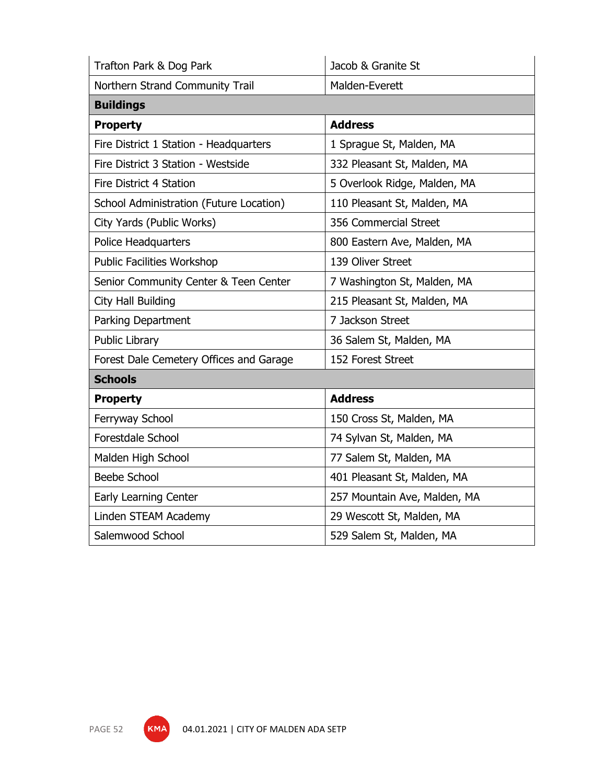| Trafton Park & Dog Park                 | Jacob & Granite St           |
|-----------------------------------------|------------------------------|
| Northern Strand Community Trail         | Malden-Everett               |
| <b>Buildings</b>                        |                              |
| <b>Property</b>                         | <b>Address</b>               |
| Fire District 1 Station - Headquarters  | 1 Sprague St, Malden, MA     |
| Fire District 3 Station - Westside      | 332 Pleasant St, Malden, MA  |
| Fire District 4 Station                 | 5 Overlook Ridge, Malden, MA |
| School Administration (Future Location) | 110 Pleasant St, Malden, MA  |
| City Yards (Public Works)               | 356 Commercial Street        |
| Police Headquarters                     | 800 Eastern Ave, Malden, MA  |
| <b>Public Facilities Workshop</b>       | 139 Oliver Street            |
| Senior Community Center & Teen Center   | 7 Washington St, Malden, MA  |
| <b>City Hall Building</b>               | 215 Pleasant St, Malden, MA  |
| Parking Department                      | 7 Jackson Street             |
| Public Library                          | 36 Salem St, Malden, MA      |
| Forest Dale Cemetery Offices and Garage | 152 Forest Street            |
| <b>Schools</b>                          |                              |
| <b>Property</b>                         | <b>Address</b>               |
| Ferryway School                         | 150 Cross St, Malden, MA     |
| Forestdale School                       | 74 Sylvan St, Malden, MA     |
| Malden High School                      | 77 Salem St, Malden, MA      |
| <b>Beebe School</b>                     | 401 Pleasant St, Malden, MA  |
| Early Learning Center                   | 257 Mountain Ave, Malden, MA |
| Linden STEAM Academy                    | 29 Wescott St, Malden, MA    |
| Salemwood School                        | 529 Salem St, Malden, MA     |

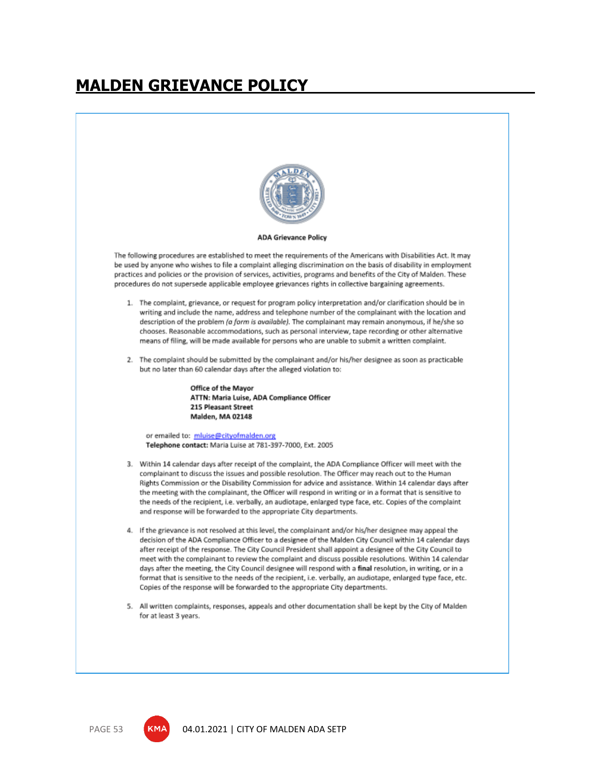# **MALDEN GRIEVANCE POLICY**



#### **ADA Grievance Policy**

The following procedures are established to meet the requirements of the Americans with Disabilities Act. It may be used by anyone who wishes to file a complaint alleging discrimination on the basis of disability in employment practices and policies or the provision of services, activities, programs and benefits of the City of Malden. These procedures do not supersede applicable employee grievances rights in collective bargaining agreements.

- 1. The complaint, grievance, or request for program policy interpretation and/or clarification should be in writing and include the name, address and telephone number of the complainant with the location and description of the problem (a form is available). The complainant may remain anonymous, if he/she so chooses. Reasonable accommodations, such as personal interview, tape recording or other alternative means of filing, will be made available for persons who are unable to submit a written complaint.
- 2. The complaint should be submitted by the complainant and/or his/her designee as soon as practicable but no later than 60 calendar days after the alleged violation to:

Office of the Mayor ATTN: Maria Luise, ADA Compliance Officer 215 Pleasant Street **Malden, MA 02148** 

or emailed to: mluise@cityofmalden.org Telephone contact: Maria Luise at 781-397-7000, Ext. 2005

- 3. Within 14 calendar days after receipt of the complaint, the ADA Compliance Officer will meet with the complainant to discuss the issues and possible resolution. The Officer may reach out to the Human Rights Commission or the Disability Commission for advice and assistance. Within 14 calendar days after the meeting with the complainant, the Officer will respond in writing or in a format that is sensitive to the needs of the recipient, i.e. verbally, an audiotape, enlarged type face, etc. Copies of the complaint and response will be forwarded to the appropriate City departments.
- 4. If the grievance is not resolved at this level, the complainant and/or his/her designee may appeal the decision of the ADA Compliance Officer to a designee of the Malden City Council within 14 calendar days after receipt of the response. The City Council President shall appoint a designee of the City Council to meet with the complainant to review the complaint and discuss possible resolutions. Within 14 calendar days after the meeting, the City Council designee will respond with a final resolution, in writing, or in a format that is sensitive to the needs of the recipient, i.e. verbally, an audiotape, enlarged type face, etc. Copies of the response will be forwarded to the appropriate City departments.
- 5. All written complaints, responses, appeals and other documentation shall be kept by the City of Malden for at least 3 years.

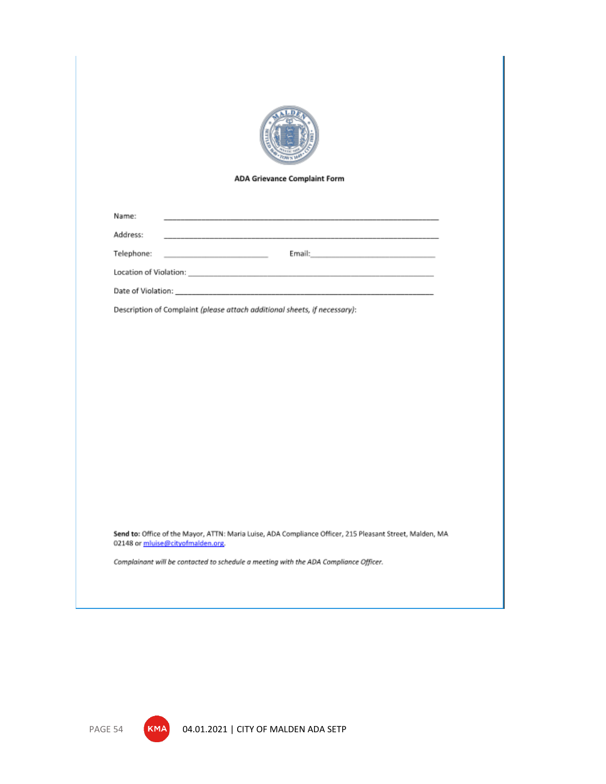

#### **ADA Grievance Complaint Form**

Email:

Name:

Address:

Telephone:

Location of Violation:

Date of Violation:

Description of Complaint (please attach additional sheets, if necessary):

Send to: Office of the Mayor, ATTN: Maria Luise, ADA Compliance Officer, 215 Pleasant Street, Malden, MA 02148 or mluise@cityofmalden.org.

Complainant will be contacted to schedule a meeting with the ADA Compliance Officer.



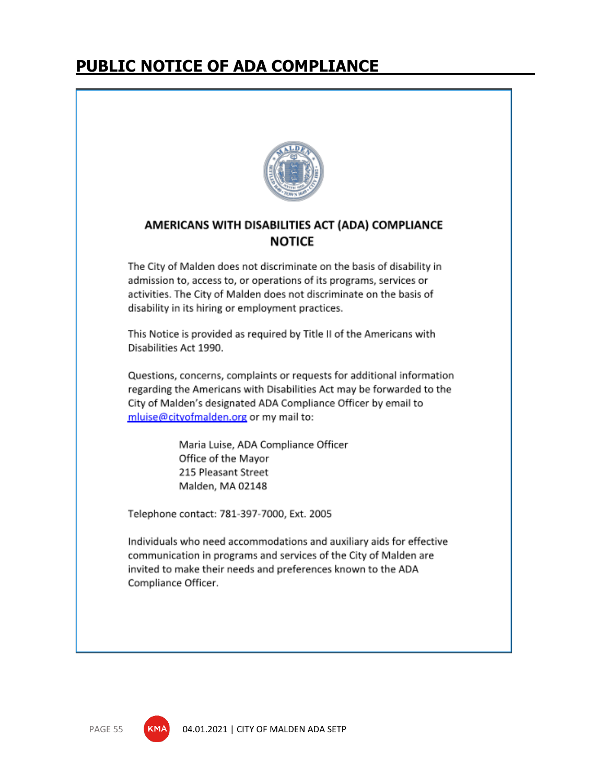# **PUBLIC NOTICE OF ADA COMPLIANCE**



## AMERICANS WITH DISABILITIES ACT (ADA) COMPLIANCE **NOTICE**

The City of Malden does not discriminate on the basis of disability in admission to, access to, or operations of its programs, services or activities. The City of Malden does not discriminate on the basis of disability in its hiring or employment practices.

This Notice is provided as required by Title II of the Americans with Disabilities Act 1990.

Questions, concerns, complaints or requests for additional information regarding the Americans with Disabilities Act may be forwarded to the City of Malden's designated ADA Compliance Officer by email to mluise@cityofmalden.org or my mail to:

> Maria Luise, ADA Compliance Officer Office of the Mayor 215 Pleasant Street Malden, MA 02148

Telephone contact: 781-397-7000, Ext. 2005

Individuals who need accommodations and auxiliary aids for effective communication in programs and services of the City of Malden are invited to make their needs and preferences known to the ADA Compliance Officer.



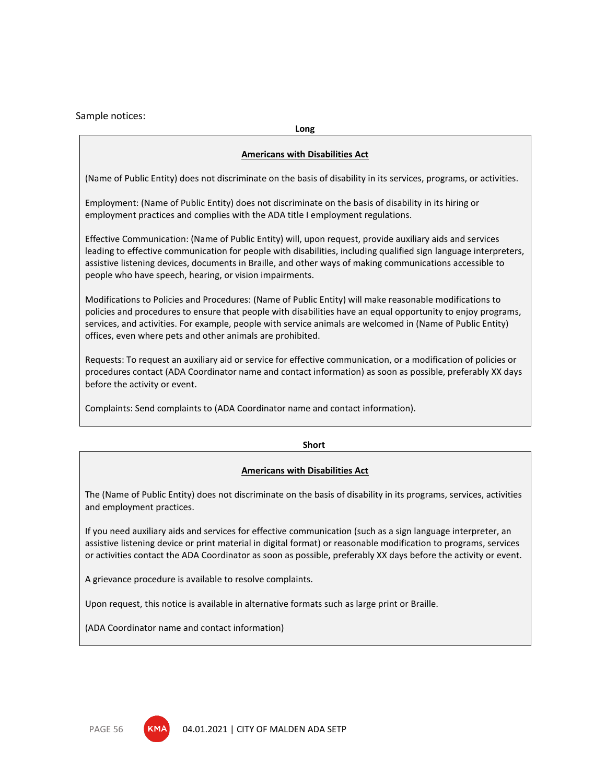Sample notices:

**Long**

### **Americans with Disabilities Act**

(Name of Public Entity) does not discriminate on the basis of disability in its services, programs, or activities.

Employment: (Name of Public Entity) does not discriminate on the basis of disability in its hiring or employment practices and complies with the ADA title I employment regulations.

Effective Communication: (Name of Public Entity) will, upon request, provide auxiliary aids and services leading to effective communication for people with disabilities, including qualified sign language interpreters, assistive listening devices, documents in Braille, and other ways of making communications accessible to people who have speech, hearing, or vision impairments.

Modifications to Policies and Procedures: (Name of Public Entity) will make reasonable modifications to policies and procedures to ensure that people with disabilities have an equal opportunity to enjoy programs, services, and activities. For example, people with service animals are welcomed in (Name of Public Entity) offices, even where pets and other animals are prohibited.

Requests: To request an auxiliary aid or service for effective communication, or a modification of policies or procedures contact (ADA Coordinator name and contact information) as soon as possible, preferably XX days before the activity or event.

Complaints: Send complaints to (ADA Coordinator name and contact information).

**Short**

### **Americans with Disabilities Act**

The (Name of Public Entity) does not discriminate on the basis of disability in its programs, services, activities and employment practices.

If you need auxiliary aids and services for effective communication (such as a sign language interpreter, an assistive listening device or print material in digital format) or reasonable modification to programs, services or activities contact the ADA Coordinator as soon as possible, preferably XX days before the activity or event.

A grievance procedure is available to resolve complaints.

Upon request, this notice is available in alternative formats such as large print or Braille.

(ADA Coordinator name and contact information)



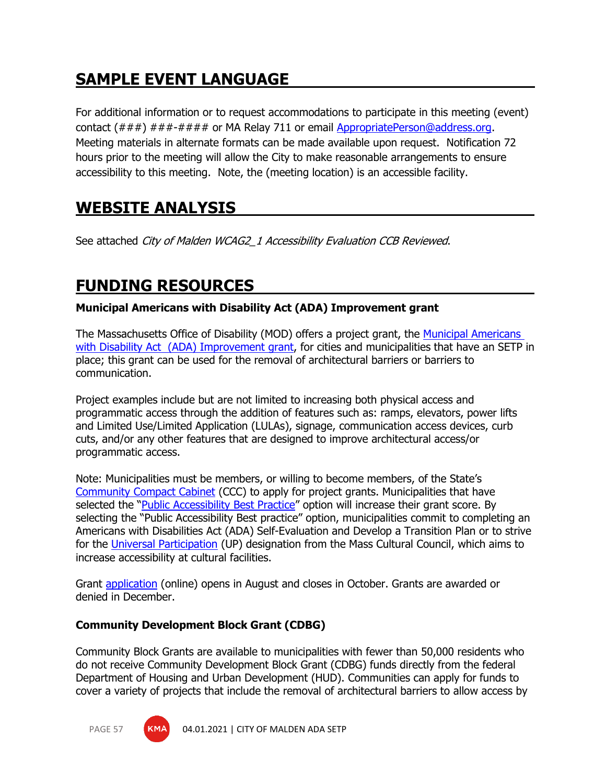# **SAMPLE EVENT LANGUAGE**

For additional information or to request accommodations to participate in this meeting (event) contact  $(\#\#\#)$   $\#\#\#\#\#\#$  or MA Relay 711 or email [AppropriatePerson@address.org.](mailto:AppropriatePerson@address.org) Meeting materials in alternate formats can be made available upon request. Notification 72 hours prior to the meeting will allow the City to make reasonable arrangements to ensure accessibility to this meeting. Note, the (meeting location) is an accessible facility.

# **WEBSITE ANALYSIS**

See attached City of Malden WCAG2\_1 Accessibility Evaluation CCB Reviewed.

# **FUNDING RESOURCES**

## **Municipal Americans with Disability Act (ADA) Improvement grant**

The Massachusetts Office of Disability (MOD) offers a project grant, the [Municipal Americans](https://www.mass.gov/municipal-americans-with-disabilities-act-grant)  [with Disability Act \(ADA\) Improvement grant,](https://www.mass.gov/municipal-americans-with-disabilities-act-grant) for cities and municipalities that have an SETP in place; this grant can be used for the removal of architectural barriers or barriers to communication.

Project examples include but are not limited to increasing both physical access and programmatic access through the addition of features such as: ramps, elevators, power lifts and Limited Use/Limited Application (LULAs), signage, communication access devices, curb cuts, and/or any other features that are designed to improve architectural access/or programmatic access.

Note: Municipalities must be members, or willing to become members, of the State's [Community Compact Cabinet](https://www.mass.gov/orgs/community-compact-cabinet) (CCC) to apply for project grants. Municipalities that have selected the "*[Public Accessibility Best Practice](https://www.mass.gov/info-details/community-compact-best-practice-areas#public-accessibility-best-practices-)*" option will increase their grant score. By selecting the "Public Accessibility Best practice" option, municipalities commit to completing an Americans with Disabilities Act (ADA) Self-Evaluation and Develop a Transition Plan or to strive for the [Universal Participation](https://massculturalcouncil.org/organizations/universal-participation-initiative/) (UP) designation from the Mass Cultural Council, which aims to increase accessibility at cultural facilities.

Grant [application](https://www.mass.gov/how-to/apply-for-a-municipal-americans-with-disabilities-act-ada-improvement-grant) (online) opens in August and closes in October. Grants are awarded or denied in December.

## **Community Development Block Grant (CDBG)**

Community Block Grants are available to municipalities with fewer than 50,000 residents who do not receive Community Development Block Grant (CDBG) funds directly from the federal Department of Housing and Urban Development (HUD). Communities can apply for funds to cover a variety of projects that include the removal of architectural barriers to allow access by

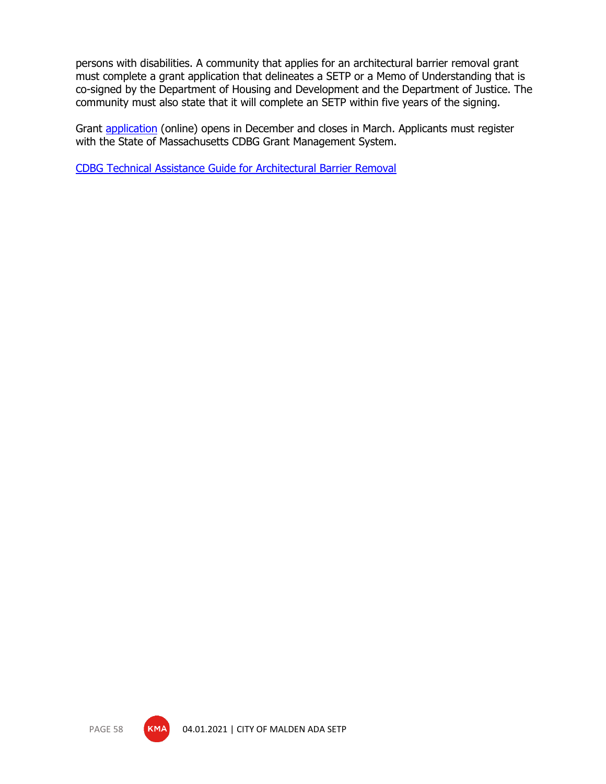persons with disabilities. A community that applies for an architectural barrier removal grant must complete a grant application that delineates a SETP or a Memo of Understanding that is co-signed by the Department of Housing and Development and the Department of Justice. The community must also state that it will complete an SETP within five years of the signing.

Grant [application](https://www.mass.gov/doc/cdbg-fy-2020-application-guidance/download) (online) opens in December and closes in March. Applicants must register with the State of Massachusetts CDBG Grant Management System.

[CDBG Technical Assistance Guide for Architectural Barrier Removal](https://www.mass.gov/files/documents/2017/12/04/Architectural%20Barrier%20Removal.pdf)



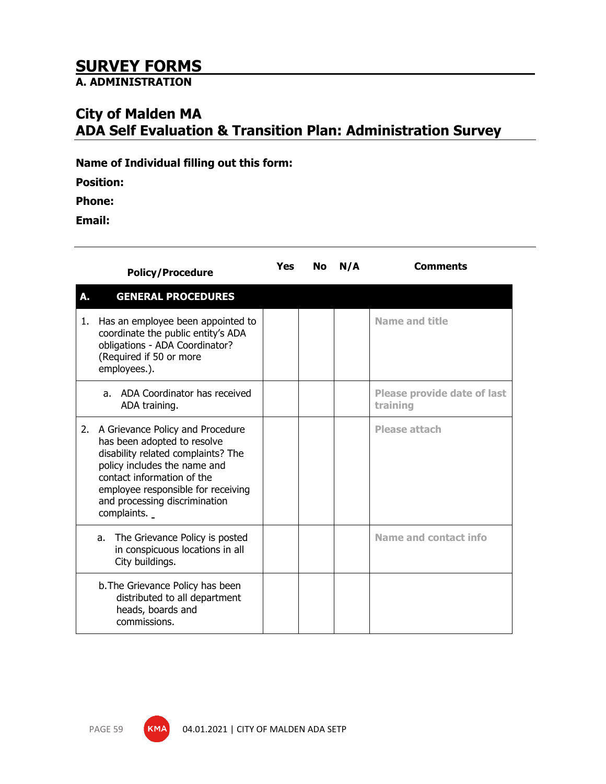## **SURVEY FORMS**

**A. ADMINISTRATION**

## **City of Malden MA ADA Self Evaluation & Transition Plan: Administration Survey**

**Name of Individual filling out this form:**

**Position:**

**Phone:**

**Email:**

|    | <b>Policy/Procedure</b>                                                                                                                                                                                                                                   | Yes | No | N/A | <b>Comments</b>                                |
|----|-----------------------------------------------------------------------------------------------------------------------------------------------------------------------------------------------------------------------------------------------------------|-----|----|-----|------------------------------------------------|
| A. | <b>GENERAL PROCEDURES</b>                                                                                                                                                                                                                                 |     |    |     |                                                |
| 1. | Has an employee been appointed to<br>coordinate the public entity's ADA<br>obligations - ADA Coordinator?<br>(Required if 50 or more<br>employees.).                                                                                                      |     |    |     | <b>Name and title</b>                          |
|    | ADA Coordinator has received<br>a.<br>ADA training.                                                                                                                                                                                                       |     |    |     | <b>Please provide date of last</b><br>training |
| 2. | A Grievance Policy and Procedure<br>has been adopted to resolve<br>disability related complaints? The<br>policy includes the name and<br>contact information of the<br>employee responsible for receiving<br>and processing discrimination<br>complaints. |     |    |     | <b>Please attach</b>                           |
|    | The Grievance Policy is posted<br>a.<br>in conspicuous locations in all<br>City buildings.                                                                                                                                                                |     |    |     | Name and contact info                          |
|    | b. The Grievance Policy has been<br>distributed to all department<br>heads, boards and<br>commissions.                                                                                                                                                    |     |    |     |                                                |

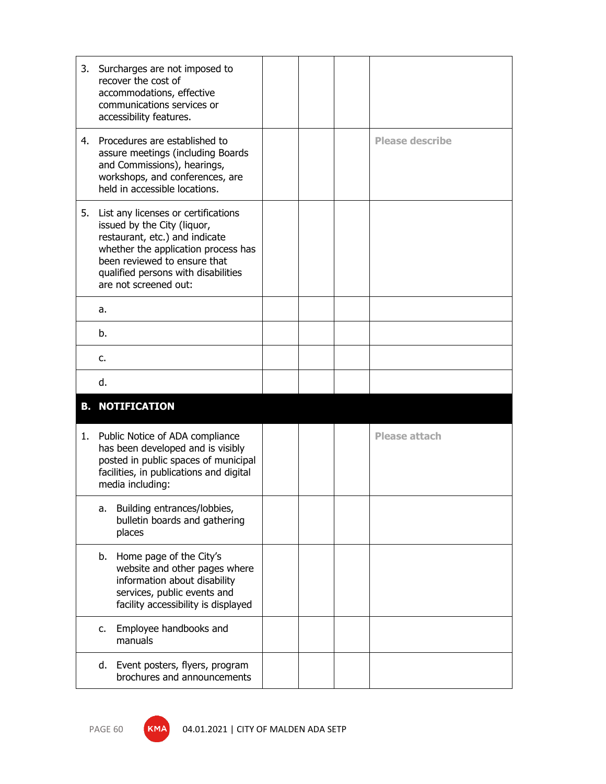| 3. | Surcharges are not imposed to<br>recover the cost of<br>accommodations, effective<br>communications services or<br>accessibility features.                                                                                                  |  |                        |
|----|---------------------------------------------------------------------------------------------------------------------------------------------------------------------------------------------------------------------------------------------|--|------------------------|
|    | 4. Procedures are established to<br>assure meetings (including Boards<br>and Commissions), hearings,<br>workshops, and conferences, are<br>held in accessible locations.                                                                    |  | <b>Please describe</b> |
| 5. | List any licenses or certifications<br>issued by the City (liquor,<br>restaurant, etc.) and indicate<br>whether the application process has<br>been reviewed to ensure that<br>qualified persons with disabilities<br>are not screened out: |  |                        |
|    | a.                                                                                                                                                                                                                                          |  |                        |
|    | b.                                                                                                                                                                                                                                          |  |                        |
|    | c.                                                                                                                                                                                                                                          |  |                        |
|    | d.                                                                                                                                                                                                                                          |  |                        |
|    | <b>B. NOTIFICATION</b>                                                                                                                                                                                                                      |  |                        |
| 1. | Public Notice of ADA compliance<br>has been developed and is visibly<br>posted in public spaces of municipal<br>facilities, in publications and digital                                                                                     |  | <b>Please attach</b>   |
|    | media including:                                                                                                                                                                                                                            |  |                        |
|    | Building entrances/lobbies,<br>a.<br>bulletin boards and gathering<br>places                                                                                                                                                                |  |                        |
|    | b. Home page of the City's<br>website and other pages where<br>information about disability<br>services, public events and<br>facility accessibility is displayed                                                                           |  |                        |
|    | Employee handbooks and<br>c.<br>manuals                                                                                                                                                                                                     |  |                        |



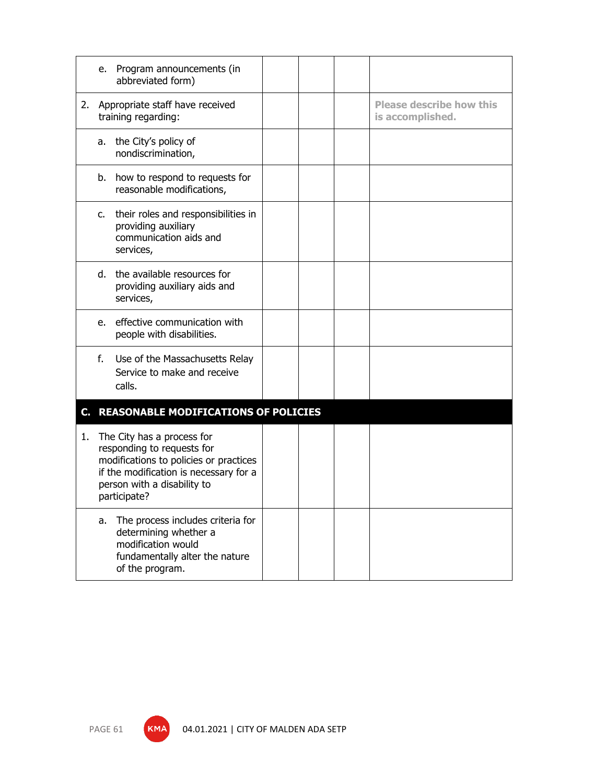|    | e. Program announcements (in<br>abbreviated form)                                                                                                                                           |  |                                                     |
|----|---------------------------------------------------------------------------------------------------------------------------------------------------------------------------------------------|--|-----------------------------------------------------|
| 2. | Appropriate staff have received<br>training regarding:                                                                                                                                      |  | <b>Please describe how this</b><br>is accomplished. |
|    | the City's policy of<br>a.<br>nondiscrimination,                                                                                                                                            |  |                                                     |
|    | b. how to respond to requests for<br>reasonable modifications,                                                                                                                              |  |                                                     |
|    | their roles and responsibilities in<br>c.<br>providing auxiliary<br>communication aids and<br>services,                                                                                     |  |                                                     |
|    | the available resources for<br>d.<br>providing auxiliary aids and<br>services,                                                                                                              |  |                                                     |
|    | effective communication with<br>e.<br>people with disabilities.                                                                                                                             |  |                                                     |
|    | f.<br>Use of the Massachusetts Relay<br>Service to make and receive<br>calls.                                                                                                               |  |                                                     |
|    | C. REASONABLE MODIFICATIONS OF POLICIES                                                                                                                                                     |  |                                                     |
| 1. | The City has a process for<br>responding to requests for<br>modifications to policies or practices<br>if the modification is necessary for a<br>person with a disability to<br>participate? |  |                                                     |
|    | The process includes criteria for<br>a.<br>determining whether a<br>modification would<br>fundamentally alter the nature<br>of the program.                                                 |  |                                                     |



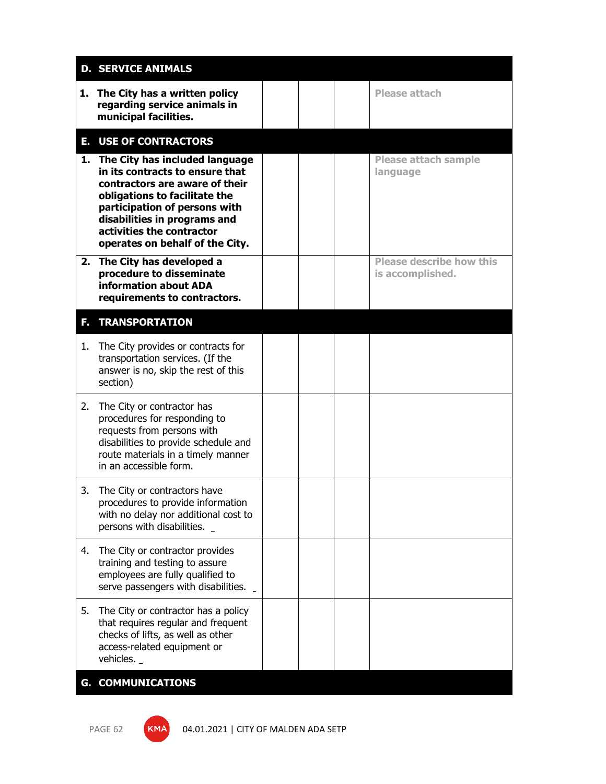|    | <b>D. SERVICE ANIMALS</b>                                                                                                                                                                                                                                                |  |                                                     |
|----|--------------------------------------------------------------------------------------------------------------------------------------------------------------------------------------------------------------------------------------------------------------------------|--|-----------------------------------------------------|
|    | 1. The City has a written policy<br>regarding service animals in<br>municipal facilities.                                                                                                                                                                                |  | <b>Please attach</b>                                |
|    | <b>E. USE OF CONTRACTORS</b>                                                                                                                                                                                                                                             |  |                                                     |
|    | 1. The City has included language<br>in its contracts to ensure that<br>contractors are aware of their<br>obligations to facilitate the<br>participation of persons with<br>disabilities in programs and<br>activities the contractor<br>operates on behalf of the City. |  | <b>Please attach sample</b><br>language             |
|    | 2. The City has developed a<br>procedure to disseminate<br>information about ADA<br>requirements to contractors.                                                                                                                                                         |  | <b>Please describe how this</b><br>is accomplished. |
|    | <b>F. TRANSPORTATION</b>                                                                                                                                                                                                                                                 |  |                                                     |
| 1. | The City provides or contracts for<br>transportation services. (If the<br>answer is no, skip the rest of this<br>section)                                                                                                                                                |  |                                                     |
| 2. | The City or contractor has<br>procedures for responding to<br>requests from persons with<br>disabilities to provide schedule and<br>route materials in a timely manner<br>in an accessible form.                                                                         |  |                                                     |
|    | 3. The City or contractors have<br>procedures to provide information<br>with no delay nor additional cost to<br>persons with disabilities.                                                                                                                               |  |                                                     |
| 4. | The City or contractor provides<br>training and testing to assure<br>employees are fully qualified to<br>serve passengers with disabilities.                                                                                                                             |  |                                                     |
| 5. | The City or contractor has a policy<br>that requires regular and frequent<br>checks of lifts, as well as other<br>access-related equipment or<br>vehicles.                                                                                                               |  |                                                     |
|    | <b>G. COMMUNICATIONS</b>                                                                                                                                                                                                                                                 |  |                                                     |

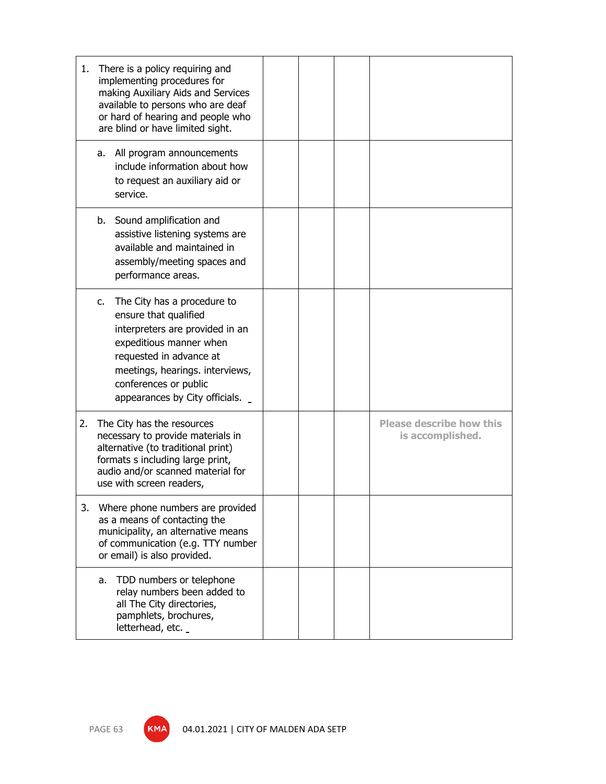| 1. | There is a policy requiring and<br>implementing procedures for<br>making Auxiliary Aids and Services<br>available to persons who are deaf<br>or hard of hearing and people who<br>are blind or have limited sight.                                           |  |                                                     |
|----|--------------------------------------------------------------------------------------------------------------------------------------------------------------------------------------------------------------------------------------------------------------|--|-----------------------------------------------------|
|    | All program announcements<br>a.<br>include information about how<br>to request an auxiliary aid or<br>service.                                                                                                                                               |  |                                                     |
|    | b. Sound amplification and<br>assistive listening systems are<br>available and maintained in<br>assembly/meeting spaces and<br>performance areas.                                                                                                            |  |                                                     |
|    | The City has a procedure to<br>$C_{\bullet}$<br>ensure that qualified<br>interpreters are provided in an<br>expeditious manner when<br>requested in advance at<br>meetings, hearings. interviews,<br>conferences or public<br>appearances by City officials. |  |                                                     |
| 2. | The City has the resources<br>necessary to provide materials in<br>alternative (to traditional print)<br>formats s including large print,<br>audio and/or scanned material for<br>use with screen readers,                                                   |  | <b>Please describe how this</b><br>is accomplished. |
| 3. | Where phone numbers are provided<br>as a means of contacting the<br>municipality, an alternative means<br>of communication (e.g. TTY number<br>or email) is also provided.                                                                                   |  |                                                     |
|    | TDD numbers or telephone<br>a.<br>relay numbers been added to<br>all The City directories,<br>pamphlets, brochures,<br>letterhead, etc.                                                                                                                      |  |                                                     |

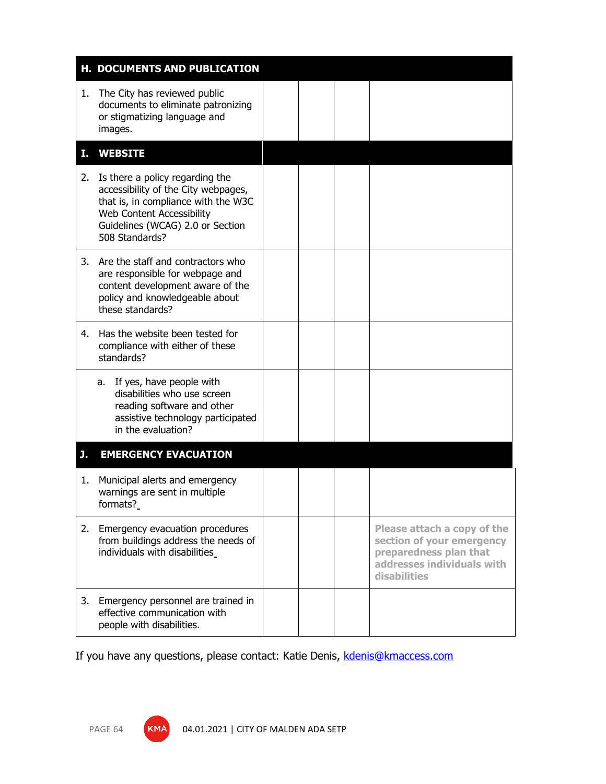|    | H. DOCUMENTS AND PUBLICATION                                                                                                                                                                            |  |                                                                                                                                  |
|----|---------------------------------------------------------------------------------------------------------------------------------------------------------------------------------------------------------|--|----------------------------------------------------------------------------------------------------------------------------------|
| 1. | The City has reviewed public<br>documents to eliminate patronizing<br>or stigmatizing language and<br>images.                                                                                           |  |                                                                                                                                  |
| т. | <b>WEBSITE</b>                                                                                                                                                                                          |  |                                                                                                                                  |
| 2. | Is there a policy regarding the<br>accessibility of the City webpages,<br>that is, in compliance with the W3C<br><b>Web Content Accessibility</b><br>Guidelines (WCAG) 2.0 or Section<br>508 Standards? |  |                                                                                                                                  |
| 3. | Are the staff and contractors who<br>are responsible for webpage and<br>content development aware of the<br>policy and knowledgeable about<br>these standards?                                          |  |                                                                                                                                  |
|    | 4. Has the website been tested for<br>compliance with either of these<br>standards?                                                                                                                     |  |                                                                                                                                  |
|    | a. If yes, have people with<br>disabilities who use screen<br>reading software and other<br>assistive technology participated<br>in the evaluation?                                                     |  |                                                                                                                                  |
| J. | <b>EMERGENCY EVACUATION</b>                                                                                                                                                                             |  |                                                                                                                                  |
| 1. | Municipal alerts and emergency<br>warnings are sent in multiple<br>formats?                                                                                                                             |  |                                                                                                                                  |
|    | 2. Emergency evacuation procedures<br>from buildings address the needs of<br>individuals with disabilities                                                                                              |  | Please attach a copy of the<br>section of your emergency<br>preparedness plan that<br>addresses individuals with<br>disabilities |
| 3. | Emergency personnel are trained in<br>effective communication with<br>people with disabilities.                                                                                                         |  |                                                                                                                                  |

If you have any questions, please contact: Katie Denis, [kdenis@kmaccess.com](mailto:kdenis@kmaccess.com)

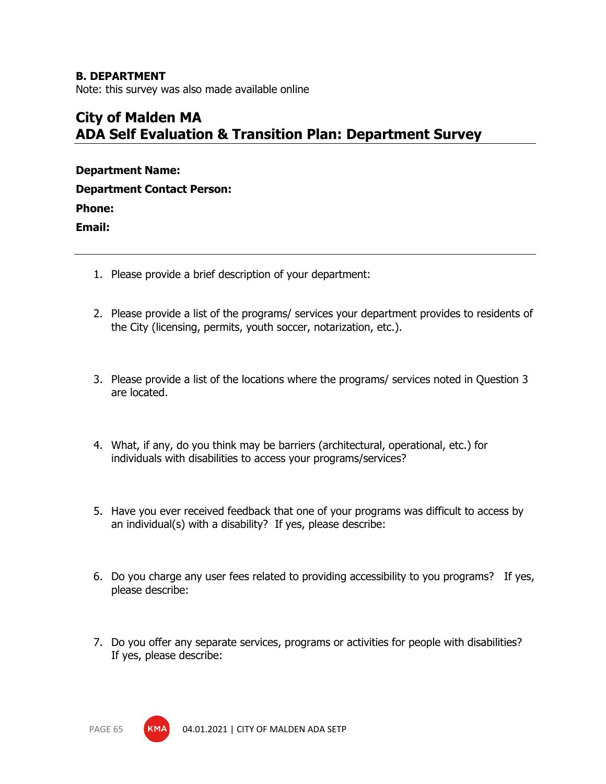## **B. DEPARTMENT**

Note: this survey was also made available online

## **City of Malden MA ADA Self Evaluation & Transition Plan: Department Survey**

| <b>Department Name:</b>           |
|-----------------------------------|
| <b>Department Contact Person:</b> |
| Phone:                            |
| Email:                            |
|                                   |

- 1. Please provide a brief description of your department:
- 2. Please provide a list of the programs/ services your department provides to residents of the City (licensing, permits, youth soccer, notarization, etc.).
- 3. Please provide a list of the locations where the programs/ services noted in Question 3 are located.
- 4. What, if any, do you think may be barriers (architectural, operational, etc.) for individuals with disabilities to access your programs/services?
- 5. Have you ever received feedback that one of your programs was difficult to access by an individual(s) with a disability? If yes, please describe:
- 6. Do you charge any user fees related to providing accessibility to you programs? If yes, please describe:
- 7. Do you offer any separate services, programs or activities for people with disabilities? If yes, please describe:

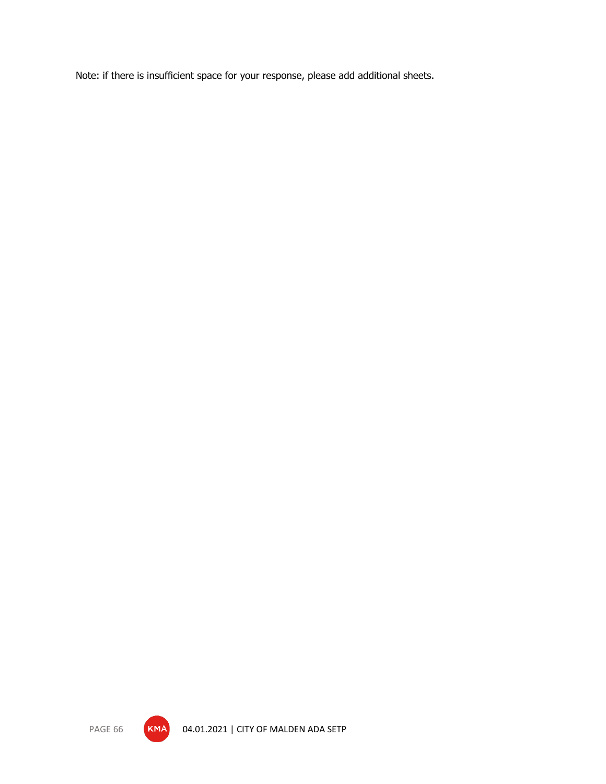Note: if there is insufficient space for your response, please add additional sheets.



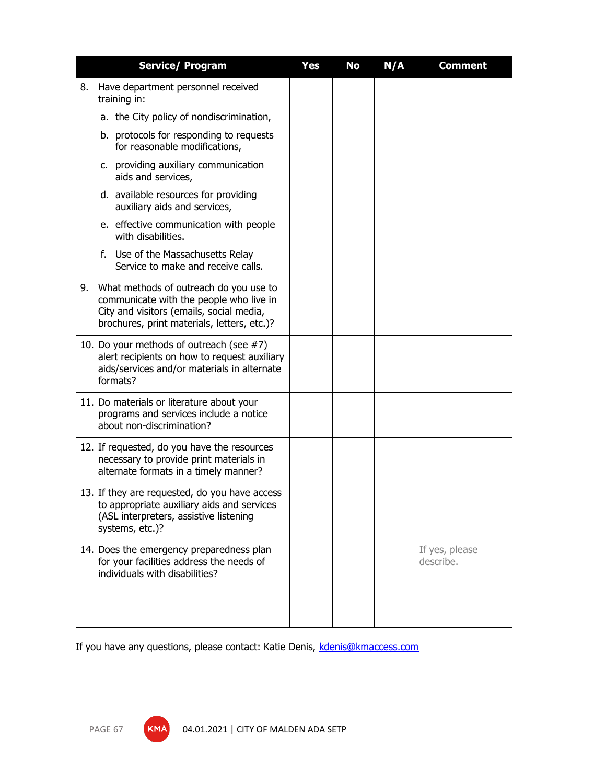|    | <b>Service/ Program</b>                                                                                                                                                      | <b>Yes</b> | No | N/A | <b>Comment</b>              |
|----|------------------------------------------------------------------------------------------------------------------------------------------------------------------------------|------------|----|-----|-----------------------------|
| 8. | Have department personnel received<br>training in:                                                                                                                           |            |    |     |                             |
|    | a. the City policy of nondiscrimination,                                                                                                                                     |            |    |     |                             |
|    | b. protocols for responding to requests<br>for reasonable modifications,                                                                                                     |            |    |     |                             |
|    | c. providing auxiliary communication<br>aids and services,                                                                                                                   |            |    |     |                             |
|    | d. available resources for providing<br>auxiliary aids and services,                                                                                                         |            |    |     |                             |
|    | e. effective communication with people<br>with disabilities.                                                                                                                 |            |    |     |                             |
|    | f. Use of the Massachusetts Relay<br>Service to make and receive calls.                                                                                                      |            |    |     |                             |
| 9. | What methods of outreach do you use to<br>communicate with the people who live in<br>City and visitors (emails, social media,<br>brochures, print materials, letters, etc.)? |            |    |     |                             |
|    | 10. Do your methods of outreach (see #7)<br>alert recipients on how to request auxiliary<br>aids/services and/or materials in alternate<br>formats?                          |            |    |     |                             |
|    | 11. Do materials or literature about your<br>programs and services include a notice<br>about non-discrimination?                                                             |            |    |     |                             |
|    | 12. If requested, do you have the resources<br>necessary to provide print materials in<br>alternate formats in a timely manner?                                              |            |    |     |                             |
|    | 13. If they are requested, do you have access<br>to appropriate auxiliary aids and services<br>(ASL interpreters, assistive listening<br>systems, etc.)?                     |            |    |     |                             |
|    | 14. Does the emergency preparedness plan<br>for your facilities address the needs of<br>individuals with disabilities?                                                       |            |    |     | If yes, please<br>describe. |

If you have any questions, please contact: Katie Denis, [kdenis@kmaccess.com](mailto:kdenis@kmaccess.com)

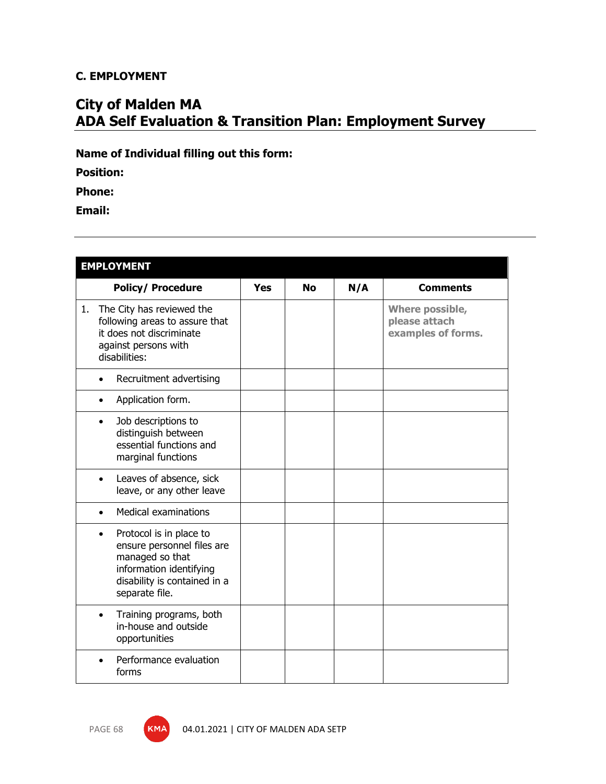## **C. EMPLOYMENT**

## **City of Malden MA ADA Self Evaluation & Transition Plan: Employment Survey**

**Name of Individual filling out this form:**

**Position:**

**Phone:**

**Email:**

| <b>EMPLOYMENT</b> |                                                                                                                                                       |            |           |     |                                                        |  |  |  |
|-------------------|-------------------------------------------------------------------------------------------------------------------------------------------------------|------------|-----------|-----|--------------------------------------------------------|--|--|--|
|                   | <b>Policy/ Procedure</b>                                                                                                                              | <b>Yes</b> | <b>No</b> | N/A | <b>Comments</b>                                        |  |  |  |
| disabilities:     | 1. The City has reviewed the<br>following areas to assure that<br>it does not discriminate<br>against persons with                                    |            |           |     | Where possible,<br>please attach<br>examples of forms. |  |  |  |
| $\bullet$         | Recruitment advertising                                                                                                                               |            |           |     |                                                        |  |  |  |
| ٠                 | Application form.                                                                                                                                     |            |           |     |                                                        |  |  |  |
| $\bullet$         | Job descriptions to<br>distinguish between<br>essential functions and<br>marginal functions                                                           |            |           |     |                                                        |  |  |  |
|                   | Leaves of absence, sick<br>leave, or any other leave                                                                                                  |            |           |     |                                                        |  |  |  |
|                   | <b>Medical examinations</b>                                                                                                                           |            |           |     |                                                        |  |  |  |
| $\bullet$         | Protocol is in place to<br>ensure personnel files are<br>managed so that<br>information identifying<br>disability is contained in a<br>separate file. |            |           |     |                                                        |  |  |  |
|                   | Training programs, both<br>in-house and outside<br>opportunities                                                                                      |            |           |     |                                                        |  |  |  |
|                   | Performance evaluation<br>forms                                                                                                                       |            |           |     |                                                        |  |  |  |

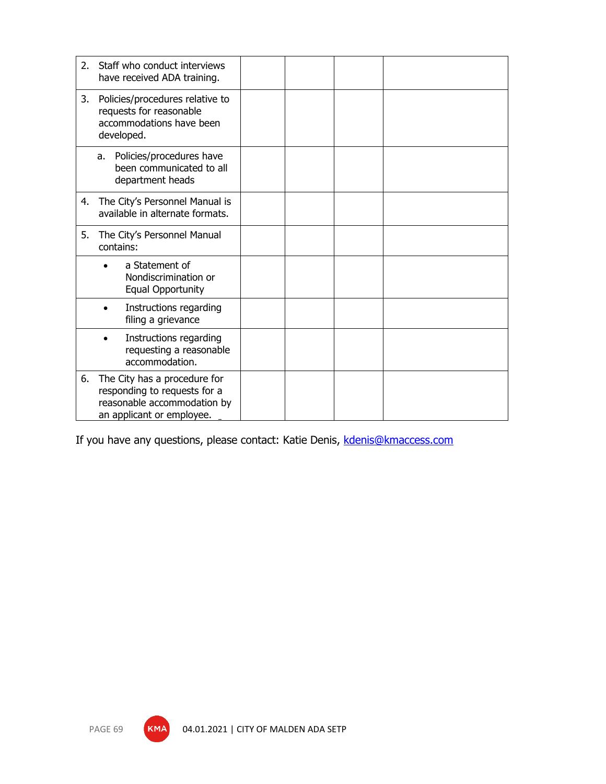| 2. | Staff who conduct interviews<br>have received ADA training.                                                              |  |  |
|----|--------------------------------------------------------------------------------------------------------------------------|--|--|
| 3. | Policies/procedures relative to<br>requests for reasonable<br>accommodations have been<br>developed.                     |  |  |
|    | Policies/procedures have<br>a.<br>been communicated to all<br>department heads                                           |  |  |
| 4. | The City's Personnel Manual is<br>available in alternate formats.                                                        |  |  |
| 5. | The City's Personnel Manual<br>contains:                                                                                 |  |  |
|    | a Statement of<br>Nondiscrimination or<br><b>Equal Opportunity</b>                                                       |  |  |
|    | Instructions regarding<br>filing a grievance                                                                             |  |  |
|    | Instructions regarding<br>requesting a reasonable<br>accommodation.                                                      |  |  |
| 6. | The City has a procedure for<br>responding to requests for a<br>reasonable accommodation by<br>an applicant or employee. |  |  |

If you have any questions, please contact: Katie Denis, [kdenis@kmaccess.com](mailto:kdenis@kmaccess.com)



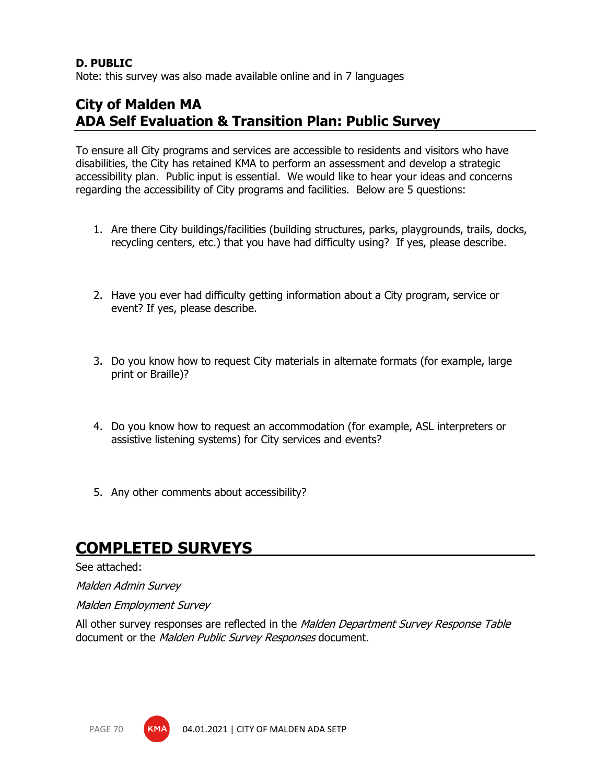## **D. PUBLIC**

Note: this survey was also made available online and in 7 languages

## **City of Malden MA ADA Self Evaluation & Transition Plan: Public Survey**

To ensure all City programs and services are accessible to residents and visitors who have disabilities, the City has retained KMA to perform an assessment and develop a strategic accessibility plan. Public input is essential. We would like to hear your ideas and concerns regarding the accessibility of City programs and facilities. Below are 5 questions:

- 1. Are there City buildings/facilities (building structures, parks, playgrounds, trails, docks, recycling centers, etc.) that you have had difficulty using? If yes, please describe.
- 2. Have you ever had difficulty getting information about a City program, service or event? If yes, please describe.
- 3. Do you know how to request City materials in alternate formats (for example, large print or Braille)?
- 4. Do you know how to request an accommodation (for example, ASL interpreters or assistive listening systems) for City services and events?
- 5. Any other comments about accessibility?

## **COMPLETED SURVEYS**

### See attached:

Malden Admin Survey

Malden Employment Survey

All other survey responses are reflected in the *Malden Department Survey Response Table* document or the Malden Public Survey Responses document.

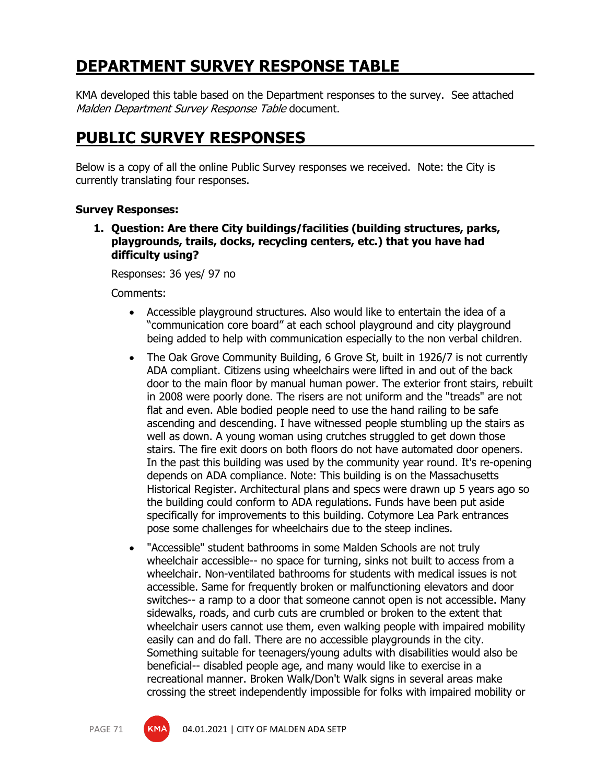# **DEPARTMENT SURVEY RESPONSE TABLE**

KMA developed this table based on the Department responses to the survey. See attached Malden Department Survey Response Table document.

## **PUBLIC SURVEY RESPONSES**

Below is a copy of all the online Public Survey responses we received. Note: the City is currently translating four responses.

## **Survey Responses:**

**1. Question: Are there City buildings/facilities (building structures, parks, playgrounds, trails, docks, recycling centers, etc.) that you have had difficulty using?**

Responses: 36 yes/ 97 no

Comments:

- Accessible playground structures. Also would like to entertain the idea of a "communication core board" at each school playground and city playground being added to help with communication especially to the non verbal children.
- The Oak Grove Community Building, 6 Grove St, built in 1926/7 is not currently ADA compliant. Citizens using wheelchairs were lifted in and out of the back door to the main floor by manual human power. The exterior front stairs, rebuilt in 2008 were poorly done. The risers are not uniform and the "treads" are not flat and even. Able bodied people need to use the hand railing to be safe ascending and descending. I have witnessed people stumbling up the stairs as well as down. A young woman using crutches struggled to get down those stairs. The fire exit doors on both floors do not have automated door openers. In the past this building was used by the community year round. It's re-opening depends on ADA compliance. Note: This building is on the Massachusetts Historical Register. Architectural plans and specs were drawn up 5 years ago so the building could conform to ADA regulations. Funds have been put aside specifically for improvements to this building. Cotymore Lea Park entrances pose some challenges for wheelchairs due to the steep inclines.
- "Accessible" student bathrooms in some Malden Schools are not truly wheelchair accessible-- no space for turning, sinks not built to access from a wheelchair. Non-ventilated bathrooms for students with medical issues is not accessible. Same for frequently broken or malfunctioning elevators and door switches-- a ramp to a door that someone cannot open is not accessible. Many sidewalks, roads, and curb cuts are crumbled or broken to the extent that wheelchair users cannot use them, even walking people with impaired mobility easily can and do fall. There are no accessible playgrounds in the city. Something suitable for teenagers/young adults with disabilities would also be beneficial-- disabled people age, and many would like to exercise in a recreational manner. Broken Walk/Don't Walk signs in several areas make crossing the street independently impossible for folks with impaired mobility or

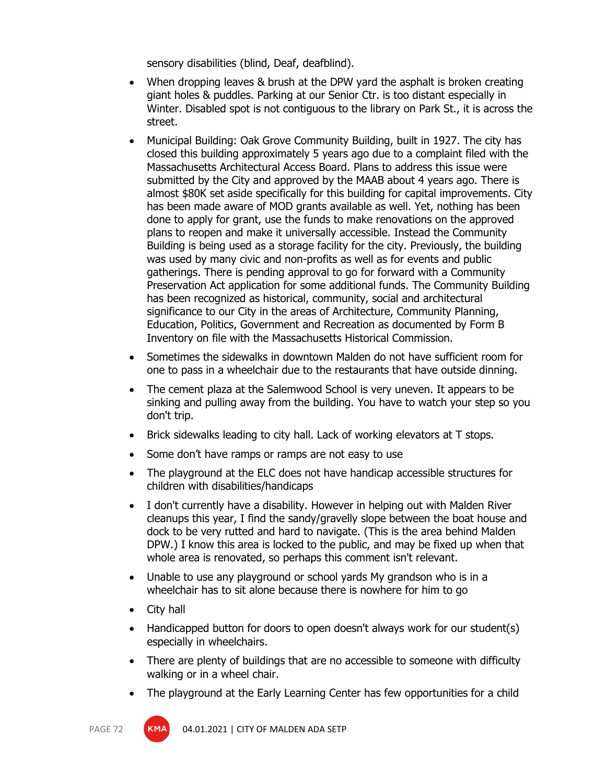sensory disabilities (blind, Deaf, deafblind).

- When dropping leaves & brush at the DPW yard the asphalt is broken creating giant holes & puddles. Parking at our Senior Ctr. is too distant especially in Winter. Disabled spot is not contiguous to the library on Park St., it is across the street.
- Municipal Building: Oak Grove Community Building, built in 1927. The city has closed this building approximately 5 years ago due to a complaint filed with the Massachusetts Architectural Access Board. Plans to address this issue were submitted by the City and approved by the MAAB about 4 years ago. There is almost \$80K set aside specifically for this building for capital improvements. City has been made aware of MOD grants available as well. Yet, nothing has been done to apply for grant, use the funds to make renovations on the approved plans to reopen and make it universally accessible. Instead the Community Building is being used as a storage facility for the city. Previously, the building was used by many civic and non-profits as well as for events and public gatherings. There is pending approval to go for forward with a Community Preservation Act application for some additional funds. The Community Building has been recognized as historical, community, social and architectural significance to our City in the areas of Architecture, Community Planning, Education, Politics, Government and Recreation as documented by Form B Inventory on file with the Massachusetts Historical Commission.
- Sometimes the sidewalks in downtown Malden do not have sufficient room for one to pass in a wheelchair due to the restaurants that have outside dinning.
- The cement plaza at the Salemwood School is very uneven. It appears to be sinking and pulling away from the building. You have to watch your step so you don't trip.
- Brick sidewalks leading to city hall. Lack of working elevators at T stops.
- Some don't have ramps or ramps are not easy to use
- The playground at the ELC does not have handicap accessible structures for children with disabilities/handicaps
- I don't currently have a disability. However in helping out with Malden River cleanups this year, I find the sandy/gravelly slope between the boat house and dock to be very rutted and hard to navigate. (This is the area behind Malden DPW.) I know this area is locked to the public, and may be fixed up when that whole area is renovated, so perhaps this comment isn't relevant.
- Unable to use any playground or school yards My grandson who is in a wheelchair has to sit alone because there is nowhere for him to go
- City hall
- Handicapped button for doors to open doesn't always work for our student(s) especially in wheelchairs.
- There are plenty of buildings that are no accessible to someone with difficulty walking or in a wheel chair.
- The playground at the Early Learning Center has few opportunities for a child

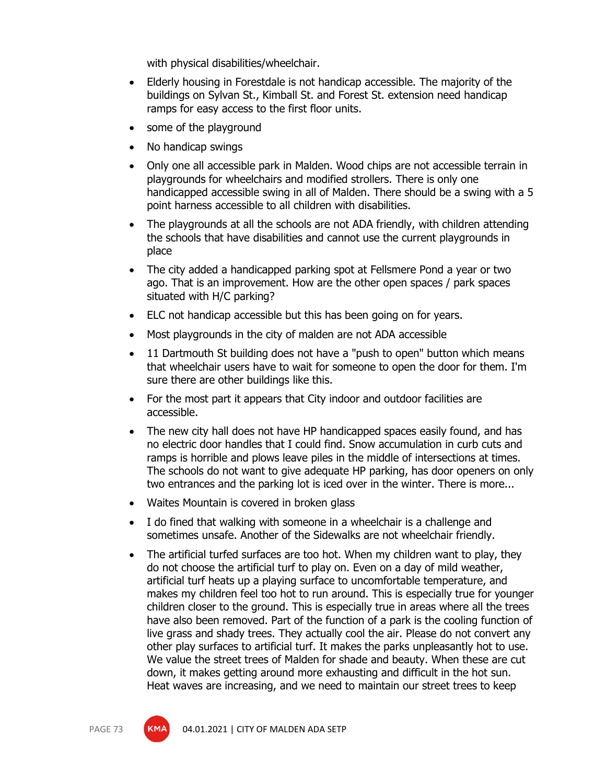with physical disabilities/wheelchair.

- Elderly housing in Forestdale is not handicap accessible. The majority of the buildings on Sylvan St., Kimball St. and Forest St. extension need handicap ramps for easy access to the first floor units.
- some of the playground
- No handicap swings
- Only one all accessible park in Malden. Wood chips are not accessible terrain in playgrounds for wheelchairs and modified strollers. There is only one handicapped accessible swing in all of Malden. There should be a swing with a 5 point harness accessible to all children with disabilities.
- The playgrounds at all the schools are not ADA friendly, with children attending the schools that have disabilities and cannot use the current playgrounds in place
- The city added a handicapped parking spot at Fellsmere Pond a year or two ago. That is an improvement. How are the other open spaces / park spaces situated with H/C parking?
- ELC not handicap accessible but this has been going on for years.
- Most playgrounds in the city of malden are not ADA accessible
- 11 Dartmouth St building does not have a "push to open" button which means that wheelchair users have to wait for someone to open the door for them. I'm sure there are other buildings like this.
- For the most part it appears that City indoor and outdoor facilities are accessible.
- The new city hall does not have HP handicapped spaces easily found, and has no electric door handles that I could find. Snow accumulation in curb cuts and ramps is horrible and plows leave piles in the middle of intersections at times. The schools do not want to give adequate HP parking, has door openers on only two entrances and the parking lot is iced over in the winter. There is more...
- Waites Mountain is covered in broken glass
- I do fined that walking with someone in a wheelchair is a challenge and sometimes unsafe. Another of the Sidewalks are not wheelchair friendly.
- The artificial turfed surfaces are too hot. When my children want to play, they do not choose the artificial turf to play on. Even on a day of mild weather, artificial turf heats up a playing surface to uncomfortable temperature, and makes my children feel too hot to run around. This is especially true for younger children closer to the ground. This is especially true in areas where all the trees have also been removed. Part of the function of a park is the cooling function of live grass and shady trees. They actually cool the air. Please do not convert any other play surfaces to artificial turf. It makes the parks unpleasantly hot to use. We value the street trees of Malden for shade and beauty. When these are cut down, it makes getting around more exhausting and difficult in the hot sun. Heat waves are increasing, and we need to maintain our street trees to keep

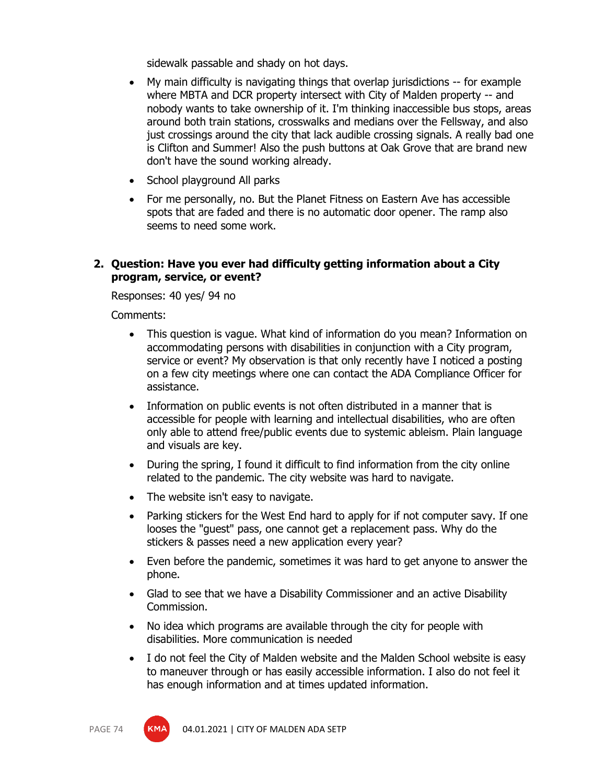sidewalk passable and shady on hot days.

- My main difficulty is navigating things that overlap jurisdictions -- for example where MBTA and DCR property intersect with City of Malden property -- and nobody wants to take ownership of it. I'm thinking inaccessible bus stops, areas around both train stations, crosswalks and medians over the Fellsway, and also just crossings around the city that lack audible crossing signals. A really bad one is Clifton and Summer! Also the push buttons at Oak Grove that are brand new don't have the sound working already.
- School playground All parks
- For me personally, no. But the Planet Fitness on Eastern Ave has accessible spots that are faded and there is no automatic door opener. The ramp also seems to need some work.

#### **2. Question: Have you ever had difficulty getting information about a City program, service, or event?**

Responses: 40 yes/ 94 no

Comments:

- This question is vague. What kind of information do you mean? Information on accommodating persons with disabilities in conjunction with a City program, service or event? My observation is that only recently have I noticed a posting on a few city meetings where one can contact the ADA Compliance Officer for assistance.
- Information on public events is not often distributed in a manner that is accessible for people with learning and intellectual disabilities, who are often only able to attend free/public events due to systemic ableism. Plain language and visuals are key.
- During the spring, I found it difficult to find information from the city online related to the pandemic. The city website was hard to navigate.
- The website isn't easy to navigate.
- Parking stickers for the West End hard to apply for if not computer savy. If one looses the "guest" pass, one cannot get a replacement pass. Why do the stickers & passes need a new application every year?
- Even before the pandemic, sometimes it was hard to get anyone to answer the phone.
- Glad to see that we have a Disability Commissioner and an active Disability Commission.
- No idea which programs are available through the city for people with disabilities. More communication is needed
- I do not feel the City of Malden website and the Malden School website is easy to maneuver through or has easily accessible information. I also do not feel it has enough information and at times updated information.

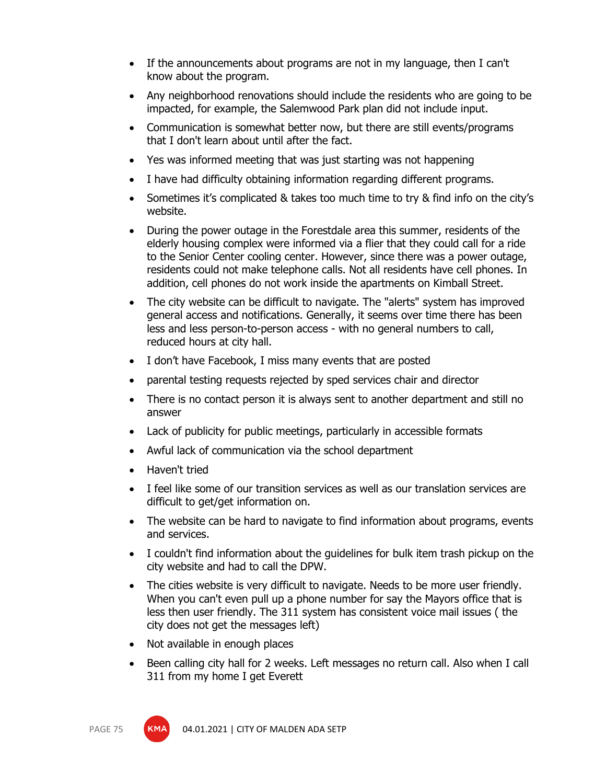- If the announcements about programs are not in my language, then I can't know about the program.
- Any neighborhood renovations should include the residents who are going to be impacted, for example, the Salemwood Park plan did not include input.
- Communication is somewhat better now, but there are still events/programs that I don't learn about until after the fact.
- Yes was informed meeting that was just starting was not happening
- I have had difficulty obtaining information regarding different programs.
- Sometimes it's complicated & takes too much time to try & find info on the city's website.
- During the power outage in the Forestdale area this summer, residents of the elderly housing complex were informed via a flier that they could call for a ride to the Senior Center cooling center. However, since there was a power outage, residents could not make telephone calls. Not all residents have cell phones. In addition, cell phones do not work inside the apartments on Kimball Street.
- The city website can be difficult to navigate. The "alerts" system has improved general access and notifications. Generally, it seems over time there has been less and less person-to-person access - with no general numbers to call, reduced hours at city hall.
- I don't have Facebook, I miss many events that are posted
- parental testing requests rejected by sped services chair and director
- There is no contact person it is always sent to another department and still no answer
- Lack of publicity for public meetings, particularly in accessible formats
- Awful lack of communication via the school department
- Haven't tried
- I feel like some of our transition services as well as our translation services are difficult to get/get information on.
- The website can be hard to navigate to find information about programs, events and services.
- I couldn't find information about the guidelines for bulk item trash pickup on the city website and had to call the DPW.
- The cities website is very difficult to navigate. Needs to be more user friendly. When you can't even pull up a phone number for say the Mayors office that is less then user friendly. The 311 system has consistent voice mail issues ( the city does not get the messages left)
- Not available in enough places
- Been calling city hall for 2 weeks. Left messages no return call. Also when I call 311 from my home I get Everett



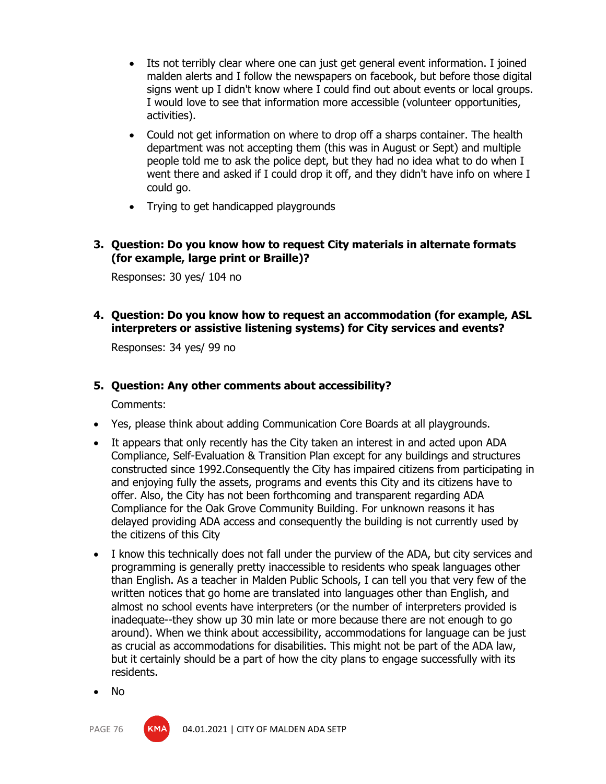- Its not terribly clear where one can just get general event information. I joined malden alerts and I follow the newspapers on facebook, but before those digital signs went up I didn't know where I could find out about events or local groups. I would love to see that information more accessible (volunteer opportunities, activities).
- Could not get information on where to drop off a sharps container. The health department was not accepting them (this was in August or Sept) and multiple people told me to ask the police dept, but they had no idea what to do when I went there and asked if I could drop it off, and they didn't have info on where I could go.
- Trying to get handicapped playgrounds

#### **3. Question: Do you know how to request City materials in alternate formats (for example, large print or Braille)?**

Responses: 30 yes/ 104 no

#### **4. Question: Do you know how to request an accommodation (for example, ASL interpreters or assistive listening systems) for City services and events?**

Responses: 34 yes/ 99 no

#### **5. Question: Any other comments about accessibility?**

Comments:

- Yes, please think about adding Communication Core Boards at all playgrounds.
- It appears that only recently has the City taken an interest in and acted upon ADA Compliance, Self-Evaluation & Transition Plan except for any buildings and structures constructed since 1992.Consequently the City has impaired citizens from participating in and enjoying fully the assets, programs and events this City and its citizens have to offer. Also, the City has not been forthcoming and transparent regarding ADA Compliance for the Oak Grove Community Building. For unknown reasons it has delayed providing ADA access and consequently the building is not currently used by the citizens of this City
- I know this technically does not fall under the purview of the ADA, but city services and programming is generally pretty inaccessible to residents who speak languages other than English. As a teacher in Malden Public Schools, I can tell you that very few of the written notices that go home are translated into languages other than English, and almost no school events have interpreters (or the number of interpreters provided is inadequate--they show up 30 min late or more because there are not enough to go around). When we think about accessibility, accommodations for language can be just as crucial as accommodations for disabilities. This might not be part of the ADA law, but it certainly should be a part of how the city plans to engage successfully with its residents.
- No

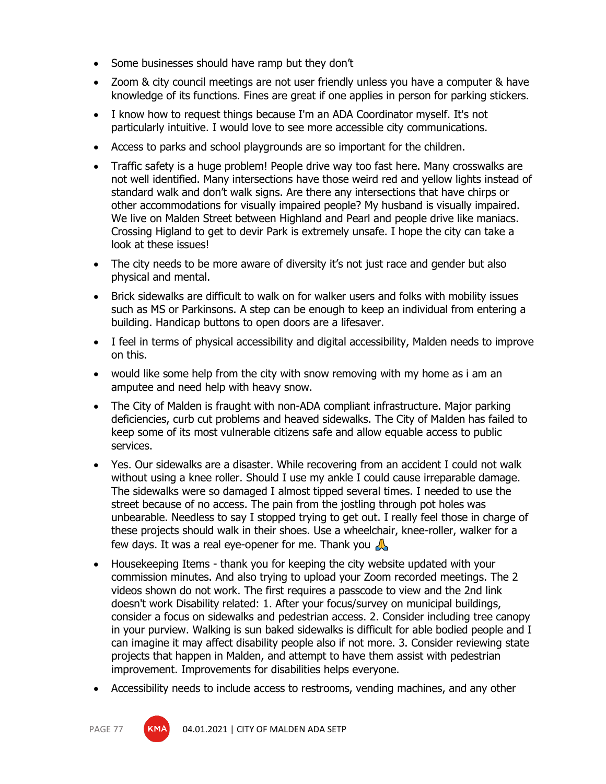- Some businesses should have ramp but they don't
- Zoom & city council meetings are not user friendly unless you have a computer & have knowledge of its functions. Fines are great if one applies in person for parking stickers.
- I know how to request things because I'm an ADA Coordinator myself. It's not particularly intuitive. I would love to see more accessible city communications.
- Access to parks and school playgrounds are so important for the children.
- Traffic safety is a huge problem! People drive way too fast here. Many crosswalks are not well identified. Many intersections have those weird red and yellow lights instead of standard walk and don't walk signs. Are there any intersections that have chirps or other accommodations for visually impaired people? My husband is visually impaired. We live on Malden Street between Highland and Pearl and people drive like maniacs. Crossing Higland to get to devir Park is extremely unsafe. I hope the city can take a look at these issues!
- The city needs to be more aware of diversity it's not just race and gender but also physical and mental.
- Brick sidewalks are difficult to walk on for walker users and folks with mobility issues such as MS or Parkinsons. A step can be enough to keep an individual from entering a building. Handicap buttons to open doors are a lifesaver.
- I feel in terms of physical accessibility and digital accessibility, Malden needs to improve on this.
- would like some help from the city with snow removing with my home as i am an amputee and need help with heavy snow.
- The City of Malden is fraught with non-ADA compliant infrastructure. Major parking deficiencies, curb cut problems and heaved sidewalks. The City of Malden has failed to keep some of its most vulnerable citizens safe and allow equable access to public services.
- Yes. Our sidewalks are a disaster. While recovering from an accident I could not walk without using a knee roller. Should I use my ankle I could cause irreparable damage. The sidewalks were so damaged I almost tipped several times. I needed to use the street because of no access. The pain from the jostling through pot holes was unbearable. Needless to say I stopped trying to get out. I really feel those in charge of these projects should walk in their shoes. Use a wheelchair, knee-roller, walker for a few days. It was a real eye-opener for me. Thank you  $\Lambda$
- Housekeeping Items thank you for keeping the city website updated with your commission minutes. And also trying to upload your Zoom recorded meetings. The 2 videos shown do not work. The first requires a passcode to view and the 2nd link doesn't work Disability related: 1. After your focus/survey on municipal buildings, consider a focus on sidewalks and pedestrian access. 2. Consider including tree canopy in your purview. Walking is sun baked sidewalks is difficult for able bodied people and I can imagine it may affect disability people also if not more. 3. Consider reviewing state projects that happen in Malden, and attempt to have them assist with pedestrian improvement. Improvements for disabilities helps everyone.
- Accessibility needs to include access to restrooms, vending machines, and any other



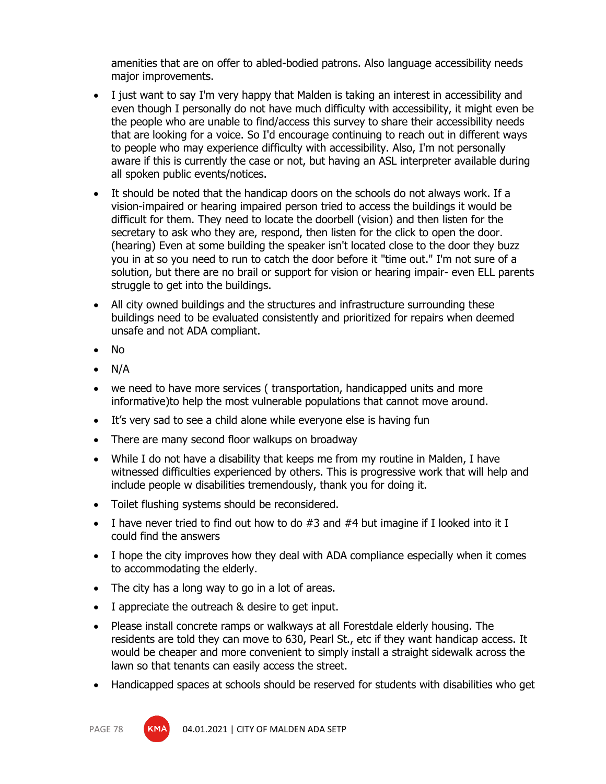amenities that are on offer to abled-bodied patrons. Also language accessibility needs major improvements.

- I just want to say I'm very happy that Malden is taking an interest in accessibility and even though I personally do not have much difficulty with accessibility, it might even be the people who are unable to find/access this survey to share their accessibility needs that are looking for a voice. So I'd encourage continuing to reach out in different ways to people who may experience difficulty with accessibility. Also, I'm not personally aware if this is currently the case or not, but having an ASL interpreter available during all spoken public events/notices.
- It should be noted that the handicap doors on the schools do not always work. If a vision-impaired or hearing impaired person tried to access the buildings it would be difficult for them. They need to locate the doorbell (vision) and then listen for the secretary to ask who they are, respond, then listen for the click to open the door. (hearing) Even at some building the speaker isn't located close to the door they buzz you in at so you need to run to catch the door before it "time out." I'm not sure of a solution, but there are no brail or support for vision or hearing impair- even ELL parents struggle to get into the buildings.
- All city owned buildings and the structures and infrastructure surrounding these buildings need to be evaluated consistently and prioritized for repairs when deemed unsafe and not ADA compliant.
- No
- N/A
- we need to have more services ( transportation, handicapped units and more informative)to help the most vulnerable populations that cannot move around.
- It's very sad to see a child alone while everyone else is having fun
- There are many second floor walkups on broadway
- While I do not have a disability that keeps me from my routine in Malden, I have witnessed difficulties experienced by others. This is progressive work that will help and include people w disabilities tremendously, thank you for doing it.
- Toilet flushing systems should be reconsidered.
- I have never tried to find out how to do  $#3$  and  $#4$  but imagine if I looked into it I could find the answers
- I hope the city improves how they deal with ADA compliance especially when it comes to accommodating the elderly.
- The city has a long way to go in a lot of areas.
- I appreciate the outreach & desire to get input.
- Please install concrete ramps or walkways at all Forestdale elderly housing. The residents are told they can move to 630, Pearl St., etc if they want handicap access. It would be cheaper and more convenient to simply install a straight sidewalk across the lawn so that tenants can easily access the street.
- Handicapped spaces at schools should be reserved for students with disabilities who get

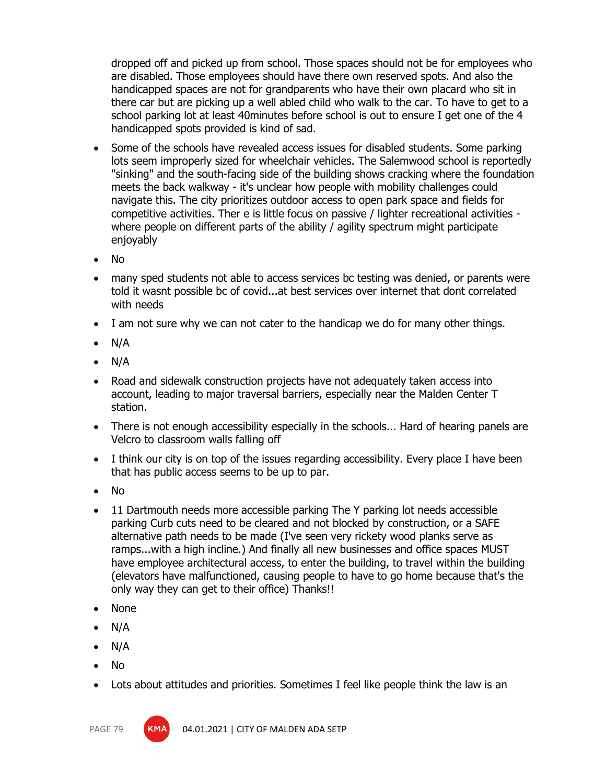dropped off and picked up from school. Those spaces should not be for employees who are disabled. Those employees should have there own reserved spots. And also the handicapped spaces are not for grandparents who have their own placard who sit in there car but are picking up a well abled child who walk to the car. To have to get to a school parking lot at least 40minutes before school is out to ensure I get one of the 4 handicapped spots provided is kind of sad.

- Some of the schools have revealed access issues for disabled students. Some parking lots seem improperly sized for wheelchair vehicles. The Salemwood school is reportedly "sinking" and the south-facing side of the building shows cracking where the foundation meets the back walkway - it's unclear how people with mobility challenges could navigate this. The city prioritizes outdoor access to open park space and fields for competitive activities. Ther e is little focus on passive / lighter recreational activities where people on different parts of the ability / agility spectrum might participate enjoyably
- No
- many sped students not able to access services bc testing was denied, or parents were told it wasnt possible bc of covid...at best services over internet that dont correlated with needs
- I am not sure why we can not cater to the handicap we do for many other things.
- $\bullet$  N/A
- $\bullet$  N/A
- Road and sidewalk construction projects have not adequately taken access into account, leading to major traversal barriers, especially near the Malden Center T station.
- There is not enough accessibility especially in the schools... Hard of hearing panels are Velcro to classroom walls falling off
- I think our city is on top of the issues regarding accessibility. Every place I have been that has public access seems to be up to par.
- No
- 11 Dartmouth needs more accessible parking The Y parking lot needs accessible parking Curb cuts need to be cleared and not blocked by construction, or a SAFE alternative path needs to be made (I've seen very rickety wood planks serve as ramps...with a high incline.) And finally all new businesses and office spaces MUST have employee architectural access, to enter the building, to travel within the building (elevators have malfunctioned, causing people to have to go home because that's the only way they can get to their office) Thanks!!
- None
- N/A
- $\bullet$  N/A
- No
- Lots about attitudes and priorities. Sometimes I feel like people think the law is an



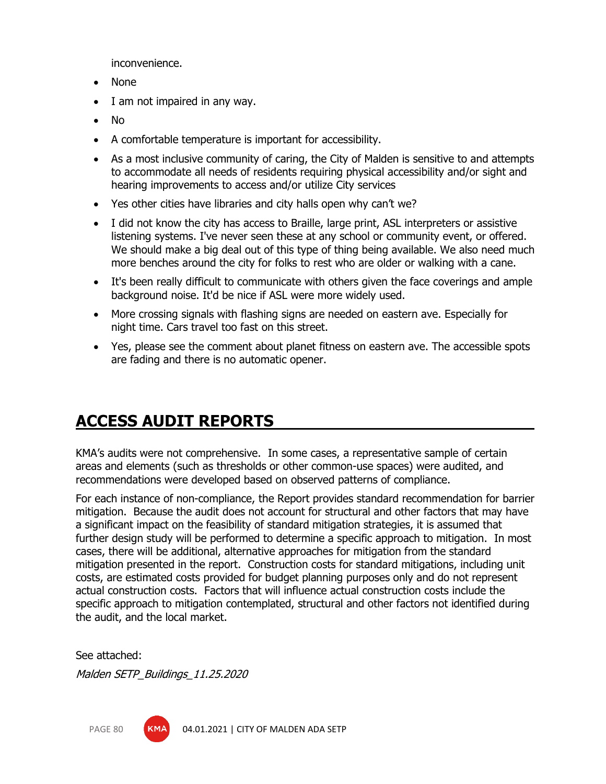inconvenience.

- None
- I am not impaired in any way.
- No
- A comfortable temperature is important for accessibility.
- As a most inclusive community of caring, the City of Malden is sensitive to and attempts to accommodate all needs of residents requiring physical accessibility and/or sight and hearing improvements to access and/or utilize City services
- Yes other cities have libraries and city halls open why can't we?
- I did not know the city has access to Braille, large print, ASL interpreters or assistive listening systems. I've never seen these at any school or community event, or offered. We should make a big deal out of this type of thing being available. We also need much more benches around the city for folks to rest who are older or walking with a cane.
- It's been really difficult to communicate with others given the face coverings and ample background noise. It'd be nice if ASL were more widely used.
- More crossing signals with flashing signs are needed on eastern ave. Especially for night time. Cars travel too fast on this street.
- Yes, please see the comment about planet fitness on eastern ave. The accessible spots are fading and there is no automatic opener.

# **ACCESS AUDIT REPORTS**

KMA's audits were not comprehensive. In some cases, a representative sample of certain areas and elements (such as thresholds or other common-use spaces) were audited, and recommendations were developed based on observed patterns of compliance.

For each instance of non-compliance, the Report provides standard recommendation for barrier mitigation. Because the audit does not account for structural and other factors that may have a significant impact on the feasibility of standard mitigation strategies, it is assumed that further design study will be performed to determine a specific approach to mitigation. In most cases, there will be additional, alternative approaches for mitigation from the standard mitigation presented in the report. Construction costs for standard mitigations, including unit costs, are estimated costs provided for budget planning purposes only and do not represent actual construction costs. Factors that will influence actual construction costs include the specific approach to mitigation contemplated, structural and other factors not identified during the audit, and the local market.

See attached:

Malden SETP\_Buildings\_11.25.2020

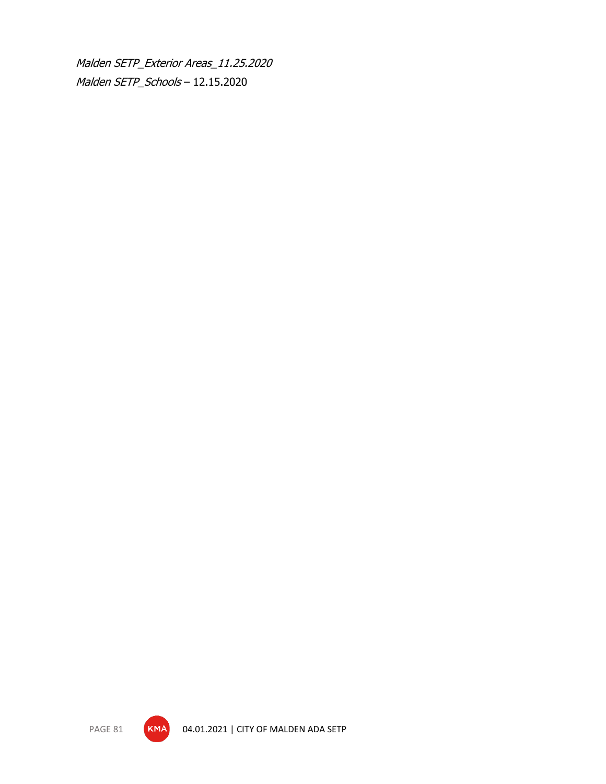Malden SETP\_Exterior Areas\_11.25.2020 Malden SETP\_Schools – 12.15.2020